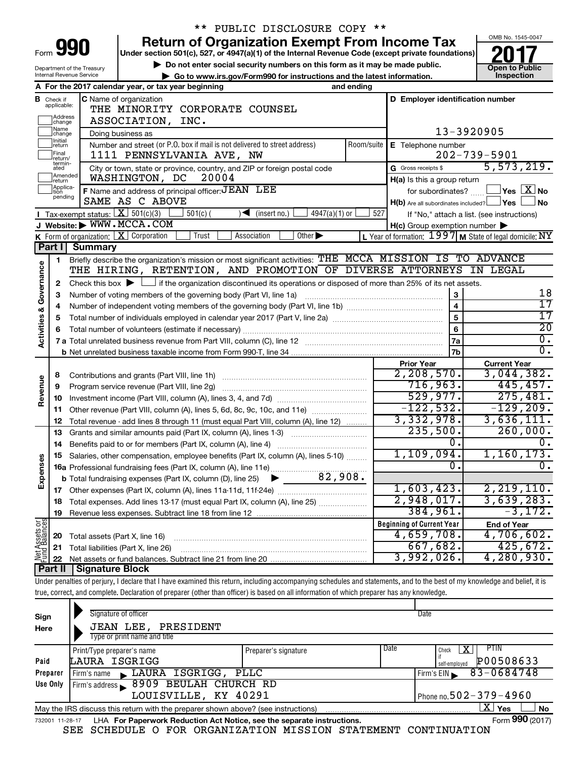| Form |  |  |
|------|--|--|

Department of the Treasury

## \*\* PUBLIC DISCLOSURE COPY \*\*

**Under section 501(c), 527, or 4947(a)(1) of the Internal Revenue Code (except private foundations) 990 Return of Organization Exempt From Income Tax 1990 2017 Divide the section 501(c)**, 527, or 4947(a)(1) of the Internal Revenue Code (except private foundations) **2017** 

▶ Do not enter social security numbers on this form as it may be made public.<br>● Go to www.irs.gov/Form990 for instructions and the latest information. **Department in the latest** information. ▶ Go to www.irs.gov/Form990 for instructions and the latest information.



| Internal Revenue Service                                                                                                                                       |                                                    |                                                                                                                                                            |                                                                                      |                                                         | ► Go to www.irs.gov/Form990 for instructions and the latest information. |                 |            |                                                                                                            | Inspection                                              |  |
|----------------------------------------------------------------------------------------------------------------------------------------------------------------|----------------------------------------------------|------------------------------------------------------------------------------------------------------------------------------------------------------------|--------------------------------------------------------------------------------------|---------------------------------------------------------|--------------------------------------------------------------------------|-----------------|------------|------------------------------------------------------------------------------------------------------------|---------------------------------------------------------|--|
|                                                                                                                                                                |                                                    |                                                                                                                                                            | A For the 2017 calendar year, or tax year beginning                                  |                                                         |                                                                          |                 | and ending |                                                                                                            |                                                         |  |
|                                                                                                                                                                | <b>B</b> Check if applicable:<br>Address<br>change |                                                                                                                                                            | <b>C</b> Name of organization<br>THE MINORITY CORPORATE COUNSEL<br>ASSOCIATION, INC. |                                                         |                                                                          |                 |            | D Employer identification number                                                                           |                                                         |  |
|                                                                                                                                                                | Name<br>change                                     |                                                                                                                                                            | Doing business as                                                                    |                                                         |                                                                          |                 |            |                                                                                                            | 13-3920905                                              |  |
| Initial<br>return<br>Number and street (or P.O. box if mail is not delivered to street address)<br>Room/suite<br>Final<br>1111 PENNSYLVANIA AVE, NW<br>return/ |                                                    |                                                                                                                                                            |                                                                                      |                                                         |                                                                          |                 |            | E Telephone number                                                                                         | $202 - 739 - 5901$                                      |  |
|                                                                                                                                                                | termin-<br>ated                                    |                                                                                                                                                            | City or town, state or province, country, and ZIP or foreign postal code             |                                                         |                                                                          |                 |            | G Gross receipts \$                                                                                        | 5,573,219.                                              |  |
|                                                                                                                                                                | Amended<br>Ireturn                                 |                                                                                                                                                            | WASHINGTON, DC                                                                       | 20004                                                   |                                                                          |                 |            | $H(a)$ is this a group return                                                                              |                                                         |  |
|                                                                                                                                                                | Applica-<br>tion<br>pending                        |                                                                                                                                                            | F Name and address of principal officer: JEAN LEE                                    |                                                         |                                                                          |                 |            | for subordinates?                                                                                          | $\Box$ Yes $\boxed{\mathrm{X}}$ No                      |  |
|                                                                                                                                                                |                                                    |                                                                                                                                                            | SAME AS C ABOVE                                                                      | $H(b)$ Are all subordinates included? $\Box$ Yes $\Box$ | ⊥No                                                                      |                 |            |                                                                                                            |                                                         |  |
|                                                                                                                                                                |                                                    |                                                                                                                                                            | <b>I</b> Tax-exempt status: $X \overline{3}$ 501(c)(3)                               | $501(c)$ (                                              | $\sqrt{\frac{1}{1}}$ (insert no.)                                        | $4947(a)(1)$ or | 527        |                                                                                                            | If "No," attach a list. (see instructions)              |  |
|                                                                                                                                                                |                                                    |                                                                                                                                                            | J Website: WWW.MCCA.COM                                                              |                                                         |                                                                          |                 |            | $H(c)$ Group exemption number $\blacktriangleright$                                                        |                                                         |  |
|                                                                                                                                                                |                                                    |                                                                                                                                                            | K Form of organization: $X$ Corporation                                              | Trust                                                   | Association<br>Other $\blacktriangleright$                               |                 |            |                                                                                                            | L Year of formation: 1997 M State of legal domicile: NY |  |
|                                                                                                                                                                | Part I                                             | <b>Summary</b>                                                                                                                                             |                                                                                      |                                                         |                                                                          |                 |            |                                                                                                            |                                                         |  |
|                                                                                                                                                                | $\mathbf{1}$                                       |                                                                                                                                                            |                                                                                      |                                                         |                                                                          |                 |            | Briefly describe the organization's mission or most significant activities: THE MCCA MISSION IS TO ADVANCE |                                                         |  |
| Activities & Governance                                                                                                                                        |                                                    |                                                                                                                                                            |                                                                                      |                                                         |                                                                          |                 |            | THE HIRING, RETENTION, AND PROMOTION OF DIVERSE ATTORNEYS IN LEGAL                                         |                                                         |  |
|                                                                                                                                                                |                                                    | Check this box $\blacktriangleright$ $\Box$ if the organization discontinued its operations or disposed of more than 25% of its net assets.<br>$\mathbf 2$ |                                                                                      |                                                         |                                                                          |                 |            |                                                                                                            |                                                         |  |
|                                                                                                                                                                | З<br>4                                             |                                                                                                                                                            |                                                                                      |                                                         |                                                                          |                 |            | 3<br>$\overline{4}$                                                                                        | 18<br>$\overline{17}$                                   |  |
|                                                                                                                                                                |                                                    |                                                                                                                                                            |                                                                                      |                                                         |                                                                          |                 | 5          | 17                                                                                                         |                                                         |  |
|                                                                                                                                                                | 5                                                  |                                                                                                                                                            |                                                                                      |                                                         |                                                                          |                 |            | 6                                                                                                          | $\overline{20}$                                         |  |
|                                                                                                                                                                | 6                                                  |                                                                                                                                                            |                                                                                      |                                                         |                                                                          |                 |            |                                                                                                            | $\overline{0}$ .                                        |  |
|                                                                                                                                                                |                                                    |                                                                                                                                                            |                                                                                      |                                                         |                                                                          |                 |            | 7a<br>7b                                                                                                   | σ.                                                      |  |
|                                                                                                                                                                |                                                    |                                                                                                                                                            |                                                                                      |                                                         |                                                                          |                 |            | <b>Prior Year</b>                                                                                          | <b>Current Year</b>                                     |  |
|                                                                                                                                                                | 8                                                  |                                                                                                                                                            |                                                                                      |                                                         |                                                                          |                 |            | 2,208,570.                                                                                                 | 3,044,382.                                              |  |
|                                                                                                                                                                | 9                                                  |                                                                                                                                                            | Program service revenue (Part VIII, line 2g)                                         |                                                         |                                                                          |                 |            | 716,963.                                                                                                   | 445, 457.                                               |  |
| Revenue                                                                                                                                                        | 10                                                 |                                                                                                                                                            |                                                                                      |                                                         |                                                                          |                 |            | 529,977.                                                                                                   | 275,481.                                                |  |
|                                                                                                                                                                | 11                                                 |                                                                                                                                                            | Other revenue (Part VIII, column (A), lines 5, 6d, 8c, 9c, 10c, and 11e)             |                                                         |                                                                          |                 |            | $-122,532.$                                                                                                | $-129, 209.$                                            |  |
|                                                                                                                                                                | 12                                                 |                                                                                                                                                            | Total revenue - add lines 8 through 11 (must equal Part VIII, column (A), line 12)   |                                                         |                                                                          |                 |            | 3,332,978.                                                                                                 | 3,636,111.                                              |  |
|                                                                                                                                                                | 13                                                 |                                                                                                                                                            | Grants and similar amounts paid (Part IX, column (A), lines 1-3)                     |                                                         |                                                                          |                 |            | 235,500.                                                                                                   | 260,000.                                                |  |
|                                                                                                                                                                | 14                                                 |                                                                                                                                                            | Benefits paid to or for members (Part IX, column (A), line 4)                        |                                                         |                                                                          |                 |            | 0.                                                                                                         |                                                         |  |
|                                                                                                                                                                | 15                                                 |                                                                                                                                                            | Salaries, other compensation, employee benefits (Part IX, column (A), lines 5-10)    |                                                         |                                                                          |                 |            | 1,109,094.                                                                                                 | 1,160,173.                                              |  |
| Expenses                                                                                                                                                       |                                                    |                                                                                                                                                            |                                                                                      |                                                         |                                                                          |                 |            | Ο.                                                                                                         | 0.                                                      |  |
|                                                                                                                                                                |                                                    |                                                                                                                                                            | <b>b</b> Total fundraising expenses (Part IX, column (D), line 25)                   |                                                         |                                                                          | 82,908.         |            |                                                                                                            |                                                         |  |
|                                                                                                                                                                | 17                                                 |                                                                                                                                                            |                                                                                      |                                                         |                                                                          |                 |            | 1,603,423.                                                                                                 | 2, 219, 110.                                            |  |
|                                                                                                                                                                | 18                                                 |                                                                                                                                                            | Total expenses. Add lines 13-17 (must equal Part IX, column (A), line 25)            |                                                         |                                                                          |                 |            | 2,948,017.                                                                                                 | 3,639,283.                                              |  |
|                                                                                                                                                                | 19                                                 |                                                                                                                                                            |                                                                                      |                                                         |                                                                          |                 |            | 384,961.                                                                                                   | $-3,172.$                                               |  |
| Net Assets or<br>Fund Balances                                                                                                                                 |                                                    |                                                                                                                                                            |                                                                                      |                                                         |                                                                          |                 |            | <b>Beginning of Current Year</b>                                                                           | <b>End of Year</b>                                      |  |
|                                                                                                                                                                | 20                                                 |                                                                                                                                                            | Total assets (Part X, line 16)                                                       |                                                         |                                                                          |                 |            | 4,659,708.                                                                                                 | 4,706,602.                                              |  |
|                                                                                                                                                                | 21                                                 |                                                                                                                                                            | Total liabilities (Part X, line 26)                                                  |                                                         |                                                                          |                 |            | 667,682.                                                                                                   | 425,672.                                                |  |
|                                                                                                                                                                | 22                                                 |                                                                                                                                                            |                                                                                      |                                                         |                                                                          |                 |            | 3,992,026.                                                                                                 | 4, 280, 930.                                            |  |
|                                                                                                                                                                | Part II                                            | <b>Signature Block</b>                                                                                                                                     |                                                                                      |                                                         |                                                                          |                 |            |                                                                                                            |                                                         |  |

Under penalties of perjury, I declare that I have examined this return, including accompanying schedules and statements, and to the best of my knowledge and belief, it is true, correct, and complete. Declaration of preparer (other than officer) is based on all information of which preparer has any knowledge.

| Sign<br>Here    | Signature of officer<br><b>JEAN LEE, PRESIDENT</b><br>Type or print name and title                                 |                            | Date                       |  |  |  |  |  |  |
|-----------------|--------------------------------------------------------------------------------------------------------------------|----------------------------|----------------------------|--|--|--|--|--|--|
|                 |                                                                                                                    |                            | Date<br>PIIN               |  |  |  |  |  |  |
|                 | Print/Type preparer's name                                                                                         | Preparer's signature       | х<br>Check                 |  |  |  |  |  |  |
| Paid            | LAURA ISGRIGG                                                                                                      |                            | P00508633<br>self-employed |  |  |  |  |  |  |
| Preparer        | Firm's name LAURA ISGRIGG, PLLC                                                                                    |                            | 83-0684748<br>Firm's EIN   |  |  |  |  |  |  |
| Use Only        | Firm's address 8909 BEULAH CHURCH RD                                                                               |                            |                            |  |  |  |  |  |  |
|                 | LOUISVILLE, KY 40291                                                                                               | Phone no. 502 – 379 – 4960 |                            |  |  |  |  |  |  |
|                 | X.<br><b>No</b><br><b>Yes</b><br>May the IRS discuss this return with the preparer shown above? (see instructions) |                            |                            |  |  |  |  |  |  |
| 732001 11-28-17 | LHA For Paperwork Reduction Act Notice, see the separate instructions.                                             |                            | Form 990 (2017)            |  |  |  |  |  |  |

SEE SCHEDULE O FOR ORGANIZATION MISSION STATEMENT CONTINUATION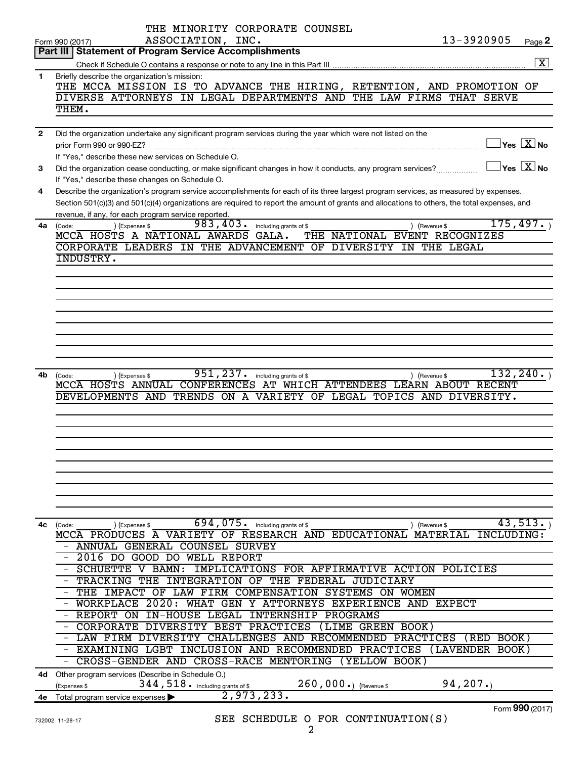|                | THE MINORITY CORPORATE COUNSEL                                                                                                                       |                      |
|----------------|------------------------------------------------------------------------------------------------------------------------------------------------------|----------------------|
|                | 13-3920905<br>ASSOCIATION, INC.<br>Form 990 (2017)                                                                                                   | Page 2               |
|                | Part III   Statement of Program Service Accomplishments                                                                                              |                      |
|                |                                                                                                                                                      | $\boxed{\mathbf{X}}$ |
| 1              | Briefly describe the organization's mission:                                                                                                         |                      |
|                | THE MCCA MISSION IS TO ADVANCE THE HIRING, RETENTION, AND PROMOTION OF                                                                               |                      |
|                | DIVERSE ATTORNEYS IN LEGAL DEPARTMENTS AND THE LAW FIRMS THAT SERVE                                                                                  |                      |
|                | THEM.                                                                                                                                                |                      |
|                |                                                                                                                                                      |                      |
| $\overline{2}$ | Did the organization undertake any significant program services during the year which were not listed on the                                         |                      |
|                | $\mathbb{I}$ Yes $\boxed{\text{X}}$ No<br>prior Form 990 or 990-EZ?                                                                                  |                      |
|                | If "Yes," describe these new services on Schedule O.                                                                                                 |                      |
| 3              | $\exists$ Yes $\sqrt{\mathrm{X}}$ No<br>Did the organization cease conducting, or make significant changes in how it conducts, any program services? |                      |
|                | If "Yes," describe these changes on Schedule O.                                                                                                      |                      |
| 4              | Describe the organization's program service accomplishments for each of its three largest program services, as measured by expenses.                 |                      |
|                | Section 501(c)(3) and 501(c)(4) organizations are required to report the amount of grants and allocations to others, the total expenses, and         |                      |
|                | revenue, if any, for each program service reported.                                                                                                  |                      |
| 4a             | 175,497.<br>983,403.<br>) (Expenses \$<br>including grants of \$<br>(Code:<br>) (Revenue \$                                                          |                      |
|                | MCCA HOSTS A NATIONAL AWARDS<br>GALA.<br>THE NATIONAL EVENT RECOGNIZES                                                                               |                      |
|                | CORPORATE LEADERS IN THE ADVANCEMENT OF DIVERSITY IN THE LEGAL                                                                                       |                      |
|                | INDUSTRY.                                                                                                                                            |                      |
|                |                                                                                                                                                      |                      |
|                |                                                                                                                                                      |                      |
|                |                                                                                                                                                      |                      |
|                |                                                                                                                                                      |                      |
|                |                                                                                                                                                      |                      |
|                |                                                                                                                                                      |                      |
|                |                                                                                                                                                      |                      |
|                |                                                                                                                                                      |                      |
|                |                                                                                                                                                      |                      |
|                |                                                                                                                                                      |                      |
| 4b             | 132, 240.<br>951, 237.<br>including grants of \$<br>(Expenses \$<br>) (Revenue \$<br>(Code:                                                          |                      |
|                | MCCA HOSTS ANNUAL CONFERENCES AT WHICH ATTENDEES LEARN ABOUT RECENT                                                                                  |                      |
|                | DEVELOPMENTS AND TRENDS ON A VARIETY OF LEGAL TOPICS AND DIVERSITY.                                                                                  |                      |
|                |                                                                                                                                                      |                      |
|                |                                                                                                                                                      |                      |
|                |                                                                                                                                                      |                      |
|                |                                                                                                                                                      |                      |
|                |                                                                                                                                                      |                      |
|                |                                                                                                                                                      |                      |
|                |                                                                                                                                                      |                      |
|                |                                                                                                                                                      |                      |
|                |                                                                                                                                                      |                      |
|                |                                                                                                                                                      |                      |
| 4с             | 43,513.<br>694,075.<br>including grants of \$<br>) (Expenses \$<br>(Code:<br>) (Revenue \$                                                           |                      |
|                | MCCA PRODUCES A VARIETY OF RESEARCH AND EDUCATIONAL MATERIAL<br>INCLUDING:                                                                           |                      |
|                | - ANNUAL GENERAL COUNSEL SURVEY                                                                                                                      |                      |
|                | 2016 DO GOOD DO<br>WELL REPORT                                                                                                                       |                      |
|                | - SCHUETTE<br>v<br>BAMN:<br>IMPLICATIONS FOR AFFIRMATIVE ACTION POLICIES                                                                             |                      |
|                | - TRACKING<br>THE<br><b>INTEGRATION</b><br>OF THE FEDERAL JUDICIARY                                                                                  |                      |
|                | - THE IMPACT<br>OF<br>LAW FIRM COMPENSATION SYSTEMS<br>ON WOMEN                                                                                      |                      |
|                | - WORKPLACE<br>2020:<br>WHAT GEN<br>Y ATTORNEYS EXPERIENCE AND EXPECT                                                                                |                      |
|                | - REPORT ON<br>IN-HOUSE<br>LEGAL<br>INTERNSHIP PROGRAMS                                                                                              |                      |
|                | - CORPORATE<br>DIVERSITY BEST PRACTICES<br>(LIME GREEN BOOK)                                                                                         |                      |
|                | - LAW FIRM DIVERSITY CHALLENGES AND RECOMMENDED PRACTICES<br>(RED BOOK)                                                                              |                      |
|                | INCLUSION AND RECOMMENDED PRACTICES<br>- EXAMINING LGBT<br>(LAVENDER BOOK)                                                                           |                      |
|                |                                                                                                                                                      |                      |
|                | - CROSS-GENDER AND CROSS-RACE MENTORING<br>(YELLOW BOOK)                                                                                             |                      |
| 4d -           | Other program services (Describe in Schedule O.)                                                                                                     |                      |
|                | 94, 207.<br>344, 518. including grants of \$<br>260,000.) (Revenue \$<br>(Expenses \$                                                                |                      |
|                | 2,973,233.<br>4e Total program service expenses                                                                                                      |                      |
|                | Form 990 (2017)                                                                                                                                      |                      |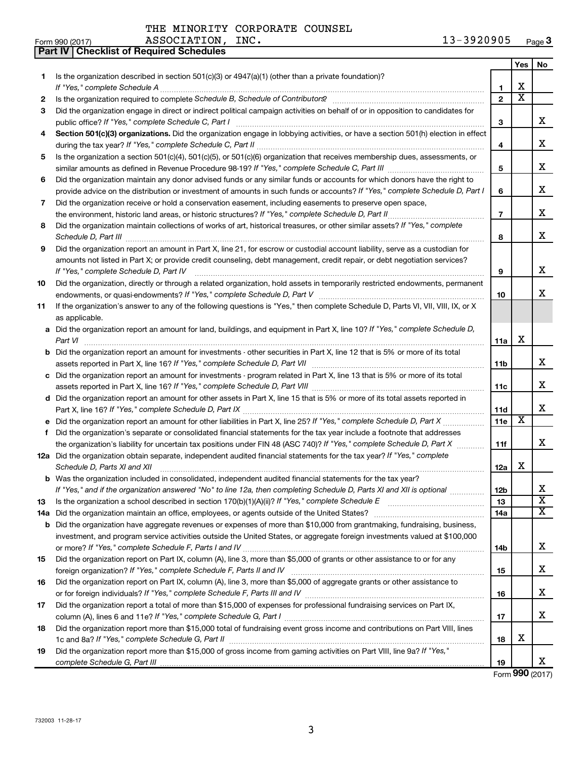ASSOCIATION, INC.

|    | Part IV   Checklist of Required Schedules                                                                                            |                |                         |                         |
|----|--------------------------------------------------------------------------------------------------------------------------------------|----------------|-------------------------|-------------------------|
|    |                                                                                                                                      |                | Yes                     | No                      |
| 1  | Is the organization described in section 501(c)(3) or $4947(a)(1)$ (other than a private foundation)?                                |                |                         |                         |
|    |                                                                                                                                      | 1              | х                       |                         |
| 2  | Is the organization required to complete Schedule B, Schedule of Contributors? [[[[[[[[[[[[[[[[[[[[[[[[[[[[[[                        | $\overline{2}$ | $\overline{\mathtt{x}}$ |                         |
| 3  | Did the organization engage in direct or indirect political campaign activities on behalf of or in opposition to candidates for      |                |                         |                         |
|    | public office? If "Yes," complete Schedule C, Part I                                                                                 | 3              |                         | x                       |
| 4  | Section 501(c)(3) organizations. Did the organization engage in lobbying activities, or have a section 501(h) election in effect     |                |                         |                         |
|    |                                                                                                                                      | 4              |                         | x                       |
| 5  | Is the organization a section 501(c)(4), 501(c)(5), or 501(c)(6) organization that receives membership dues, assessments, or         |                |                         |                         |
|    |                                                                                                                                      | 5              |                         | x                       |
| 6  | Did the organization maintain any donor advised funds or any similar funds or accounts for which donors have the right to            |                |                         |                         |
|    | provide advice on the distribution or investment of amounts in such funds or accounts? If "Yes," complete Schedule D, Part I         | 6              |                         | х                       |
| 7  |                                                                                                                                      |                |                         |                         |
|    | Did the organization receive or hold a conservation easement, including easements to preserve open space,                            | $\overline{7}$ |                         | x                       |
|    | the environment, historic land areas, or historic structures? If "Yes," complete Schedule D, Part II                                 |                |                         |                         |
| 8  | Did the organization maintain collections of works of art, historical treasures, or other similar assets? If "Yes," complete         |                |                         | х                       |
|    |                                                                                                                                      | 8              |                         |                         |
| 9  | Did the organization report an amount in Part X, line 21, for escrow or custodial account liability, serve as a custodian for        |                |                         |                         |
|    | amounts not listed in Part X; or provide credit counseling, debt management, credit repair, or debt negotiation services?            |                |                         |                         |
|    | If "Yes," complete Schedule D, Part IV                                                                                               | 9              |                         | х                       |
| 10 | Did the organization, directly or through a related organization, hold assets in temporarily restricted endowments, permanent        |                |                         |                         |
|    |                                                                                                                                      | 10             |                         | х                       |
| 11 | If the organization's answer to any of the following questions is "Yes," then complete Schedule D, Parts VI, VII, VIII, IX, or X     |                |                         |                         |
|    | as applicable.                                                                                                                       |                |                         |                         |
|    | a Did the organization report an amount for land, buildings, and equipment in Part X, line 10? If "Yes," complete Schedule D,        |                |                         |                         |
|    | Part VI                                                                                                                              | 11a            | х                       |                         |
|    | <b>b</b> Did the organization report an amount for investments - other securities in Part X, line 12 that is 5% or more of its total |                |                         |                         |
|    |                                                                                                                                      | 11b            |                         | x                       |
|    | c Did the organization report an amount for investments - program related in Part X, line 13 that is 5% or more of its total         |                |                         |                         |
|    |                                                                                                                                      | 11c            |                         | x                       |
|    | d Did the organization report an amount for other assets in Part X, line 15 that is 5% or more of its total assets reported in       |                |                         |                         |
|    |                                                                                                                                      | 11d            |                         | х                       |
|    | e Did the organization report an amount for other liabilities in Part X, line 25? If "Yes," complete Schedule D, Part X              | 11e            | $\overline{\text{X}}$   |                         |
| f. | Did the organization's separate or consolidated financial statements for the tax year include a footnote that addresses              |                |                         |                         |
|    | the organization's liability for uncertain tax positions under FIN 48 (ASC 740)? If "Yes," complete Schedule D, Part X               | 11f            |                         | х                       |
|    | 12a Did the organization obtain separate, independent audited financial statements for the tax year? If "Yes," complete              |                |                         |                         |
|    | Schedule D, Parts XI and XII                                                                                                         | 12a            | х                       |                         |
|    | <b>b</b> Was the organization included in consolidated, independent audited financial statements for the tax year?                   |                |                         |                         |
|    | If "Yes," and if the organization answered "No" to line 12a, then completing Schedule D, Parts XI and XII is optional                | 12b            |                         | х                       |
| 13 |                                                                                                                                      | 13             |                         | $\overline{\textbf{x}}$ |
|    | 14a Did the organization maintain an office, employees, or agents outside of the United States?                                      | 14a            |                         | $\overline{\text{X}}$   |
|    | <b>b</b> Did the organization have aggregate revenues or expenses of more than \$10,000 from grantmaking, fundraising, business,     |                |                         |                         |
|    | investment, and program service activities outside the United States, or aggregate foreign investments valued at \$100,000           |                |                         |                         |
|    |                                                                                                                                      | 14b            |                         | x                       |
| 15 | Did the organization report on Part IX, column (A), line 3, more than \$5,000 of grants or other assistance to or for any            |                |                         |                         |
|    |                                                                                                                                      | 15             |                         | x                       |
| 16 | Did the organization report on Part IX, column (A), line 3, more than \$5,000 of aggregate grants or other assistance to             |                |                         |                         |
|    |                                                                                                                                      | 16             |                         | x                       |
| 17 | Did the organization report a total of more than \$15,000 of expenses for professional fundraising services on Part IX,              |                |                         |                         |
|    |                                                                                                                                      | 17             |                         | x                       |
| 18 | Did the organization report more than \$15,000 total of fundraising event gross income and contributions on Part VIII, lines         |                |                         |                         |
|    |                                                                                                                                      | 18             | х                       |                         |
| 19 | Did the organization report more than \$15,000 of gross income from gaming activities on Part VIII, line 9a? If "Yes,"               |                |                         |                         |
|    |                                                                                                                                      | 19             |                         | x                       |

Form (2017) **990**

3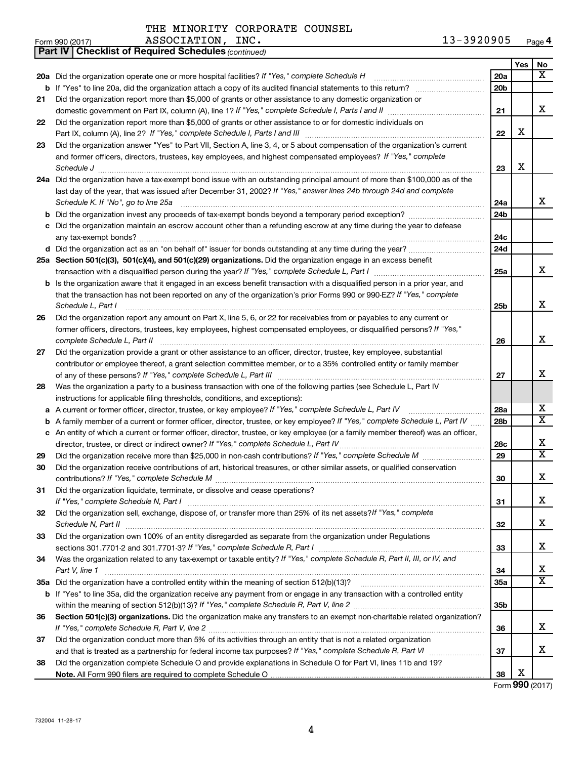THE MINORITY CORPORATE COUNSEL<br>ASSOCIATION INC.

|    | 13-3920905<br>ASSOCIATION, INC.<br>Form 990 (2017)                                                                                                                                                     |     |     | Page 4                       |
|----|--------------------------------------------------------------------------------------------------------------------------------------------------------------------------------------------------------|-----|-----|------------------------------|
|    | <b>Part IV   Checklist of Required Schedules (continued)</b>                                                                                                                                           |     |     |                              |
|    |                                                                                                                                                                                                        |     | Yes | No                           |
|    |                                                                                                                                                                                                        | 20a |     | x                            |
|    |                                                                                                                                                                                                        | 20b |     |                              |
| 21 | Did the organization report more than \$5,000 of grants or other assistance to any domestic organization or                                                                                            |     |     |                              |
|    |                                                                                                                                                                                                        | 21  |     | x                            |
| 22 | Did the organization report more than \$5,000 of grants or other assistance to or for domestic individuals on                                                                                          |     |     |                              |
|    |                                                                                                                                                                                                        | 22  | X   |                              |
| 23 | Did the organization answer "Yes" to Part VII, Section A, line 3, 4, or 5 about compensation of the organization's current                                                                             |     |     |                              |
|    | and former officers, directors, trustees, key employees, and highest compensated employees? If "Yes," complete                                                                                         |     |     |                              |
|    | Schedule J <b>Execute J Execute Constructs Constructs Constructs Constructs Constructs Constructs Constructs Constructs Constructs Constructs Constructs Constructs Constructs Constructs Construc</b> | 23  | х   |                              |
|    | 24a Did the organization have a tax-exempt bond issue with an outstanding principal amount of more than \$100,000 as of the                                                                            |     |     |                              |
|    | last day of the year, that was issued after December 31, 2002? If "Yes," answer lines 24b through 24d and complete                                                                                     |     |     |                              |
|    | Schedule K. If "No", go to line 25a                                                                                                                                                                    | 24a |     | X                            |
|    |                                                                                                                                                                                                        | 24b |     |                              |
|    | c Did the organization maintain an escrow account other than a refunding escrow at any time during the year to defease                                                                                 |     |     |                              |
|    |                                                                                                                                                                                                        | 24c |     |                              |
|    |                                                                                                                                                                                                        | 24d |     |                              |
|    | 25a Section 501(c)(3), 501(c)(4), and 501(c)(29) organizations. Did the organization engage in an excess benefit                                                                                       |     |     |                              |
|    |                                                                                                                                                                                                        | 25a |     | x                            |
|    | b Is the organization aware that it engaged in an excess benefit transaction with a disqualified person in a prior year, and                                                                           |     |     |                              |
|    | that the transaction has not been reported on any of the organization's prior Forms 990 or 990-EZ? If "Yes," complete                                                                                  |     |     |                              |
|    | Schedule L, Part I                                                                                                                                                                                     | 25b |     | X                            |
| 26 | Did the organization report any amount on Part X, line 5, 6, or 22 for receivables from or payables to any current or                                                                                  |     |     |                              |
|    | former officers, directors, trustees, key employees, highest compensated employees, or disqualified persons? If "Yes,"                                                                                 |     |     |                              |
|    | complete Schedule L, Part II                                                                                                                                                                           | 26  |     | x                            |
| 27 | Did the organization provide a grant or other assistance to an officer, director, trustee, key employee, substantial                                                                                   |     |     |                              |
|    | contributor or employee thereof, a grant selection committee member, or to a 35% controlled entity or family member                                                                                    |     |     |                              |
|    |                                                                                                                                                                                                        | 27  |     | x                            |
| 28 | Was the organization a party to a business transaction with one of the following parties (see Schedule L, Part IV                                                                                      |     |     |                              |
|    | instructions for applicable filing thresholds, conditions, and exceptions):                                                                                                                            |     |     |                              |
|    | a A current or former officer, director, trustee, or key employee? If "Yes," complete Schedule L, Part IV                                                                                              | 28a |     | х<br>$\overline{\texttt{x}}$ |
|    | <b>b</b> A family member of a current or former officer, director, trustee, or key employee? If "Yes," complete Schedule L, Part IV                                                                    | 28b |     |                              |
|    | c An entity of which a current or former officer, director, trustee, or key employee (or a family member thereof) was an officer,                                                                      |     |     | х                            |
|    |                                                                                                                                                                                                        | 28c |     | $\overline{\texttt{x}}$      |
| 29 |                                                                                                                                                                                                        | 29  |     |                              |
| 30 | Did the organization receive contributions of art, historical treasures, or other similar assets, or qualified conservation                                                                            |     |     | х                            |
|    |                                                                                                                                                                                                        | 30  |     |                              |
| 31 | Did the organization liquidate, terminate, or dissolve and cease operations?                                                                                                                           |     |     | X                            |
| 32 | Did the organization sell, exchange, dispose of, or transfer more than 25% of its net assets? If "Yes," complete                                                                                       | 31  |     |                              |
|    |                                                                                                                                                                                                        | 32  |     | Х                            |
| 33 | Did the organization own 100% of an entity disregarded as separate from the organization under Regulations                                                                                             |     |     |                              |
|    |                                                                                                                                                                                                        | 33  |     | х                            |
| 34 | Was the organization related to any tax-exempt or taxable entity? If "Yes," complete Schedule R, Part II, III, or IV, and                                                                              |     |     |                              |
|    | Part V, line 1                                                                                                                                                                                         | 34  |     | х                            |
|    |                                                                                                                                                                                                        | 35a |     | $\overline{\textbf{X}}$      |
|    | b If "Yes" to line 35a, did the organization receive any payment from or engage in any transaction with a controlled entity                                                                            |     |     |                              |
|    |                                                                                                                                                                                                        | 35b |     |                              |
| 36 | Section 501(c)(3) organizations. Did the organization make any transfers to an exempt non-charitable related organization?                                                                             |     |     |                              |
|    |                                                                                                                                                                                                        | 36  |     | х                            |
| 37 | Did the organization conduct more than 5% of its activities through an entity that is not a related organization                                                                                       |     |     |                              |
|    |                                                                                                                                                                                                        | 37  |     | х                            |
| 38 | Did the organization complete Schedule O and provide explanations in Schedule O for Part VI, lines 11b and 19?                                                                                         |     |     |                              |
|    |                                                                                                                                                                                                        | 38  | х   |                              |

**4**

Form (2017) **990**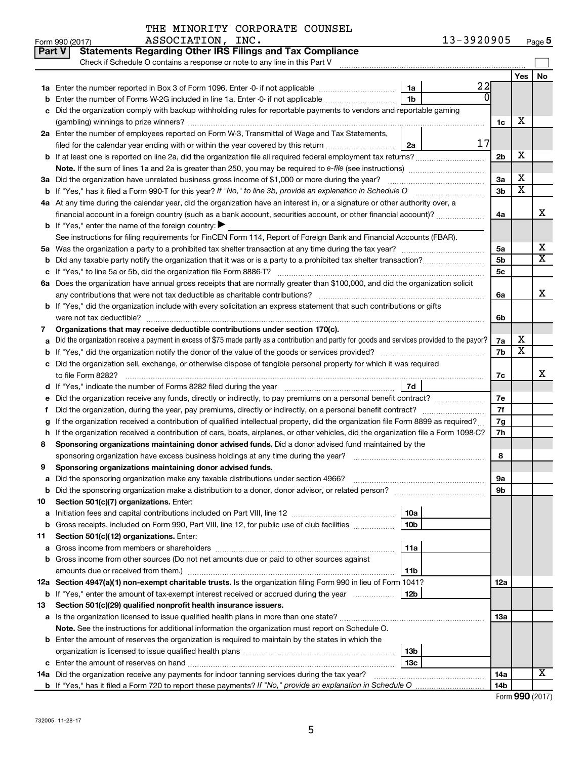|    | ASSOCIATION, INC.<br>Form 990 (2017)                                                                                                                             |                        | 13-3920905 |                 |                         | Page 5                |
|----|------------------------------------------------------------------------------------------------------------------------------------------------------------------|------------------------|------------|-----------------|-------------------------|-----------------------|
|    | <b>Statements Regarding Other IRS Filings and Tax Compliance</b><br><b>Part V</b>                                                                                |                        |            |                 |                         |                       |
|    | Check if Schedule O contains a response or note to any line in this Part V [111] [11] Check if Schedule O contains a response or note to any line in this Part V |                        |            |                 |                         |                       |
|    |                                                                                                                                                                  |                        |            |                 | Yes                     | No                    |
|    |                                                                                                                                                                  | 1a                     | 22         |                 |                         |                       |
| b  | Enter the number of Forms W-2G included in line 1a. Enter -0- if not applicable                                                                                  | 1 <sub>b</sub>         | 0          |                 |                         |                       |
|    | c Did the organization comply with backup withholding rules for reportable payments to vendors and reportable gaming                                             |                        |            |                 |                         |                       |
|    |                                                                                                                                                                  |                        |            | 1c              | х                       |                       |
|    | 2a Enter the number of employees reported on Form W-3, Transmittal of Wage and Tax Statements,                                                                   |                        |            |                 |                         |                       |
|    | filed for the calendar year ending with or within the year covered by this return                                                                                | 2a                     | 17         |                 |                         |                       |
|    | <b>b</b> If at least one is reported on line 2a, did the organization file all required federal employment tax returns?                                          |                        |            | 2 <sub>b</sub>  | х                       |                       |
|    |                                                                                                                                                                  |                        |            |                 |                         |                       |
|    | 3a Did the organization have unrelated business gross income of \$1,000 or more during the year?                                                                 |                        |            | За              | X                       |                       |
|    |                                                                                                                                                                  |                        |            | 3 <sub>b</sub>  | $\overline{\textbf{x}}$ |                       |
|    | 4a At any time during the calendar year, did the organization have an interest in, or a signature or other authority over, a                                     |                        |            |                 |                         |                       |
|    | financial account in a foreign country (such as a bank account, securities account, or other financial account)?                                                 |                        |            | 4a              |                         | х                     |
|    | <b>b</b> If "Yes," enter the name of the foreign country: $\blacktriangleright$                                                                                  |                        |            |                 |                         |                       |
|    | See instructions for filing requirements for FinCEN Form 114, Report of Foreign Bank and Financial Accounts (FBAR).                                              |                        |            |                 |                         |                       |
|    |                                                                                                                                                                  |                        |            | 5a              |                         | х                     |
|    | <b>b</b> Did any taxable party notify the organization that it was or is a party to a prohibited tax shelter transaction?                                        |                        |            | 5 <sub>b</sub>  |                         | $\overline{\text{X}}$ |
|    |                                                                                                                                                                  |                        |            | 5c              |                         |                       |
|    | 6a Does the organization have annual gross receipts that are normally greater than \$100,000, and did the organization solicit                                   |                        |            |                 |                         |                       |
|    |                                                                                                                                                                  |                        |            | 6a              |                         | х                     |
|    | <b>b</b> If "Yes," did the organization include with every solicitation an express statement that such contributions or gifts                                    |                        |            |                 |                         |                       |
|    |                                                                                                                                                                  |                        |            | 6b              |                         |                       |
| 7  | Organizations that may receive deductible contributions under section 170(c).                                                                                    |                        |            |                 |                         |                       |
| a  | Did the organization receive a payment in excess of \$75 made partly as a contribution and partly for goods and services provided to the payor?                  |                        |            | 7а              | х                       |                       |
|    |                                                                                                                                                                  |                        |            | 7b              | х                       |                       |
|    | c Did the organization sell, exchange, or otherwise dispose of tangible personal property for which it was required                                              |                        |            |                 |                         |                       |
|    |                                                                                                                                                                  |                        |            | 7c              |                         | х                     |
|    |                                                                                                                                                                  | 7d                     |            |                 |                         |                       |
|    | e Did the organization receive any funds, directly or indirectly, to pay premiums on a personal benefit contract?                                                |                        |            | 7е              |                         |                       |
| f. |                                                                                                                                                                  |                        |            | 7f              |                         |                       |
|    | If the organization received a contribution of qualified intellectual property, did the organization file Form 8899 as required?                                 |                        |            | 7g              |                         |                       |
|    | h If the organization received a contribution of cars, boats, airplanes, or other vehicles, did the organization file a Form 1098-C?                             |                        |            | 7h              |                         |                       |
| 8  | Sponsoring organizations maintaining donor advised funds. Did a donor advised fund maintained by the                                                             |                        |            |                 |                         |                       |
|    |                                                                                                                                                                  |                        |            | 8               |                         |                       |
|    | Sponsoring organizations maintaining donor advised funds.                                                                                                        |                        |            |                 |                         |                       |
| а  |                                                                                                                                                                  |                        |            | 9а              |                         |                       |
| b  |                                                                                                                                                                  |                        |            | 9b              |                         |                       |
| 10 | Section 501(c)(7) organizations. Enter:                                                                                                                          |                        |            |                 |                         |                       |
| a  | Gross receipts, included on Form 990, Part VIII, line 12, for public use of club facilities                                                                      | 10a<br>10 <sub>b</sub> |            |                 |                         |                       |
| b  | Section 501(c)(12) organizations. Enter:                                                                                                                         |                        |            |                 |                         |                       |
| 11 |                                                                                                                                                                  | 11a                    |            |                 |                         |                       |
| а  | b Gross income from other sources (Do not net amounts due or paid to other sources against                                                                       |                        |            |                 |                         |                       |
|    |                                                                                                                                                                  | 11b                    |            |                 |                         |                       |
|    | 12a Section 4947(a)(1) non-exempt charitable trusts. Is the organization filing Form 990 in lieu of Form 1041?                                                   |                        |            | 12a             |                         |                       |
|    | <b>b</b> If "Yes," enter the amount of tax-exempt interest received or accrued during the year                                                                   | 12b                    |            |                 |                         |                       |
| 13 | Section 501(c)(29) qualified nonprofit health insurance issuers.                                                                                                 |                        |            |                 |                         |                       |
|    | a Is the organization licensed to issue qualified health plans in more than one state?                                                                           |                        |            | 13a             |                         |                       |
|    | Note. See the instructions for additional information the organization must report on Schedule O.                                                                |                        |            |                 |                         |                       |
|    | <b>b</b> Enter the amount of reserves the organization is required to maintain by the states in which the                                                        |                        |            |                 |                         |                       |
|    |                                                                                                                                                                  | 13b                    |            |                 |                         |                       |
|    |                                                                                                                                                                  | 13 <sub>c</sub>        |            |                 |                         |                       |
|    | 14a Did the organization receive any payments for indoor tanning services during the tax year?                                                                   |                        |            | 14a             |                         | x                     |
|    |                                                                                                                                                                  |                        |            | 14 <sub>b</sub> |                         |                       |

|  | Form 990 (2017) |
|--|-----------------|

| orm 990 (2017) |             |
|----------------|-------------|
| n              | $0.1 - 1.1$ |

|  | 990 (2017) |  |  |
|--|------------|--|--|
|  |            |  |  |
|  |            |  |  |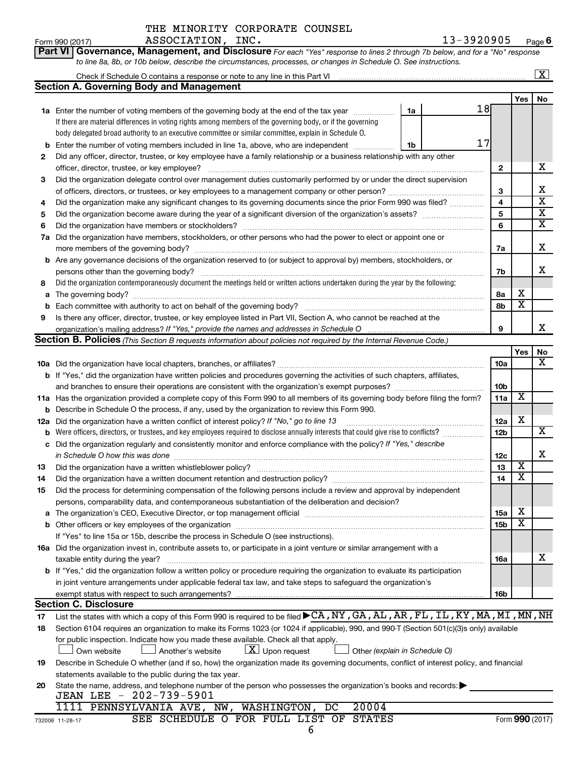| Part VI   Governance, Management, and Disclosure For each "Yes" response to lines 2 through 7b below, and for a "No" response |  |
|-------------------------------------------------------------------------------------------------------------------------------|--|
| to line 8a, 8b, or 10b below, describe the circumstances, processes, or changes in Schedule O. See instructions.              |  |

|             |                                                                                                                                                                                                                               |                 |                         | $\overline{\mathbf{X}}$                            |  |  |  |  |
|-------------|-------------------------------------------------------------------------------------------------------------------------------------------------------------------------------------------------------------------------------|-----------------|-------------------------|----------------------------------------------------|--|--|--|--|
|             | <b>Section A. Governing Body and Management</b>                                                                                                                                                                               |                 |                         |                                                    |  |  |  |  |
|             |                                                                                                                                                                                                                               |                 | Yes                     | No                                                 |  |  |  |  |
|             | 18<br><b>1a</b> Enter the number of voting members of the governing body at the end of the tax year<br>1a                                                                                                                     |                 |                         |                                                    |  |  |  |  |
|             | If there are material differences in voting rights among members of the governing body, or if the governing                                                                                                                   |                 |                         |                                                    |  |  |  |  |
|             | body delegated broad authority to an executive committee or similar committee, explain in Schedule O.                                                                                                                         |                 |                         |                                                    |  |  |  |  |
| b           | 17<br>Enter the number of voting members included in line 1a, above, who are independent<br>1b                                                                                                                                |                 |                         |                                                    |  |  |  |  |
| 2           | Did any officer, director, trustee, or key employee have a family relationship or a business relationship with any other                                                                                                      |                 |                         |                                                    |  |  |  |  |
|             | officer, director, trustee, or key employee?                                                                                                                                                                                  | 2               |                         | х                                                  |  |  |  |  |
| 3           | Did the organization delegate control over management duties customarily performed by or under the direct supervision                                                                                                         |                 |                         |                                                    |  |  |  |  |
|             |                                                                                                                                                                                                                               | 3               |                         | x                                                  |  |  |  |  |
| 4           | Did the organization make any significant changes to its governing documents since the prior Form 990 was filed?                                                                                                              | 4               |                         | $\overline{\mathbf{x}}$<br>$\overline{\mathbf{x}}$ |  |  |  |  |
| 5           |                                                                                                                                                                                                                               |                 |                         |                                                    |  |  |  |  |
| 6           | Did the organization have members or stockholders?                                                                                                                                                                            | 6               |                         | $\overline{\mathbf{X}}$                            |  |  |  |  |
| 7a          | Did the organization have members, stockholders, or other persons who had the power to elect or appoint one or                                                                                                                |                 |                         |                                                    |  |  |  |  |
|             |                                                                                                                                                                                                                               | 7a              |                         | х                                                  |  |  |  |  |
| b           | Are any governance decisions of the organization reserved to (or subject to approval by) members, stockholders, or                                                                                                            |                 |                         |                                                    |  |  |  |  |
|             | persons other than the governing body?                                                                                                                                                                                        | 7b              |                         | x                                                  |  |  |  |  |
| 8           | Did the organization contemporaneously document the meetings held or written actions undertaken during the year by the following:                                                                                             |                 |                         |                                                    |  |  |  |  |
| a           | The governing body?                                                                                                                                                                                                           | 8а              | х                       |                                                    |  |  |  |  |
| $\mathbf b$ |                                                                                                                                                                                                                               | 8b              | х                       |                                                    |  |  |  |  |
| 9           | Is there any officer, director, trustee, or key employee listed in Part VII, Section A, who cannot be reached at the                                                                                                          |                 |                         |                                                    |  |  |  |  |
|             |                                                                                                                                                                                                                               | 9               |                         | x.                                                 |  |  |  |  |
|             | <b>Section B. Policies</b> (This Section B requests information about policies not required by the Internal Revenue Code.)                                                                                                    |                 |                         |                                                    |  |  |  |  |
|             |                                                                                                                                                                                                                               |                 | Yes                     | No                                                 |  |  |  |  |
|             |                                                                                                                                                                                                                               | 10a             |                         | x                                                  |  |  |  |  |
|             | b If "Yes," did the organization have written policies and procedures governing the activities of such chapters, affiliates,                                                                                                  |                 |                         |                                                    |  |  |  |  |
|             |                                                                                                                                                                                                                               | 10 <sub>b</sub> |                         |                                                    |  |  |  |  |
|             | 11a Has the organization provided a complete copy of this Form 990 to all members of its governing body before filing the form?                                                                                               | 11a             | X                       |                                                    |  |  |  |  |
| b           | Describe in Schedule O the process, if any, used by the organization to review this Form 990.                                                                                                                                 |                 |                         |                                                    |  |  |  |  |
| 12a         | Did the organization have a written conflict of interest policy? If "No," go to line 13                                                                                                                                       | 12a             | х                       |                                                    |  |  |  |  |
| b           | Were officers, directors, or trustees, and key employees required to disclose annually interests that could give rise to conflicts?                                                                                           | 12 <sub>b</sub> |                         | x                                                  |  |  |  |  |
| c           | Did the organization regularly and consistently monitor and enforce compliance with the policy? If "Yes," describe                                                                                                            |                 |                         |                                                    |  |  |  |  |
|             | in Schedule O how this was done                                                                                                                                                                                               | 12c             |                         | х                                                  |  |  |  |  |
| 13          | Did the organization have a written whistleblower policy?                                                                                                                                                                     | 13              | $\overline{\textbf{x}}$ |                                                    |  |  |  |  |
| 14          |                                                                                                                                                                                                                               | 14              | X                       |                                                    |  |  |  |  |
| 15          | Did the process for determining compensation of the following persons include a review and approval by independent                                                                                                            |                 |                         |                                                    |  |  |  |  |
|             | persons, comparability data, and contemporaneous substantiation of the deliberation and decision?                                                                                                                             |                 |                         |                                                    |  |  |  |  |
|             | The organization's CEO, Executive Director, or top management official manufactured content of the organization's CEO, Executive Director, or top management official manufactured and the state of the state of the state of | 15a             | х                       |                                                    |  |  |  |  |
| b           |                                                                                                                                                                                                                               | 15 <sub>b</sub> | x                       |                                                    |  |  |  |  |
|             | If "Yes" to line 15a or 15b, describe the process in Schedule O (see instructions).                                                                                                                                           |                 |                         |                                                    |  |  |  |  |
|             | 16a Did the organization invest in, contribute assets to, or participate in a joint venture or similar arrangement with a                                                                                                     |                 |                         |                                                    |  |  |  |  |
|             | taxable entity during the year?                                                                                                                                                                                               | 16a             |                         | х                                                  |  |  |  |  |
|             | <b>b</b> If "Yes," did the organization follow a written policy or procedure requiring the organization to evaluate its participation                                                                                         |                 |                         |                                                    |  |  |  |  |
|             | in joint venture arrangements under applicable federal tax law, and take steps to safeguard the organization's                                                                                                                |                 |                         |                                                    |  |  |  |  |
|             | exempt status with respect to such arrangements?                                                                                                                                                                              | 16b             |                         |                                                    |  |  |  |  |
|             | <b>Section C. Disclosure</b>                                                                                                                                                                                                  |                 |                         |                                                    |  |  |  |  |
| 17          | List the states with which a copy of this Form 990 is required to be filed CA, NY, GA, AL, AR, FL, IL, KY, MA, MI, MN, NH                                                                                                     |                 |                         |                                                    |  |  |  |  |
| 18          | Section 6104 requires an organization to make its Forms 1023 (or 1024 if applicable), 990, and 990-T (Section 501(c)(3)s only) available                                                                                      |                 |                         |                                                    |  |  |  |  |
|             | for public inspection. Indicate how you made these available. Check all that apply.                                                                                                                                           |                 |                         |                                                    |  |  |  |  |
|             | $\lfloor \underline{X} \rfloor$ Upon request<br>Another's website<br>Other (explain in Schedule O)<br>Own website                                                                                                             |                 |                         |                                                    |  |  |  |  |
| 19          | Describe in Schedule O whether (and if so, how) the organization made its governing documents, conflict of interest policy, and financial                                                                                     |                 |                         |                                                    |  |  |  |  |
|             | statements available to the public during the tax year.                                                                                                                                                                       |                 |                         |                                                    |  |  |  |  |
| 20          | State the name, address, and telephone number of the person who possesses the organization's books and records:                                                                                                               |                 |                         |                                                    |  |  |  |  |
|             | JEAN LEE - 202-739-5901<br>20004                                                                                                                                                                                              |                 |                         |                                                    |  |  |  |  |
|             | 1111 PENNSYLVANIA AVE, NW, WASHINGTON, DC                                                                                                                                                                                     |                 |                         |                                                    |  |  |  |  |

SEE SCHEDULE O FOR FULL LIST OF STATES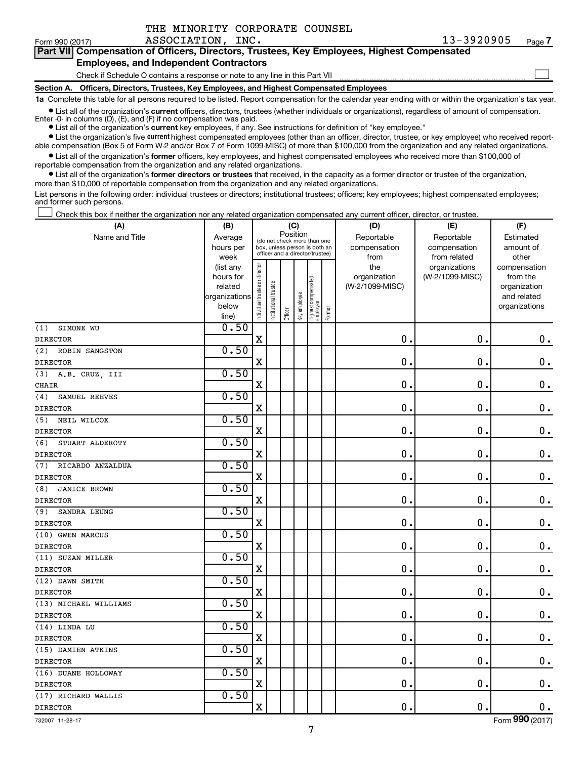| Form 990 (2017)                               | ASSOCIATION, INC.                                                                          | 13-3920905 | Page 7 |  |  |  |  |  |  |  |  |  |
|-----------------------------------------------|--------------------------------------------------------------------------------------------|------------|--------|--|--|--|--|--|--|--|--|--|
|                                               | Part VII Compensation of Officers, Directors, Trustees, Key Employees, Highest Compensated |            |        |  |  |  |  |  |  |  |  |  |
| <b>Employees, and Independent Contractors</b> |                                                                                            |            |        |  |  |  |  |  |  |  |  |  |
|                                               | Check if Schedule O contains a response or note to any line in this Part VII               |            |        |  |  |  |  |  |  |  |  |  |
| Section A.                                    | Officers, Directors, Trustees, Key Employees, and Highest Compensated Employees            |            |        |  |  |  |  |  |  |  |  |  |
|                                               |                                                                                            |            |        |  |  |  |  |  |  |  |  |  |

**1a**  Complete this table for all persons required to be listed. Report compensation for the calendar year ending with or within the organization's tax year.

**•** List all of the organization's current officers, directors, trustees (whether individuals or organizations), regardless of amount of compensation. Enter -0- in columns (D), (E), and (F) if no compensation was paid.

**•** List all of the organization's **current** key employees, if any. See instructions for definition of "key employee."

THE MINORITY CORPORATE COUNSEL

**•** List the organization's five current highest compensated employees (other than an officer, director, trustee, or key employee) who received reportable compensation (Box 5 of Form W-2 and/or Box 7 of Form 1099-MISC) of more than \$100,000 from the organization and any related organizations.

**•** List all of the organization's former officers, key employees, and highest compensated employees who received more than \$100,000 of reportable compensation from the organization and any related organizations.

**•** List all of the organization's former directors or trustees that received, in the capacity as a former director or trustee of the organization, more than \$10,000 of reportable compensation from the organization and any related organizations.

List persons in the following order: individual trustees or directors; institutional trustees; officers; key employees; highest compensated employees; and former such persons.

Check this box if neither the organization nor any related organization compensated any current officer, director, or trustee. †

| (A)                     | (B)                                                |                                |                       | (C)                                                              |              |                                 |        | (D)             | (E)             | (F)           |
|-------------------------|----------------------------------------------------|--------------------------------|-----------------------|------------------------------------------------------------------|--------------|---------------------------------|--------|-----------------|-----------------|---------------|
| Name and Title          | Position<br>Average<br>(do not check more than one |                                |                       |                                                                  |              |                                 |        | Reportable      | Reportable      | Estimated     |
|                         | hours per                                          |                                |                       | box, unless person is both an<br>officer and a director/trustee) |              |                                 |        | compensation    | compensation    | amount of     |
|                         | week                                               |                                |                       |                                                                  |              |                                 |        | from            | from related    | other         |
|                         | (list any                                          |                                |                       |                                                                  |              |                                 |        | the             | organizations   | compensation  |
|                         | hours for                                          |                                |                       |                                                                  |              |                                 |        | organization    | (W-2/1099-MISC) | from the      |
|                         | related                                            |                                |                       |                                                                  |              |                                 |        | (W-2/1099-MISC) |                 | organization  |
|                         | organizations                                      |                                |                       |                                                                  |              |                                 |        |                 |                 | and related   |
|                         | below                                              | Individual trustee or director | Institutional trustee | Officer                                                          | Key employee | Highest compensated<br>employee | Former |                 |                 | organizations |
|                         | line)<br>0.50                                      |                                |                       |                                                                  |              |                                 |        |                 |                 |               |
| SIMONE WU<br>(1)        |                                                    | $\mathbf X$                    |                       |                                                                  |              |                                 |        | 0.              | $\mathbf 0$     |               |
| <b>DIRECTOR</b>         |                                                    |                                |                       |                                                                  |              |                                 |        |                 |                 | $\mathbf 0$ . |
| (2)<br>ROBIN SANGSTON   | 0.50                                               |                                |                       |                                                                  |              |                                 |        |                 |                 |               |
| <b>DIRECTOR</b>         |                                                    | X                              |                       |                                                                  |              |                                 |        | 0.              | $\mathbf 0$     | $\mathbf 0$ . |
| (3)<br>A.B. CRUZ, III   | 0.50                                               |                                |                       |                                                                  |              |                                 |        |                 |                 |               |
| <b>CHAIR</b>            |                                                    | X                              |                       |                                                                  |              |                                 |        | $\mathbf 0$ .   | $\mathbf 0$     | $\mathbf 0$ . |
| (4)<br>SAMUEL REEVES    | 0.50                                               |                                |                       |                                                                  |              |                                 |        |                 |                 |               |
| <b>DIRECTOR</b>         |                                                    | X                              |                       |                                                                  |              |                                 |        | 0.              | $\mathbf 0$     | $\mathbf 0$ . |
| NEIL WILCOX<br>(5)      | 0.50                                               |                                |                       |                                                                  |              |                                 |        |                 |                 |               |
| <b>DIRECTOR</b>         |                                                    | X                              |                       |                                                                  |              |                                 |        | 0.              | $\mathbf 0$     | $0$ .         |
| (6)<br>STUART ALDEROTY  | 0.50                                               |                                |                       |                                                                  |              |                                 |        |                 |                 |               |
| <b>DIRECTOR</b>         |                                                    | X                              |                       |                                                                  |              |                                 |        | 0.              | $\mathbf 0$     | $0$ .         |
| (7)<br>RICARDO ANZALDUA | 0.50                                               |                                |                       |                                                                  |              |                                 |        |                 |                 |               |
| <b>DIRECTOR</b>         |                                                    | X                              |                       |                                                                  |              |                                 |        | 0.              | $\mathbf 0$     | $0$ .         |
| (8)<br>JANICE BROWN     | 0.50                                               |                                |                       |                                                                  |              |                                 |        |                 |                 |               |
| <b>DIRECTOR</b>         |                                                    | X                              |                       |                                                                  |              |                                 |        | 0.              | $\mathbf 0$     | $0$ .         |
| SANDRA LEUNG<br>(9)     | 0.50                                               |                                |                       |                                                                  |              |                                 |        |                 |                 |               |
| <b>DIRECTOR</b>         |                                                    | X                              |                       |                                                                  |              |                                 |        | 0.              | $\mathbf 0$ .   | $0$ .         |
| (10) GWEN MARCUS        | 0.50                                               |                                |                       |                                                                  |              |                                 |        |                 |                 |               |
| <b>DIRECTOR</b>         |                                                    | Χ                              |                       |                                                                  |              |                                 |        | 0.              | $\mathbf 0$     | $\mathbf 0$ . |
| (11) SUZAN MILLER       | 0.50                                               |                                |                       |                                                                  |              |                                 |        |                 |                 |               |
| <b>DIRECTOR</b>         |                                                    | X                              |                       |                                                                  |              |                                 |        | 0.              | $\mathbf 0$     | $0$ .         |
| (12) DAWN SMITH         | 0.50                                               |                                |                       |                                                                  |              |                                 |        |                 |                 |               |
| <b>DIRECTOR</b>         |                                                    | X                              |                       |                                                                  |              |                                 |        | 0.              | $\mathbf 0$     | $\mathbf 0$ . |
| (13) MICHAEL WILLIAMS   | 0.50                                               |                                |                       |                                                                  |              |                                 |        |                 |                 |               |
| <b>DIRECTOR</b>         |                                                    | $\mathbf X$                    |                       |                                                                  |              |                                 |        | 0.              | $\mathbf 0$     | $\mathbf 0$ . |
| (14) LINDA LU           | 0.50                                               |                                |                       |                                                                  |              |                                 |        |                 |                 |               |
| <b>DIRECTOR</b>         |                                                    | X                              |                       |                                                                  |              |                                 |        | $\mathbf 0$ .   | 0               | $0$ .         |
| (15) DAMIEN ATKINS      | 0.50                                               |                                |                       |                                                                  |              |                                 |        |                 |                 |               |
| <b>DIRECTOR</b>         |                                                    | $\mathbf X$                    |                       |                                                                  |              |                                 |        | 0.              | 0               | $0$ .         |
| (16) DUANE HOLLOWAY     | 0.50                                               |                                |                       |                                                                  |              |                                 |        |                 |                 |               |
| <b>DIRECTOR</b>         |                                                    | X                              |                       |                                                                  |              |                                 |        | 0.              | $\mathbf 0$     | 0.            |
| (17) RICHARD WALLIS     | 0.50                                               |                                |                       |                                                                  |              |                                 |        |                 |                 |               |
| <b>DIRECTOR</b>         |                                                    | X                              |                       |                                                                  |              |                                 |        | 0.              | $\mathbf 0$     | $\mathbf 0$ . |

732007 11-28-17

Form (2017) **990**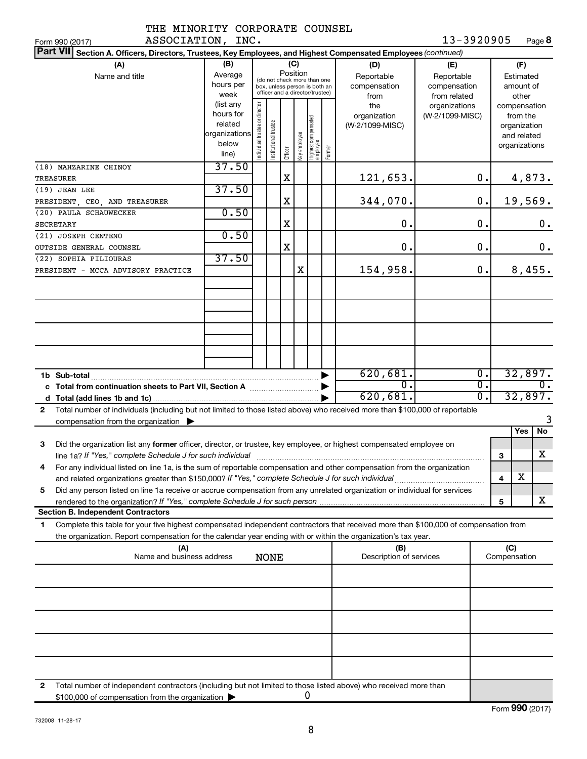|             | THE MINORITY CORPORATE COUNSEL |  |
|-------------|--------------------------------|--|
| 7.772777777 |                                |  |

**8** 13-3920905

| ASSOCIATION, INC.<br>Form 990 (2017)                                                                                                                                                                                                                         |                                                                      |                                                                                                                    |                      |         |              |                                 |        |                                           | 13-3920905                                                         |               |                     |                                                                          | Page <b>8</b>               |
|--------------------------------------------------------------------------------------------------------------------------------------------------------------------------------------------------------------------------------------------------------------|----------------------------------------------------------------------|--------------------------------------------------------------------------------------------------------------------|----------------------|---------|--------------|---------------------------------|--------|-------------------------------------------|--------------------------------------------------------------------|---------------|---------------------|--------------------------------------------------------------------------|-----------------------------|
| <b>Part VII</b><br>Section A. Officers, Directors, Trustees, Key Employees, and Highest Compensated Employees (continued)                                                                                                                                    |                                                                      |                                                                                                                    |                      |         |              |                                 |        |                                           |                                                                    |               |                     |                                                                          |                             |
| (A)<br>Name and title                                                                                                                                                                                                                                        | (B)<br>Average<br>hours per<br>week                                  | (C)<br>Position<br>(do not check more than one<br>box, unless person is both an<br>officer and a director/trustee) |                      |         |              |                                 |        | (D)<br>Reportable<br>compensation<br>from | (E)<br>Reportable<br>compensation<br>from related<br>organizations |               |                     | (F)<br>Estimated<br>amount of<br>other                                   |                             |
|                                                                                                                                                                                                                                                              | (list any<br>hours for<br>related<br>organizations<br>below<br>line) | or director<br>Individual trustee                                                                                  | nstitutional trustee | Officer | Key employee | Highest compensated<br>employee | Former | the<br>organization<br>(W-2/1099-MISC)    | (W-2/1099-MISC)                                                    |               |                     | compensation<br>from the<br>organization<br>and related<br>organizations |                             |
| (18) MAHZARINE CHINOY<br>TREASURER                                                                                                                                                                                                                           | 37.50                                                                |                                                                                                                    |                      | X       |              |                                 |        | 121,653.                                  |                                                                    | $\mathbf 0$ . |                     |                                                                          | 4,873.                      |
| (19) JEAN LEE<br>PRESIDENT, CEO, AND TREASURER                                                                                                                                                                                                               | 37.50                                                                |                                                                                                                    |                      | X       |              |                                 |        | 344,070.                                  |                                                                    | 0.            |                     | 19,569.                                                                  |                             |
| (20) PAULA SCHAUWECKER<br><b>SECRETARY</b>                                                                                                                                                                                                                   | 0.50                                                                 |                                                                                                                    |                      | X       |              |                                 |        | 0.                                        |                                                                    | 0.            |                     |                                                                          | 0.                          |
| (21) JOSEPH CENTENO<br>OUTSIDE GENERAL COUNSEL                                                                                                                                                                                                               | 0.50                                                                 |                                                                                                                    |                      | X       |              |                                 |        | О.                                        |                                                                    | $\mathbf 0$ . |                     |                                                                          | 0.                          |
| (22) SOPHIA PILIOURAS<br>PRESIDENT - MCCA ADVISORY PRACTICE                                                                                                                                                                                                  | 37.50                                                                |                                                                                                                    |                      |         | X            |                                 |        | 154,958.                                  |                                                                    | 0.            |                     | 8,455.                                                                   |                             |
|                                                                                                                                                                                                                                                              |                                                                      |                                                                                                                    |                      |         |              |                                 |        |                                           |                                                                    |               |                     |                                                                          |                             |
|                                                                                                                                                                                                                                                              |                                                                      |                                                                                                                    |                      |         |              |                                 |        |                                           |                                                                    |               |                     |                                                                          |                             |
|                                                                                                                                                                                                                                                              |                                                                      |                                                                                                                    |                      |         |              |                                 |        |                                           |                                                                    |               |                     |                                                                          |                             |
|                                                                                                                                                                                                                                                              |                                                                      |                                                                                                                    |                      |         |              |                                 |        | 620,681.<br>0.                            |                                                                    | Ο.<br>σ.      |                     |                                                                          | 32,897.<br>$\overline{0}$ . |
| Total number of individuals (including but not limited to those listed above) who received more than \$100,000 of reportable<br>$\mathbf{2}$                                                                                                                 |                                                                      |                                                                                                                    |                      |         |              |                                 |        | 620,681.                                  |                                                                    | σ.            |                     | 32,897.                                                                  |                             |
| compensation from the organization $\blacktriangleright$                                                                                                                                                                                                     |                                                                      |                                                                                                                    |                      |         |              |                                 |        |                                           |                                                                    |               |                     | Yes                                                                      | 3<br>No                     |
| Did the organization list any former officer, director, or trustee, key employee, or highest compensated employee on<br>3                                                                                                                                    |                                                                      |                                                                                                                    |                      |         |              |                                 |        |                                           |                                                                    |               | 3                   |                                                                          | x                           |
| For any individual listed on line 1a, is the sum of reportable compensation and other compensation from the organization                                                                                                                                     |                                                                      |                                                                                                                    |                      |         |              |                                 |        |                                           |                                                                    |               | 4                   | X                                                                        |                             |
| Did any person listed on line 1a receive or accrue compensation from any unrelated organization or individual for services<br>5                                                                                                                              |                                                                      |                                                                                                                    |                      |         |              |                                 |        |                                           |                                                                    |               | 5                   |                                                                          | х                           |
| <b>Section B. Independent Contractors</b>                                                                                                                                                                                                                    |                                                                      |                                                                                                                    |                      |         |              |                                 |        |                                           |                                                                    |               |                     |                                                                          |                             |
| Complete this table for your five highest compensated independent contractors that received more than \$100,000 of compensation from<br>1.<br>the organization. Report compensation for the calendar year ending with or within the organization's tax year. |                                                                      |                                                                                                                    |                      |         |              |                                 |        |                                           |                                                                    |               |                     |                                                                          |                             |
| (A)<br>Name and business address                                                                                                                                                                                                                             |                                                                      |                                                                                                                    | <b>NONE</b>          |         |              |                                 |        | (B)<br>Description of services            |                                                                    |               | (C)<br>Compensation |                                                                          |                             |
|                                                                                                                                                                                                                                                              |                                                                      |                                                                                                                    |                      |         |              |                                 |        |                                           |                                                                    |               |                     |                                                                          |                             |
|                                                                                                                                                                                                                                                              |                                                                      |                                                                                                                    |                      |         |              |                                 |        |                                           |                                                                    |               |                     |                                                                          |                             |
|                                                                                                                                                                                                                                                              |                                                                      |                                                                                                                    |                      |         |              |                                 |        |                                           |                                                                    |               |                     |                                                                          |                             |
|                                                                                                                                                                                                                                                              |                                                                      |                                                                                                                    |                      |         |              |                                 |        |                                           |                                                                    |               |                     |                                                                          |                             |
|                                                                                                                                                                                                                                                              |                                                                      |                                                                                                                    |                      |         |              |                                 |        |                                           |                                                                    |               |                     |                                                                          |                             |
| Total number of independent contractors (including but not limited to those listed above) who received more than<br>2<br>\$100,000 of compensation from the organization                                                                                     |                                                                      |                                                                                                                    |                      |         |              | 0                               |        |                                           |                                                                    |               |                     |                                                                          |                             |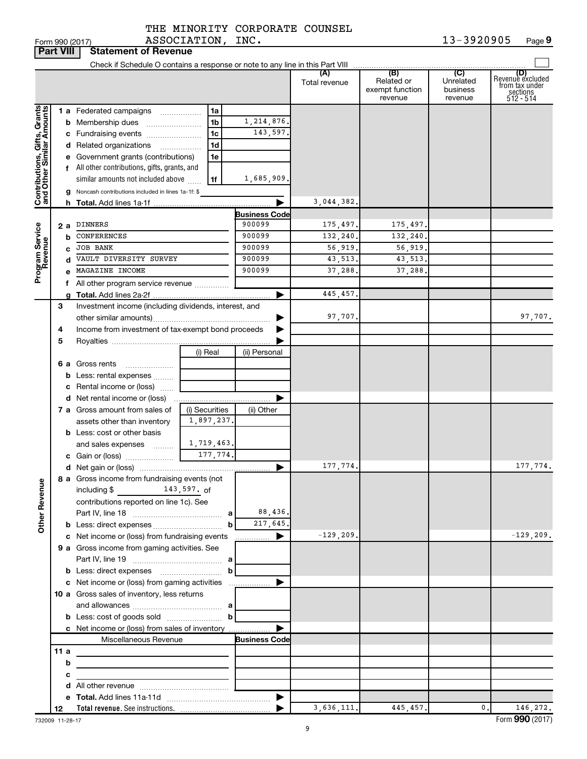| THE MINORITY CORPORATE COUNSEL |  |
|--------------------------------|--|

| <b>Part VIII</b><br><b>Statement of Revenue</b>                                         |               |                                                                                                                                                                                                                                                                                                                                                                                                                                                          |                                                               |                                                                                                                  |                                                                     |                                                      |                                         |                                                                    |  |
|-----------------------------------------------------------------------------------------|---------------|----------------------------------------------------------------------------------------------------------------------------------------------------------------------------------------------------------------------------------------------------------------------------------------------------------------------------------------------------------------------------------------------------------------------------------------------------------|---------------------------------------------------------------|------------------------------------------------------------------------------------------------------------------|---------------------------------------------------------------------|------------------------------------------------------|-----------------------------------------|--------------------------------------------------------------------|--|
|                                                                                         |               |                                                                                                                                                                                                                                                                                                                                                                                                                                                          |                                                               |                                                                                                                  |                                                                     |                                                      |                                         |                                                                    |  |
|                                                                                         |               |                                                                                                                                                                                                                                                                                                                                                                                                                                                          |                                                               |                                                                                                                  | (A)<br>Total revenue                                                | (B)<br>Related or<br>exempt function<br>revenue      | (C)<br>Unrelated<br>business<br>revenue | (D)<br>Revenue excluded<br>from tax under<br>sections<br>512 - 514 |  |
| Contributions, Gifts, Grants<br>and Other Similar Amounts<br>Program Service<br>Revenue | b<br>c        | <b>1 a</b> Federated campaigns<br><b>b</b> Membership dues<br>c Fundraising events<br>d Related organizations<br>.<br>e Government grants (contributions)<br>f All other contributions, gifts, grants, and<br>similar amounts not included above<br>g Noncash contributions included in lines 1a-1f: \$<br>2 a DINNERS<br><b>CONFERENCES</b><br><b>JOB BANK</b><br>VAULT DIVERSITY SURVEY<br>d<br>MAGAZINE INCOME<br>f All other program service revenue | 1a<br>1b<br>1c<br>1d<br>1e<br>1f                              | 1, 214, 876.<br>143,597.<br>1,685,909.<br><b>Business Code</b><br>900099<br>900099<br>900099<br>900099<br>900099 | 3,044,382.<br>175,497.<br>132,240.<br>56,919.<br>43,513.<br>37,288. | 175,497.<br>132,240.<br>56,919.<br>43,513.<br>37,288 |                                         |                                                                    |  |
|                                                                                         | 3<br>4        | Investment income (including dividends, interest, and<br>Income from investment of tax-exempt bond proceeds                                                                                                                                                                                                                                                                                                                                              |                                                               |                                                                                                                  | 445,457.<br>97,707.                                                 |                                                      |                                         | 97,707.                                                            |  |
|                                                                                         | 5             | 6 a Gross rents<br><b>b</b> Less: rental expenses<br>c Rental income or (loss)                                                                                                                                                                                                                                                                                                                                                                           | (i) Real                                                      | (ii) Personal                                                                                                    |                                                                     |                                                      |                                         |                                                                    |  |
|                                                                                         |               | 7 a Gross amount from sales of<br>assets other than inventory<br><b>b</b> Less: cost or other basis                                                                                                                                                                                                                                                                                                                                                      | (i) Securities<br>1,897,237.                                  | (ii) Other                                                                                                       |                                                                     |                                                      |                                         |                                                                    |  |
|                                                                                         |               | and sales expenses<br>8 a Gross income from fundraising events (not                                                                                                                                                                                                                                                                                                                                                                                      | 1,719,463.<br>177,774.                                        | ▶                                                                                                                | 177,774.                                                            |                                                      |                                         | 177,774.                                                           |  |
| <b>Other Revenue</b>                                                                    |               | including \$                                                                                                                                                                                                                                                                                                                                                                                                                                             | $143,597.$ of<br>contributions reported on line 1c). See<br>b |                                                                                                                  |                                                                     |                                                      |                                         |                                                                    |  |
|                                                                                         |               | c Net income or (loss) from fundraising events<br>9 a Gross income from gaming activities. See                                                                                                                                                                                                                                                                                                                                                           |                                                               | ▶<br>.                                                                                                           | $-129, 209.$                                                        |                                                      |                                         | $-129, 209.$                                                       |  |
|                                                                                         |               | c Net income or (loss) from gaming activities<br>10 a Gross sales of inventory, less returns                                                                                                                                                                                                                                                                                                                                                             | b                                                             |                                                                                                                  |                                                                     |                                                      |                                         |                                                                    |  |
|                                                                                         |               | c Net income or (loss) from sales of inventory<br>Miscellaneous Revenue                                                                                                                                                                                                                                                                                                                                                                                  |                                                               | <b>Business Code</b>                                                                                             |                                                                     |                                                      |                                         |                                                                    |  |
|                                                                                         | 11a<br>b<br>с | <u> 1989 - Johann Stein, mars an deus Amerikaansk kommunister (</u><br>the control of the control of the control of the control of the                                                                                                                                                                                                                                                                                                                   |                                                               |                                                                                                                  |                                                                     |                                                      |                                         |                                                                    |  |
|                                                                                         |               |                                                                                                                                                                                                                                                                                                                                                                                                                                                          |                                                               | $\blacktriangleright$                                                                                            |                                                                     |                                                      |                                         |                                                                    |  |
|                                                                                         | 12            |                                                                                                                                                                                                                                                                                                                                                                                                                                                          |                                                               |                                                                                                                  | 3,636,111.                                                          | 445,457.                                             | 0.                                      | 146,272.                                                           |  |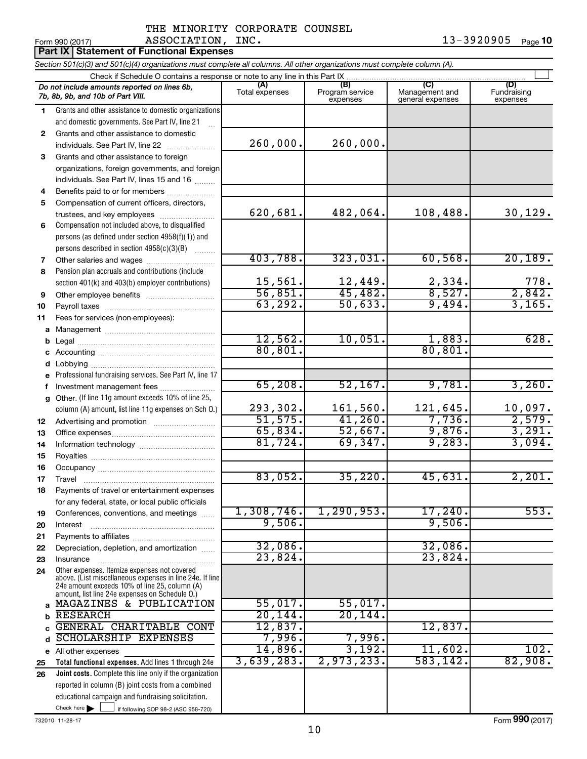13-3920905 Page 10

|                 |              | IAL MINORITI CORPORATE COUNSEL |            |      |
|-----------------|--------------|--------------------------------|------------|------|
| Form 990 (2017) | ASSOCIATION, | INC.                           | 13-3920905 | Page |

| <b>Part IX Statement of Functional Expenses</b>                                                                            |                                                                                                                                                             |                       |                                    |                                           |                                |  |  |  |  |
|----------------------------------------------------------------------------------------------------------------------------|-------------------------------------------------------------------------------------------------------------------------------------------------------------|-----------------------|------------------------------------|-------------------------------------------|--------------------------------|--|--|--|--|
| Section 501(c)(3) and 501(c)(4) organizations must complete all columns. All other organizations must complete column (A). |                                                                                                                                                             |                       |                                    |                                           |                                |  |  |  |  |
|                                                                                                                            | Check if Schedule O contains a response or note to any line in this Part IX.                                                                                |                       |                                    |                                           |                                |  |  |  |  |
|                                                                                                                            | Do not include amounts reported on lines 6b,<br>7b, 8b, 9b, and 10b of Part VIII.                                                                           | (A)<br>Total expenses | (B)<br>Program service<br>expenses | (C)<br>Management and<br>general expenses | (D)<br>Fundraising<br>expenses |  |  |  |  |
| 1                                                                                                                          | Grants and other assistance to domestic organizations                                                                                                       |                       |                                    |                                           |                                |  |  |  |  |
|                                                                                                                            | and domestic governments. See Part IV, line 21                                                                                                              |                       |                                    |                                           |                                |  |  |  |  |
| 2                                                                                                                          | Grants and other assistance to domestic                                                                                                                     |                       | 260,000.                           |                                           |                                |  |  |  |  |
|                                                                                                                            | individuals. See Part IV, line 22                                                                                                                           | 260,000.              |                                    |                                           |                                |  |  |  |  |
| 3                                                                                                                          | Grants and other assistance to foreign                                                                                                                      |                       |                                    |                                           |                                |  |  |  |  |
|                                                                                                                            | organizations, foreign governments, and foreign                                                                                                             |                       |                                    |                                           |                                |  |  |  |  |
|                                                                                                                            | individuals. See Part IV, lines 15 and 16                                                                                                                   |                       |                                    |                                           |                                |  |  |  |  |
| 4<br>5                                                                                                                     | Benefits paid to or for members                                                                                                                             |                       |                                    |                                           |                                |  |  |  |  |
|                                                                                                                            | Compensation of current officers, directors,<br>trustees, and key employees                                                                                 | 620,681.              | 482,064.                           | 108,488.                                  | 30, 129.                       |  |  |  |  |
| 6                                                                                                                          | Compensation not included above, to disqualified                                                                                                            |                       |                                    |                                           |                                |  |  |  |  |
|                                                                                                                            | persons (as defined under section 4958(f)(1)) and                                                                                                           |                       |                                    |                                           |                                |  |  |  |  |
|                                                                                                                            | persons described in section 4958(c)(3)(B)                                                                                                                  |                       |                                    |                                           |                                |  |  |  |  |
| 7                                                                                                                          |                                                                                                                                                             | 403,788.              | 323,031.                           | 60,568.                                   | 20, 189.                       |  |  |  |  |
| 8                                                                                                                          | Pension plan accruals and contributions (include                                                                                                            |                       |                                    |                                           |                                |  |  |  |  |
|                                                                                                                            | section 401(k) and 403(b) employer contributions)                                                                                                           | 15,561.               |                                    |                                           |                                |  |  |  |  |
| 9                                                                                                                          |                                                                                                                                                             | 56,851.               | $\frac{12,449}{45,482}$            | $\frac{2,334}{8,527}$                     | $\frac{778}{2,842}$            |  |  |  |  |
| 10                                                                                                                         |                                                                                                                                                             | 63, 292.              | 50,633.                            | 9,494.                                    | 3,165.                         |  |  |  |  |
| 11                                                                                                                         | Fees for services (non-employees):                                                                                                                          |                       |                                    |                                           |                                |  |  |  |  |
| a                                                                                                                          |                                                                                                                                                             |                       |                                    |                                           |                                |  |  |  |  |
| b                                                                                                                          |                                                                                                                                                             | 12,562.               | 10,051.                            | 1,883.                                    | 628.                           |  |  |  |  |
| С                                                                                                                          |                                                                                                                                                             | 80, 801.              |                                    | 80, 801.                                  |                                |  |  |  |  |
| d                                                                                                                          |                                                                                                                                                             |                       |                                    |                                           |                                |  |  |  |  |
| е                                                                                                                          | Professional fundraising services. See Part IV, line 17                                                                                                     |                       |                                    |                                           |                                |  |  |  |  |
| f                                                                                                                          | Investment management fees                                                                                                                                  | 65,208.               | 52, 167.                           | 9,781.                                    | 3,260.                         |  |  |  |  |
| g                                                                                                                          | Other. (If line 11g amount exceeds 10% of line 25,                                                                                                          |                       |                                    |                                           |                                |  |  |  |  |
|                                                                                                                            | column (A) amount, list line 11g expenses on Sch O.)                                                                                                        | 293,302.              | 161,560.                           | 121,645.                                  | $\frac{10,097.}{2,579.}$       |  |  |  |  |
| 12                                                                                                                         |                                                                                                                                                             | 51, 575.              | 41,260.                            | 7,736.                                    |                                |  |  |  |  |
| 13                                                                                                                         |                                                                                                                                                             | 65,834.               | 52,667.                            | 9,876.                                    | 3,291.                         |  |  |  |  |
| 14                                                                                                                         |                                                                                                                                                             | 81,724.               | 69,347.                            | 9,283.                                    | 3,094.                         |  |  |  |  |
| 15                                                                                                                         |                                                                                                                                                             |                       |                                    |                                           |                                |  |  |  |  |
| 16                                                                                                                         |                                                                                                                                                             |                       |                                    |                                           |                                |  |  |  |  |
| 17                                                                                                                         | Travel                                                                                                                                                      | 83,052.               | $35,220$ .                         | 45,631.                                   | 2,201.                         |  |  |  |  |
| 18                                                                                                                         | Payments of travel or entertainment expenses                                                                                                                |                       |                                    |                                           |                                |  |  |  |  |
|                                                                                                                            | for any federal, state, or local public officials                                                                                                           | 1,308,746.            | 1, 290, 953.                       | 17,240.                                   | 553.                           |  |  |  |  |
| 19                                                                                                                         | Conferences, conventions, and meetings                                                                                                                      | 9,506.                |                                    | 9,506.                                    |                                |  |  |  |  |
| 20                                                                                                                         | Interest                                                                                                                                                    |                       |                                    |                                           |                                |  |  |  |  |
| 21                                                                                                                         |                                                                                                                                                             | 32,086.               |                                    | 32,086.                                   |                                |  |  |  |  |
| 22<br>23                                                                                                                   | Depreciation, depletion, and amortization<br>Insurance                                                                                                      | 23,824.               |                                    | 23,824.                                   |                                |  |  |  |  |
| 24                                                                                                                         | Other expenses. Itemize expenses not covered                                                                                                                |                       |                                    |                                           |                                |  |  |  |  |
|                                                                                                                            | above. (List miscellaneous expenses in line 24e. If line<br>24e amount exceeds 10% of line 25, column (A)<br>amount, list line 24e expenses on Schedule O.) |                       |                                    |                                           |                                |  |  |  |  |
| $\mathbf{a}$                                                                                                               | MAGAZINES & PUBLICATION                                                                                                                                     | 55,017.               | 55,017.                            |                                           |                                |  |  |  |  |
| b                                                                                                                          | <b>RESEARCH</b>                                                                                                                                             | 20, 144.              | 20, 144.                           |                                           |                                |  |  |  |  |
| C                                                                                                                          | GENERAL CHARITABLE CONT                                                                                                                                     | 12,837.               |                                    | 12,837.                                   |                                |  |  |  |  |
| d                                                                                                                          | <b>SCHOLARSHIP EXPENSES</b>                                                                                                                                 | 7,996.                | 7,996.                             |                                           |                                |  |  |  |  |
|                                                                                                                            | e All other expenses                                                                                                                                        | 14,896.               | 3,192.                             | 11,602.                                   | 102.                           |  |  |  |  |
| 25                                                                                                                         | Total functional expenses. Add lines 1 through 24e                                                                                                          | 3,639,283.            | 2,973,233.                         | 583,142.                                  | 82,908.                        |  |  |  |  |
| 26                                                                                                                         | Joint costs. Complete this line only if the organization                                                                                                    |                       |                                    |                                           |                                |  |  |  |  |
|                                                                                                                            | reported in column (B) joint costs from a combined                                                                                                          |                       |                                    |                                           |                                |  |  |  |  |
|                                                                                                                            | educational campaign and fundraising solicitation.                                                                                                          |                       |                                    |                                           |                                |  |  |  |  |
|                                                                                                                            | Check here $\blacktriangleright$<br>if following SOP 98-2 (ASC 958-720)                                                                                     |                       |                                    |                                           |                                |  |  |  |  |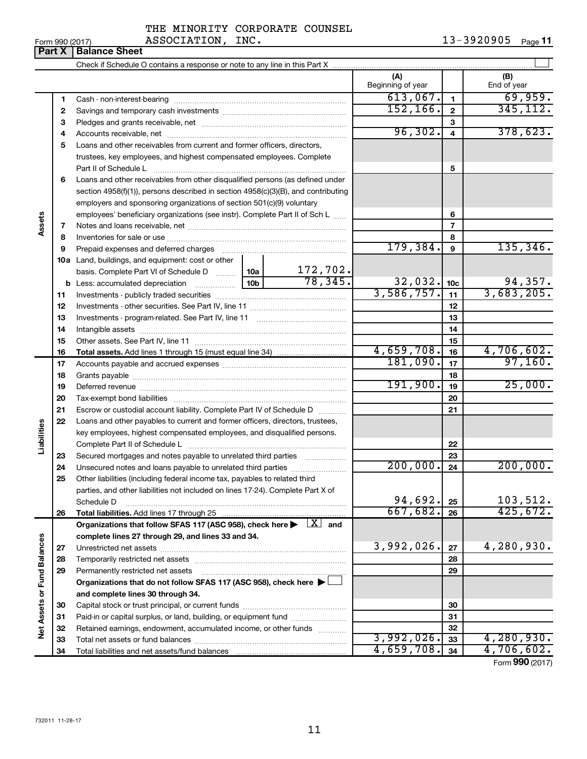| THE MINORITY CORPORATE COUNSEL |  |
|--------------------------------|--|
| ASSOCIATION, INC.              |  |

 $_{\rm Form}$   $_{990}$  (2017)  $_{\rm Page}$  <code>11</code>

|                             | Part X   | <b>Balance Sheet</b>                                                                                                                                                                                                           |                          |                 |                    |
|-----------------------------|----------|--------------------------------------------------------------------------------------------------------------------------------------------------------------------------------------------------------------------------------|--------------------------|-----------------|--------------------|
|                             |          |                                                                                                                                                                                                                                |                          |                 |                    |
|                             |          |                                                                                                                                                                                                                                | (A)<br>Beginning of year |                 | (B)<br>End of year |
|                             | 1        |                                                                                                                                                                                                                                | 613,067.                 | 1               | 69,959.            |
|                             | 2        |                                                                                                                                                                                                                                | 152, 166.                | $\mathbf{2}$    | 345, 112.          |
|                             | 3        |                                                                                                                                                                                                                                |                          | 3               |                    |
|                             | 4        |                                                                                                                                                                                                                                | 96,302.                  | 4               | 378,623.           |
|                             | 5        | Loans and other receivables from current and former officers, directors,                                                                                                                                                       |                          |                 |                    |
|                             |          | trustees, key employees, and highest compensated employees. Complete                                                                                                                                                           |                          |                 |                    |
|                             |          | Part II of Schedule L                                                                                                                                                                                                          |                          | 5               |                    |
|                             | 6        | Loans and other receivables from other disqualified persons (as defined under                                                                                                                                                  |                          |                 |                    |
|                             |          | section $4958(f)(1)$ , persons described in section $4958(c)(3)(B)$ , and contributing                                                                                                                                         |                          |                 |                    |
|                             |          | employers and sponsoring organizations of section 501(c)(9) voluntary                                                                                                                                                          |                          |                 |                    |
|                             |          | employees' beneficiary organizations (see instr). Complete Part II of Sch L                                                                                                                                                    |                          | 6               |                    |
| Assets                      | 7        |                                                                                                                                                                                                                                |                          | 7               |                    |
|                             | 8        |                                                                                                                                                                                                                                |                          | 8               |                    |
|                             | 9        | Prepaid expenses and deferred charges [11] matter continuum matter and referred charges [11] matter continuum matter continuum matter and continuum matter continuum matter continuum matter continuum matter continuum matter | 179,384.                 | 9               | 135, 346.          |
|                             |          | 10a Land, buildings, and equipment: cost or other                                                                                                                                                                              |                          |                 |                    |
|                             |          | $\frac{172,702}{78,345}$<br>basis. Complete Part VI of Schedule D  10a                                                                                                                                                         |                          |                 |                    |
|                             |          |                                                                                                                                                                                                                                | 32,032.                  | 10 <sub>c</sub> | 94,357.            |
|                             | 11       |                                                                                                                                                                                                                                | 3,586,757.               | 11              | 3,683,205.         |
|                             | 12       |                                                                                                                                                                                                                                |                          | 12              |                    |
|                             | 13       |                                                                                                                                                                                                                                |                          | 13              |                    |
|                             | 14       |                                                                                                                                                                                                                                |                          | 14              |                    |
|                             | 15<br>16 |                                                                                                                                                                                                                                | 4,659,708.               | 15<br>16        | 4,706,602.         |
|                             | 17       |                                                                                                                                                                                                                                | 181,090.                 | 17              | 97,160.            |
|                             | 18       |                                                                                                                                                                                                                                |                          | 18              |                    |
|                             | 19       |                                                                                                                                                                                                                                | 191,900.                 | 19              | 25,000.            |
|                             | 20       |                                                                                                                                                                                                                                |                          | 20              |                    |
|                             | 21       | Escrow or custodial account liability. Complete Part IV of Schedule D                                                                                                                                                          |                          | 21              |                    |
|                             | 22       | Loans and other payables to current and former officers, directors, trustees,                                                                                                                                                  |                          |                 |                    |
| Liabilities                 |          | key employees, highest compensated employees, and disqualified persons.                                                                                                                                                        |                          |                 |                    |
|                             |          |                                                                                                                                                                                                                                |                          | 22              |                    |
|                             | 23       | Secured mortgages and notes payable to unrelated third parties <i>manumum</i>                                                                                                                                                  |                          | 23              |                    |
|                             | 24       |                                                                                                                                                                                                                                | 200,000.                 | 24              | 200,000.           |
|                             | 25       | Other liabilities (including federal income tax, payables to related third                                                                                                                                                     |                          |                 |                    |
|                             |          | parties, and other liabilities not included on lines 17-24). Complete Part X of                                                                                                                                                |                          |                 |                    |
|                             |          | Schedule D                                                                                                                                                                                                                     | 94,692.                  | 25              | 103,512.           |
|                             | 26       | Total liabilities. Add lines 17 through 25                                                                                                                                                                                     | 667,682.                 | 26              | 425,672.           |
|                             |          | Organizations that follow SFAS 117 (ASC 958), check here $\blacktriangleright \begin{array}{c} \boxed{X} \\ \end{array}$ and                                                                                                   |                          |                 |                    |
|                             |          | complete lines 27 through 29, and lines 33 and 34.                                                                                                                                                                             |                          |                 |                    |
|                             | 27       |                                                                                                                                                                                                                                | 3,992,026.               | 27              | 4,280,930.         |
|                             | 28       |                                                                                                                                                                                                                                |                          | 28              |                    |
|                             | 29       | Permanently restricted net assets                                                                                                                                                                                              |                          | 29              |                    |
|                             |          | Organizations that do not follow SFAS 117 (ASC 958), check here $\blacktriangleright$                                                                                                                                          |                          |                 |                    |
| Net Assets or Fund Balances |          | and complete lines 30 through 34.                                                                                                                                                                                              |                          |                 |                    |
|                             | 30       |                                                                                                                                                                                                                                |                          | 30              |                    |
|                             | 31       | Paid-in or capital surplus, or land, building, or equipment fund                                                                                                                                                               |                          | 31              |                    |
|                             | 32       | Retained earnings, endowment, accumulated income, or other funds                                                                                                                                                               | 3,992,026.               | 32              | 4,280,930.         |
|                             | 33       |                                                                                                                                                                                                                                | 4,659,708.               | 33<br>34        | 4,706,602.         |
|                             | 34       |                                                                                                                                                                                                                                |                          |                 |                    |

Form (2017) **990**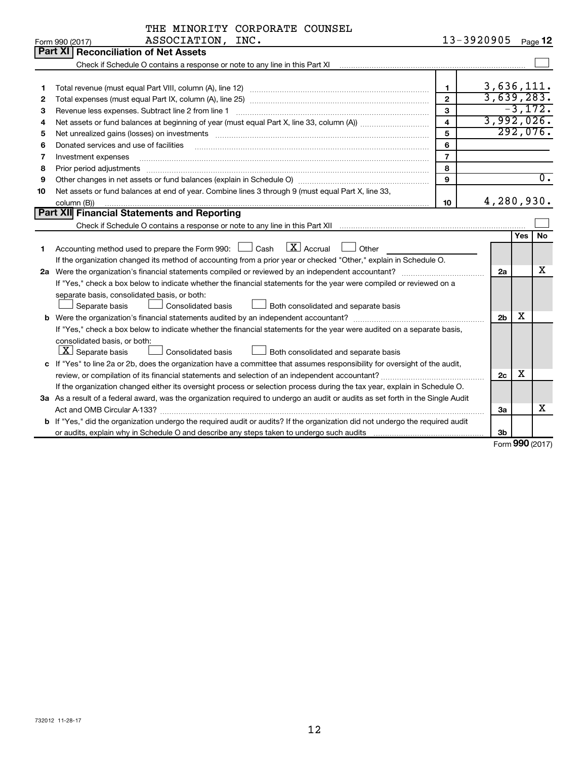|    | THE MINORITY CORPORATE COUNSEL                                                                                                  |                |                |     |                  |  |  |
|----|---------------------------------------------------------------------------------------------------------------------------------|----------------|----------------|-----|------------------|--|--|
|    | ASSOCIATION, INC.<br>Form 990 (2017)                                                                                            |                | 13-3920905     |     | Page 12          |  |  |
|    | <b>Reconciliation of Net Assets</b><br>Part XI                                                                                  |                |                |     |                  |  |  |
|    |                                                                                                                                 |                |                |     |                  |  |  |
|    |                                                                                                                                 |                |                |     |                  |  |  |
| 1  | Total revenue (must equal Part VIII, column (A), line 12)                                                                       | $\mathbf{1}$   | 3,636,111.     |     |                  |  |  |
| 2  |                                                                                                                                 | $\overline{2}$ | 3,639,283.     |     |                  |  |  |
| з  | Revenue less expenses. Subtract line 2 from line 1                                                                              | $\mathbf{3}$   |                |     | $-3,172.$        |  |  |
| 4  |                                                                                                                                 | 4              | 3,992,026.     |     |                  |  |  |
| 5  |                                                                                                                                 | 5              |                |     | 292,076.         |  |  |
| 6  | Donated services and use of facilities                                                                                          | 6              |                |     |                  |  |  |
| 7  | Investment expenses                                                                                                             | $\overline{7}$ |                |     |                  |  |  |
| 8  | Prior period adjustments                                                                                                        | 8              |                |     |                  |  |  |
| 9  |                                                                                                                                 | 9              |                |     | $\overline{0}$ . |  |  |
| 10 | Net assets or fund balances at end of year. Combine lines 3 through 9 (must equal Part X, line 33,                              |                |                |     |                  |  |  |
|    | 4,280,930.<br>10<br>column (B))                                                                                                 |                |                |     |                  |  |  |
|    | <b>Part XII Financial Statements and Reporting</b>                                                                              |                |                |     |                  |  |  |
|    |                                                                                                                                 |                |                |     |                  |  |  |
|    |                                                                                                                                 |                |                | Yes | l No             |  |  |
| 1  | $X$ Accrual<br>Accounting method used to prepare the Form 990: $\Box$ Cash<br>Other                                             |                |                |     |                  |  |  |
|    | If the organization changed its method of accounting from a prior year or checked "Other," explain in Schedule O.               |                |                |     |                  |  |  |
|    |                                                                                                                                 |                | 2a             |     | х                |  |  |
|    | If "Yes," check a box below to indicate whether the financial statements for the year were compiled or reviewed on a            |                |                |     |                  |  |  |
|    | separate basis, consolidated basis, or both:                                                                                    |                |                |     |                  |  |  |
|    | <b>Consolidated basis</b><br>Separate basis<br>Both consolidated and separate basis                                             |                |                |     |                  |  |  |
|    |                                                                                                                                 |                | 2 <sub>b</sub> | х   |                  |  |  |
|    | If "Yes," check a box below to indicate whether the financial statements for the year were audited on a separate basis,         |                |                |     |                  |  |  |
|    | consolidated basis, or both:                                                                                                    |                |                |     |                  |  |  |
|    | $X$ Separate basis<br><b>Consolidated basis</b><br>Both consolidated and separate basis                                         |                |                |     |                  |  |  |
|    | c If "Yes" to line 2a or 2b, does the organization have a committee that assumes responsibility for oversight of the audit,     |                |                |     |                  |  |  |
|    | review, or compilation of its financial statements and selection of an independent accountant?                                  |                | 2c             | х   |                  |  |  |
|    | If the organization changed either its oversight process or selection process during the tax year, explain in Schedule O.       |                |                |     |                  |  |  |
|    | 3a As a result of a federal award, was the organization required to undergo an audit or audits as set forth in the Single Audit |                |                |     |                  |  |  |
|    |                                                                                                                                 |                | За             |     | x                |  |  |
|    | b If "Yes," did the organization undergo the required audit or audits? If the organization did not undergo the required audit   |                |                |     |                  |  |  |
|    |                                                                                                                                 |                | 3b             |     |                  |  |  |

Form (2017) **990**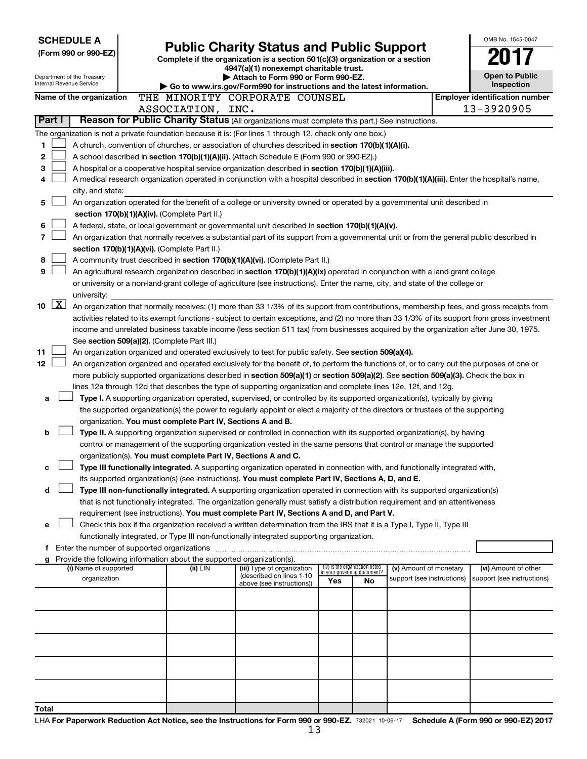|                          |                                                                                                                                            | <b>SCHEDULE A</b><br>(Form 990 or 990-EZ)<br>Department of the Treasury |  | <b>Public Charity Status and Public Support</b><br>Complete if the organization is a section 501(c)(3) organization or a section<br>4947(a)(1) nonexempt charitable trust.<br>Attach to Form 990 or Form 990-EZ.                 |  |                                                        |                                 |                             |                                                      |  | OMB No. 1545-0047<br><b>Open to Public</b>                                                                                                                                                                                                                                             |
|--------------------------|--------------------------------------------------------------------------------------------------------------------------------------------|-------------------------------------------------------------------------|--|----------------------------------------------------------------------------------------------------------------------------------------------------------------------------------------------------------------------------------|--|--------------------------------------------------------|---------------------------------|-----------------------------|------------------------------------------------------|--|----------------------------------------------------------------------------------------------------------------------------------------------------------------------------------------------------------------------------------------------------------------------------------------|
| Internal Revenue Service |                                                                                                                                            |                                                                         |  | $\triangleright$ Go to www.irs.gov/Form990 for instructions and the latest information.                                                                                                                                          |  |                                                        |                                 |                             |                                                      |  | Inspection                                                                                                                                                                                                                                                                             |
|                          |                                                                                                                                            | Name of the organization                                                |  | THE MINORITY CORPORATE COUNSEL<br>ASSOCIATION, INC.                                                                                                                                                                              |  |                                                        |                                 |                             |                                                      |  | <b>Employer identification number</b><br>13-3920905                                                                                                                                                                                                                                    |
|                          | Part I                                                                                                                                     |                                                                         |  | Reason for Public Charity Status (All organizations must complete this part.) See instructions.                                                                                                                                  |  |                                                        |                                 |                             |                                                      |  |                                                                                                                                                                                                                                                                                        |
|                          |                                                                                                                                            |                                                                         |  | The organization is not a private foundation because it is: (For lines 1 through 12, check only one box.)                                                                                                                        |  |                                                        |                                 |                             |                                                      |  |                                                                                                                                                                                                                                                                                        |
| 1                        |                                                                                                                                            |                                                                         |  | A church, convention of churches, or association of churches described in section 170(b)(1)(A)(i).                                                                                                                               |  |                                                        |                                 |                             |                                                      |  |                                                                                                                                                                                                                                                                                        |
| 2                        |                                                                                                                                            |                                                                         |  | A school described in section 170(b)(1)(A)(ii). (Attach Schedule E (Form 990 or 990-EZ).)                                                                                                                                        |  |                                                        |                                 |                             |                                                      |  |                                                                                                                                                                                                                                                                                        |
| 3                        | A hospital or a cooperative hospital service organization described in section 170(b)(1)(A)(iii).                                          |                                                                         |  |                                                                                                                                                                                                                                  |  |                                                        |                                 |                             |                                                      |  |                                                                                                                                                                                                                                                                                        |
| 4                        | A medical research organization operated in conjunction with a hospital described in section 170(b)(1)(A)(iii). Enter the hospital's name, |                                                                         |  |                                                                                                                                                                                                                                  |  |                                                        |                                 |                             |                                                      |  |                                                                                                                                                                                                                                                                                        |
|                          |                                                                                                                                            | city, and state:                                                        |  |                                                                                                                                                                                                                                  |  |                                                        |                                 |                             |                                                      |  |                                                                                                                                                                                                                                                                                        |
| 5                        |                                                                                                                                            |                                                                         |  | An organization operated for the benefit of a college or university owned or operated by a governmental unit described in                                                                                                        |  |                                                        |                                 |                             |                                                      |  |                                                                                                                                                                                                                                                                                        |
|                          |                                                                                                                                            |                                                                         |  | section 170(b)(1)(A)(iv). (Complete Part II.)                                                                                                                                                                                    |  |                                                        |                                 |                             |                                                      |  |                                                                                                                                                                                                                                                                                        |
| 6                        |                                                                                                                                            |                                                                         |  | A federal, state, or local government or governmental unit described in section 170(b)(1)(A)(v).                                                                                                                                 |  |                                                        |                                 |                             |                                                      |  |                                                                                                                                                                                                                                                                                        |
| 7                        |                                                                                                                                            |                                                                         |  |                                                                                                                                                                                                                                  |  |                                                        |                                 |                             |                                                      |  | An organization that normally receives a substantial part of its support from a governmental unit or from the general public described in                                                                                                                                              |
|                          |                                                                                                                                            |                                                                         |  | section 170(b)(1)(A)(vi). (Complete Part II.)                                                                                                                                                                                    |  |                                                        |                                 |                             |                                                      |  |                                                                                                                                                                                                                                                                                        |
| 8                        |                                                                                                                                            |                                                                         |  | A community trust described in section 170(b)(1)(A)(vi). (Complete Part II.)                                                                                                                                                     |  |                                                        |                                 |                             |                                                      |  |                                                                                                                                                                                                                                                                                        |
| 9                        |                                                                                                                                            |                                                                         |  | An agricultural research organization described in section 170(b)(1)(A)(ix) operated in conjunction with a land-grant college                                                                                                    |  |                                                        |                                 |                             |                                                      |  |                                                                                                                                                                                                                                                                                        |
|                          |                                                                                                                                            |                                                                         |  | or university or a non-land-grant college of agriculture (see instructions). Enter the name, city, and state of the college or                                                                                                   |  |                                                        |                                 |                             |                                                      |  |                                                                                                                                                                                                                                                                                        |
|                          | $\boxed{\text{X}}$                                                                                                                         | university:                                                             |  |                                                                                                                                                                                                                                  |  |                                                        |                                 |                             |                                                      |  |                                                                                                                                                                                                                                                                                        |
| 10                       |                                                                                                                                            |                                                                         |  |                                                                                                                                                                                                                                  |  |                                                        |                                 |                             |                                                      |  | An organization that normally receives: (1) more than 33 1/3% of its support from contributions, membership fees, and gross receipts from                                                                                                                                              |
|                          |                                                                                                                                            |                                                                         |  |                                                                                                                                                                                                                                  |  |                                                        |                                 |                             |                                                      |  | activities related to its exempt functions - subject to certain exceptions, and (2) no more than 33 1/3% of its support from gross investment<br>income and unrelated business taxable income (less section 511 tax) from businesses acquired by the organization after June 30, 1975. |
|                          |                                                                                                                                            |                                                                         |  | See section 509(a)(2). (Complete Part III.)                                                                                                                                                                                      |  |                                                        |                                 |                             |                                                      |  |                                                                                                                                                                                                                                                                                        |
| 11                       |                                                                                                                                            |                                                                         |  | An organization organized and operated exclusively to test for public safety. See section 509(a)(4).                                                                                                                             |  |                                                        |                                 |                             |                                                      |  |                                                                                                                                                                                                                                                                                        |
| 12                       |                                                                                                                                            |                                                                         |  |                                                                                                                                                                                                                                  |  |                                                        |                                 |                             |                                                      |  | An organization organized and operated exclusively for the benefit of, to perform the functions of, or to carry out the purposes of one or                                                                                                                                             |
|                          |                                                                                                                                            |                                                                         |  | more publicly supported organizations described in section 509(a)(1) or section 509(a)(2). See section 509(a)(3). Check the box in                                                                                               |  |                                                        |                                 |                             |                                                      |  |                                                                                                                                                                                                                                                                                        |
|                          |                                                                                                                                            |                                                                         |  | lines 12a through 12d that describes the type of supporting organization and complete lines 12e, 12f, and 12g.                                                                                                                   |  |                                                        |                                 |                             |                                                      |  |                                                                                                                                                                                                                                                                                        |
| a                        |                                                                                                                                            |                                                                         |  | Type I. A supporting organization operated, supervised, or controlled by its supported organization(s), typically by giving                                                                                                      |  |                                                        |                                 |                             |                                                      |  |                                                                                                                                                                                                                                                                                        |
|                          |                                                                                                                                            |                                                                         |  | the supported organization(s) the power to regularly appoint or elect a majority of the directors or trustees of the supporting                                                                                                  |  |                                                        |                                 |                             |                                                      |  |                                                                                                                                                                                                                                                                                        |
|                          |                                                                                                                                            |                                                                         |  | organization. You must complete Part IV, Sections A and B.                                                                                                                                                                       |  |                                                        |                                 |                             |                                                      |  |                                                                                                                                                                                                                                                                                        |
| b                        |                                                                                                                                            |                                                                         |  | Type II. A supporting organization supervised or controlled in connection with its supported organization(s), by having                                                                                                          |  |                                                        |                                 |                             |                                                      |  |                                                                                                                                                                                                                                                                                        |
|                          |                                                                                                                                            |                                                                         |  | control or management of the supporting organization vested in the same persons that control or manage the supported                                                                                                             |  |                                                        |                                 |                             |                                                      |  |                                                                                                                                                                                                                                                                                        |
|                          |                                                                                                                                            |                                                                         |  | organization(s). You must complete Part IV, Sections A and C.                                                                                                                                                                    |  |                                                        |                                 |                             |                                                      |  |                                                                                                                                                                                                                                                                                        |
|                          |                                                                                                                                            |                                                                         |  | Type III functionally integrated. A supporting organization operated in connection with, and functionally integrated with,<br>its supported organization(s) (see instructions). You must complete Part IV, Sections A, D, and E. |  |                                                        |                                 |                             |                                                      |  |                                                                                                                                                                                                                                                                                        |
|                          |                                                                                                                                            |                                                                         |  | Type III non-functionally integrated. A supporting organization operated in connection with its supported organization(s)                                                                                                        |  |                                                        |                                 |                             |                                                      |  |                                                                                                                                                                                                                                                                                        |
|                          |                                                                                                                                            |                                                                         |  | that is not functionally integrated. The organization generally must satisfy a distribution requirement and an attentiveness                                                                                                     |  |                                                        |                                 |                             |                                                      |  |                                                                                                                                                                                                                                                                                        |
|                          |                                                                                                                                            |                                                                         |  | requirement (see instructions). You must complete Part IV, Sections A and D, and Part V.                                                                                                                                         |  |                                                        |                                 |                             |                                                      |  |                                                                                                                                                                                                                                                                                        |
| е                        |                                                                                                                                            |                                                                         |  | Check this box if the organization received a written determination from the IRS that it is a Type I, Type II, Type III                                                                                                          |  |                                                        |                                 |                             |                                                      |  |                                                                                                                                                                                                                                                                                        |
|                          |                                                                                                                                            |                                                                         |  | functionally integrated, or Type III non-functionally integrated supporting organization.                                                                                                                                        |  |                                                        |                                 |                             |                                                      |  |                                                                                                                                                                                                                                                                                        |
|                          |                                                                                                                                            |                                                                         |  |                                                                                                                                                                                                                                  |  |                                                        |                                 |                             |                                                      |  |                                                                                                                                                                                                                                                                                        |
|                          |                                                                                                                                            |                                                                         |  | Provide the following information about the supported organization(s).                                                                                                                                                           |  |                                                        | (iv) Is the organization listed |                             |                                                      |  |                                                                                                                                                                                                                                                                                        |
|                          |                                                                                                                                            | (i) Name of supported<br>organization                                   |  | (ii) EIN                                                                                                                                                                                                                         |  | (iii) Type of organization<br>(described on lines 1-10 |                                 | in vour aovernina document? | (v) Amount of monetary<br>support (see instructions) |  | (vi) Amount of other<br>support (see instructions)                                                                                                                                                                                                                                     |
|                          |                                                                                                                                            |                                                                         |  |                                                                                                                                                                                                                                  |  | above (see instructions))                              | Yes                             | No                          |                                                      |  |                                                                                                                                                                                                                                                                                        |
|                          |                                                                                                                                            |                                                                         |  |                                                                                                                                                                                                                                  |  |                                                        |                                 |                             |                                                      |  |                                                                                                                                                                                                                                                                                        |
|                          |                                                                                                                                            |                                                                         |  |                                                                                                                                                                                                                                  |  |                                                        |                                 |                             |                                                      |  |                                                                                                                                                                                                                                                                                        |
|                          |                                                                                                                                            |                                                                         |  |                                                                                                                                                                                                                                  |  |                                                        |                                 |                             |                                                      |  |                                                                                                                                                                                                                                                                                        |
|                          |                                                                                                                                            |                                                                         |  |                                                                                                                                                                                                                                  |  |                                                        |                                 |                             |                                                      |  |                                                                                                                                                                                                                                                                                        |
|                          |                                                                                                                                            |                                                                         |  |                                                                                                                                                                                                                                  |  |                                                        |                                 |                             |                                                      |  |                                                                                                                                                                                                                                                                                        |
|                          |                                                                                                                                            |                                                                         |  |                                                                                                                                                                                                                                  |  |                                                        |                                 |                             |                                                      |  |                                                                                                                                                                                                                                                                                        |
|                          |                                                                                                                                            |                                                                         |  |                                                                                                                                                                                                                                  |  |                                                        |                                 |                             |                                                      |  |                                                                                                                                                                                                                                                                                        |
|                          |                                                                                                                                            |                                                                         |  |                                                                                                                                                                                                                                  |  |                                                        |                                 |                             |                                                      |  |                                                                                                                                                                                                                                                                                        |
| Total                    |                                                                                                                                            |                                                                         |  |                                                                                                                                                                                                                                  |  |                                                        |                                 |                             |                                                      |  |                                                                                                                                                                                                                                                                                        |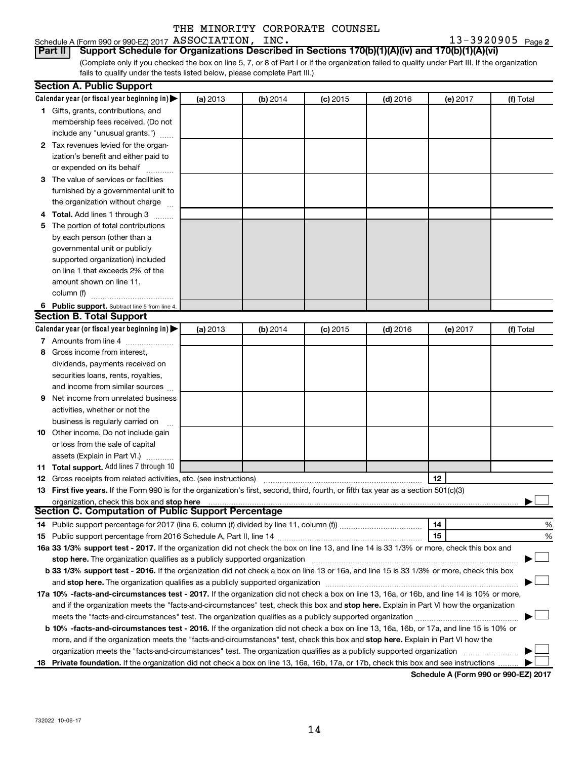#### Schedule A (Form 990 or 990-EZ) 2017 Page ASSOCIATION, INC. 13-3920905

13-3920905 Page 2

(Complete only if you checked the box on line 5, 7, or 8 of Part I or if the organization failed to qualify under Part III. If the organization fails to qualify under the tests listed below, please complete Part III.) **Part II Support Schedule for Organizations Described in Sections 170(b)(1)(A)(iv) and 170(b)(1)(A)(vi)**

| Calendar year (or fiscal year beginning in)<br>(a) 2013<br>(b) 2014<br>$(c)$ 2015<br>$(d)$ 2016<br>(e) 2017<br>(f) Total<br>1 Gifts, grants, contributions, and<br>membership fees received. (Do not<br>include any "unusual grants.")<br>2 Tax revenues levied for the organ-<br>ization's benefit and either paid to<br>or expended on its behalf<br>3 The value of services or facilities<br>furnished by a governmental unit to<br>the organization without charge<br>4 Total. Add lines 1 through 3<br>5 The portion of total contributions<br>by each person (other than a<br>governmental unit or publicly<br>supported organization) included<br>on line 1 that exceeds 2% of the<br>amount shown on line 11,<br>column (f)<br>6 Public support. Subtract line 5 from line 4.<br><b>Section B. Total Support</b><br>Calendar year (or fiscal year beginning in)<br>(a) 2013<br>(b) 2014<br>$(c)$ 2015<br>$(d)$ 2016<br>(e) 2017<br>(f) Total<br>7 Amounts from line 4<br>8 Gross income from interest,<br>dividends, payments received on<br>securities loans, rents, royalties,<br>and income from similar sources<br>Net income from unrelated business<br>9<br>activities, whether or not the<br>business is regularly carried on<br>10 Other income. Do not include gain<br>or loss from the sale of capital<br>assets (Explain in Part VI.)<br>11 Total support. Add lines 7 through 10<br>12<br><b>12</b> Gross receipts from related activities, etc. (see instructions)<br>13 First five years. If the Form 990 is for the organization's first, second, third, fourth, or fifth tax year as a section 501(c)(3)<br>organization, check this box and stop here<br><b>Section C. Computation of Public Support Percentage</b><br>14<br>%<br>15<br>%<br>16a 33 1/3% support test - 2017. If the organization did not check the box on line 13, and line 14 is 33 1/3% or more, check this box and<br>stop here. The organization qualifies as a publicly supported organization<br>b 33 1/3% support test - 2016. If the organization did not check a box on line 13 or 16a, and line 15 is 33 1/3% or more, check this box<br>17a 10% -facts-and-circumstances test - 2017. If the organization did not check a box on line 13, 16a, or 16b, and line 14 is 10% or more,<br>and if the organization meets the "facts-and-circumstances" test, check this box and stop here. Explain in Part VI how the organization<br>meets the "facts-and-circumstances" test. The organization qualifies as a publicly supported organization<br>b 10% -facts-and-circumstances test - 2016. If the organization did not check a box on line 13, 16a, 16b, or 17a, and line 15 is 10% or<br>more, and if the organization meets the "facts-and-circumstances" test, check this box and stop here. Explain in Part VI how the<br>organization meets the "facts-and-circumstances" test. The organization qualifies as a publicly supported organization | <b>Section A. Public Support</b> |  |  |  |
|----------------------------------------------------------------------------------------------------------------------------------------------------------------------------------------------------------------------------------------------------------------------------------------------------------------------------------------------------------------------------------------------------------------------------------------------------------------------------------------------------------------------------------------------------------------------------------------------------------------------------------------------------------------------------------------------------------------------------------------------------------------------------------------------------------------------------------------------------------------------------------------------------------------------------------------------------------------------------------------------------------------------------------------------------------------------------------------------------------------------------------------------------------------------------------------------------------------------------------------------------------------------------------------------------------------------------------------------------------------------------------------------------------------------------------------------------------------------------------------------------------------------------------------------------------------------------------------------------------------------------------------------------------------------------------------------------------------------------------------------------------------------------------------------------------------------------------------------------------------------------------------------------------------------------------------------------------------------------------------------------------------------------------------------------------------------------------------------------------------------------------------------------------------------------------------------------------------------------------------------------------------------------------------------------------------------------------------------------------------------------------------------------------------------------------------------------------------------------------------------------------------------------------------------------------------------------------------------------------------------------------------------------------------------------------------------------------------------------------------------------------------------------------------------------------------------------------------------------------------------------------------------------------------------------------------------------------|----------------------------------|--|--|--|
|                                                                                                                                                                                                                                                                                                                                                                                                                                                                                                                                                                                                                                                                                                                                                                                                                                                                                                                                                                                                                                                                                                                                                                                                                                                                                                                                                                                                                                                                                                                                                                                                                                                                                                                                                                                                                                                                                                                                                                                                                                                                                                                                                                                                                                                                                                                                                                                                                                                                                                                                                                                                                                                                                                                                                                                                                                                                                                                                                          |                                  |  |  |  |
|                                                                                                                                                                                                                                                                                                                                                                                                                                                                                                                                                                                                                                                                                                                                                                                                                                                                                                                                                                                                                                                                                                                                                                                                                                                                                                                                                                                                                                                                                                                                                                                                                                                                                                                                                                                                                                                                                                                                                                                                                                                                                                                                                                                                                                                                                                                                                                                                                                                                                                                                                                                                                                                                                                                                                                                                                                                                                                                                                          |                                  |  |  |  |
|                                                                                                                                                                                                                                                                                                                                                                                                                                                                                                                                                                                                                                                                                                                                                                                                                                                                                                                                                                                                                                                                                                                                                                                                                                                                                                                                                                                                                                                                                                                                                                                                                                                                                                                                                                                                                                                                                                                                                                                                                                                                                                                                                                                                                                                                                                                                                                                                                                                                                                                                                                                                                                                                                                                                                                                                                                                                                                                                                          |                                  |  |  |  |
|                                                                                                                                                                                                                                                                                                                                                                                                                                                                                                                                                                                                                                                                                                                                                                                                                                                                                                                                                                                                                                                                                                                                                                                                                                                                                                                                                                                                                                                                                                                                                                                                                                                                                                                                                                                                                                                                                                                                                                                                                                                                                                                                                                                                                                                                                                                                                                                                                                                                                                                                                                                                                                                                                                                                                                                                                                                                                                                                                          |                                  |  |  |  |
|                                                                                                                                                                                                                                                                                                                                                                                                                                                                                                                                                                                                                                                                                                                                                                                                                                                                                                                                                                                                                                                                                                                                                                                                                                                                                                                                                                                                                                                                                                                                                                                                                                                                                                                                                                                                                                                                                                                                                                                                                                                                                                                                                                                                                                                                                                                                                                                                                                                                                                                                                                                                                                                                                                                                                                                                                                                                                                                                                          |                                  |  |  |  |
|                                                                                                                                                                                                                                                                                                                                                                                                                                                                                                                                                                                                                                                                                                                                                                                                                                                                                                                                                                                                                                                                                                                                                                                                                                                                                                                                                                                                                                                                                                                                                                                                                                                                                                                                                                                                                                                                                                                                                                                                                                                                                                                                                                                                                                                                                                                                                                                                                                                                                                                                                                                                                                                                                                                                                                                                                                                                                                                                                          |                                  |  |  |  |
|                                                                                                                                                                                                                                                                                                                                                                                                                                                                                                                                                                                                                                                                                                                                                                                                                                                                                                                                                                                                                                                                                                                                                                                                                                                                                                                                                                                                                                                                                                                                                                                                                                                                                                                                                                                                                                                                                                                                                                                                                                                                                                                                                                                                                                                                                                                                                                                                                                                                                                                                                                                                                                                                                                                                                                                                                                                                                                                                                          |                                  |  |  |  |
|                                                                                                                                                                                                                                                                                                                                                                                                                                                                                                                                                                                                                                                                                                                                                                                                                                                                                                                                                                                                                                                                                                                                                                                                                                                                                                                                                                                                                                                                                                                                                                                                                                                                                                                                                                                                                                                                                                                                                                                                                                                                                                                                                                                                                                                                                                                                                                                                                                                                                                                                                                                                                                                                                                                                                                                                                                                                                                                                                          |                                  |  |  |  |
|                                                                                                                                                                                                                                                                                                                                                                                                                                                                                                                                                                                                                                                                                                                                                                                                                                                                                                                                                                                                                                                                                                                                                                                                                                                                                                                                                                                                                                                                                                                                                                                                                                                                                                                                                                                                                                                                                                                                                                                                                                                                                                                                                                                                                                                                                                                                                                                                                                                                                                                                                                                                                                                                                                                                                                                                                                                                                                                                                          |                                  |  |  |  |
|                                                                                                                                                                                                                                                                                                                                                                                                                                                                                                                                                                                                                                                                                                                                                                                                                                                                                                                                                                                                                                                                                                                                                                                                                                                                                                                                                                                                                                                                                                                                                                                                                                                                                                                                                                                                                                                                                                                                                                                                                                                                                                                                                                                                                                                                                                                                                                                                                                                                                                                                                                                                                                                                                                                                                                                                                                                                                                                                                          |                                  |  |  |  |
|                                                                                                                                                                                                                                                                                                                                                                                                                                                                                                                                                                                                                                                                                                                                                                                                                                                                                                                                                                                                                                                                                                                                                                                                                                                                                                                                                                                                                                                                                                                                                                                                                                                                                                                                                                                                                                                                                                                                                                                                                                                                                                                                                                                                                                                                                                                                                                                                                                                                                                                                                                                                                                                                                                                                                                                                                                                                                                                                                          |                                  |  |  |  |
|                                                                                                                                                                                                                                                                                                                                                                                                                                                                                                                                                                                                                                                                                                                                                                                                                                                                                                                                                                                                                                                                                                                                                                                                                                                                                                                                                                                                                                                                                                                                                                                                                                                                                                                                                                                                                                                                                                                                                                                                                                                                                                                                                                                                                                                                                                                                                                                                                                                                                                                                                                                                                                                                                                                                                                                                                                                                                                                                                          |                                  |  |  |  |
|                                                                                                                                                                                                                                                                                                                                                                                                                                                                                                                                                                                                                                                                                                                                                                                                                                                                                                                                                                                                                                                                                                                                                                                                                                                                                                                                                                                                                                                                                                                                                                                                                                                                                                                                                                                                                                                                                                                                                                                                                                                                                                                                                                                                                                                                                                                                                                                                                                                                                                                                                                                                                                                                                                                                                                                                                                                                                                                                                          |                                  |  |  |  |
|                                                                                                                                                                                                                                                                                                                                                                                                                                                                                                                                                                                                                                                                                                                                                                                                                                                                                                                                                                                                                                                                                                                                                                                                                                                                                                                                                                                                                                                                                                                                                                                                                                                                                                                                                                                                                                                                                                                                                                                                                                                                                                                                                                                                                                                                                                                                                                                                                                                                                                                                                                                                                                                                                                                                                                                                                                                                                                                                                          |                                  |  |  |  |
|                                                                                                                                                                                                                                                                                                                                                                                                                                                                                                                                                                                                                                                                                                                                                                                                                                                                                                                                                                                                                                                                                                                                                                                                                                                                                                                                                                                                                                                                                                                                                                                                                                                                                                                                                                                                                                                                                                                                                                                                                                                                                                                                                                                                                                                                                                                                                                                                                                                                                                                                                                                                                                                                                                                                                                                                                                                                                                                                                          |                                  |  |  |  |
|                                                                                                                                                                                                                                                                                                                                                                                                                                                                                                                                                                                                                                                                                                                                                                                                                                                                                                                                                                                                                                                                                                                                                                                                                                                                                                                                                                                                                                                                                                                                                                                                                                                                                                                                                                                                                                                                                                                                                                                                                                                                                                                                                                                                                                                                                                                                                                                                                                                                                                                                                                                                                                                                                                                                                                                                                                                                                                                                                          |                                  |  |  |  |
|                                                                                                                                                                                                                                                                                                                                                                                                                                                                                                                                                                                                                                                                                                                                                                                                                                                                                                                                                                                                                                                                                                                                                                                                                                                                                                                                                                                                                                                                                                                                                                                                                                                                                                                                                                                                                                                                                                                                                                                                                                                                                                                                                                                                                                                                                                                                                                                                                                                                                                                                                                                                                                                                                                                                                                                                                                                                                                                                                          |                                  |  |  |  |
|                                                                                                                                                                                                                                                                                                                                                                                                                                                                                                                                                                                                                                                                                                                                                                                                                                                                                                                                                                                                                                                                                                                                                                                                                                                                                                                                                                                                                                                                                                                                                                                                                                                                                                                                                                                                                                                                                                                                                                                                                                                                                                                                                                                                                                                                                                                                                                                                                                                                                                                                                                                                                                                                                                                                                                                                                                                                                                                                                          |                                  |  |  |  |
|                                                                                                                                                                                                                                                                                                                                                                                                                                                                                                                                                                                                                                                                                                                                                                                                                                                                                                                                                                                                                                                                                                                                                                                                                                                                                                                                                                                                                                                                                                                                                                                                                                                                                                                                                                                                                                                                                                                                                                                                                                                                                                                                                                                                                                                                                                                                                                                                                                                                                                                                                                                                                                                                                                                                                                                                                                                                                                                                                          |                                  |  |  |  |
|                                                                                                                                                                                                                                                                                                                                                                                                                                                                                                                                                                                                                                                                                                                                                                                                                                                                                                                                                                                                                                                                                                                                                                                                                                                                                                                                                                                                                                                                                                                                                                                                                                                                                                                                                                                                                                                                                                                                                                                                                                                                                                                                                                                                                                                                                                                                                                                                                                                                                                                                                                                                                                                                                                                                                                                                                                                                                                                                                          |                                  |  |  |  |
|                                                                                                                                                                                                                                                                                                                                                                                                                                                                                                                                                                                                                                                                                                                                                                                                                                                                                                                                                                                                                                                                                                                                                                                                                                                                                                                                                                                                                                                                                                                                                                                                                                                                                                                                                                                                                                                                                                                                                                                                                                                                                                                                                                                                                                                                                                                                                                                                                                                                                                                                                                                                                                                                                                                                                                                                                                                                                                                                                          |                                  |  |  |  |
|                                                                                                                                                                                                                                                                                                                                                                                                                                                                                                                                                                                                                                                                                                                                                                                                                                                                                                                                                                                                                                                                                                                                                                                                                                                                                                                                                                                                                                                                                                                                                                                                                                                                                                                                                                                                                                                                                                                                                                                                                                                                                                                                                                                                                                                                                                                                                                                                                                                                                                                                                                                                                                                                                                                                                                                                                                                                                                                                                          |                                  |  |  |  |
|                                                                                                                                                                                                                                                                                                                                                                                                                                                                                                                                                                                                                                                                                                                                                                                                                                                                                                                                                                                                                                                                                                                                                                                                                                                                                                                                                                                                                                                                                                                                                                                                                                                                                                                                                                                                                                                                                                                                                                                                                                                                                                                                                                                                                                                                                                                                                                                                                                                                                                                                                                                                                                                                                                                                                                                                                                                                                                                                                          |                                  |  |  |  |
|                                                                                                                                                                                                                                                                                                                                                                                                                                                                                                                                                                                                                                                                                                                                                                                                                                                                                                                                                                                                                                                                                                                                                                                                                                                                                                                                                                                                                                                                                                                                                                                                                                                                                                                                                                                                                                                                                                                                                                                                                                                                                                                                                                                                                                                                                                                                                                                                                                                                                                                                                                                                                                                                                                                                                                                                                                                                                                                                                          |                                  |  |  |  |
|                                                                                                                                                                                                                                                                                                                                                                                                                                                                                                                                                                                                                                                                                                                                                                                                                                                                                                                                                                                                                                                                                                                                                                                                                                                                                                                                                                                                                                                                                                                                                                                                                                                                                                                                                                                                                                                                                                                                                                                                                                                                                                                                                                                                                                                                                                                                                                                                                                                                                                                                                                                                                                                                                                                                                                                                                                                                                                                                                          |                                  |  |  |  |
|                                                                                                                                                                                                                                                                                                                                                                                                                                                                                                                                                                                                                                                                                                                                                                                                                                                                                                                                                                                                                                                                                                                                                                                                                                                                                                                                                                                                                                                                                                                                                                                                                                                                                                                                                                                                                                                                                                                                                                                                                                                                                                                                                                                                                                                                                                                                                                                                                                                                                                                                                                                                                                                                                                                                                                                                                                                                                                                                                          |                                  |  |  |  |
|                                                                                                                                                                                                                                                                                                                                                                                                                                                                                                                                                                                                                                                                                                                                                                                                                                                                                                                                                                                                                                                                                                                                                                                                                                                                                                                                                                                                                                                                                                                                                                                                                                                                                                                                                                                                                                                                                                                                                                                                                                                                                                                                                                                                                                                                                                                                                                                                                                                                                                                                                                                                                                                                                                                                                                                                                                                                                                                                                          |                                  |  |  |  |
|                                                                                                                                                                                                                                                                                                                                                                                                                                                                                                                                                                                                                                                                                                                                                                                                                                                                                                                                                                                                                                                                                                                                                                                                                                                                                                                                                                                                                                                                                                                                                                                                                                                                                                                                                                                                                                                                                                                                                                                                                                                                                                                                                                                                                                                                                                                                                                                                                                                                                                                                                                                                                                                                                                                                                                                                                                                                                                                                                          |                                  |  |  |  |
|                                                                                                                                                                                                                                                                                                                                                                                                                                                                                                                                                                                                                                                                                                                                                                                                                                                                                                                                                                                                                                                                                                                                                                                                                                                                                                                                                                                                                                                                                                                                                                                                                                                                                                                                                                                                                                                                                                                                                                                                                                                                                                                                                                                                                                                                                                                                                                                                                                                                                                                                                                                                                                                                                                                                                                                                                                                                                                                                                          |                                  |  |  |  |
|                                                                                                                                                                                                                                                                                                                                                                                                                                                                                                                                                                                                                                                                                                                                                                                                                                                                                                                                                                                                                                                                                                                                                                                                                                                                                                                                                                                                                                                                                                                                                                                                                                                                                                                                                                                                                                                                                                                                                                                                                                                                                                                                                                                                                                                                                                                                                                                                                                                                                                                                                                                                                                                                                                                                                                                                                                                                                                                                                          |                                  |  |  |  |
|                                                                                                                                                                                                                                                                                                                                                                                                                                                                                                                                                                                                                                                                                                                                                                                                                                                                                                                                                                                                                                                                                                                                                                                                                                                                                                                                                                                                                                                                                                                                                                                                                                                                                                                                                                                                                                                                                                                                                                                                                                                                                                                                                                                                                                                                                                                                                                                                                                                                                                                                                                                                                                                                                                                                                                                                                                                                                                                                                          |                                  |  |  |  |
|                                                                                                                                                                                                                                                                                                                                                                                                                                                                                                                                                                                                                                                                                                                                                                                                                                                                                                                                                                                                                                                                                                                                                                                                                                                                                                                                                                                                                                                                                                                                                                                                                                                                                                                                                                                                                                                                                                                                                                                                                                                                                                                                                                                                                                                                                                                                                                                                                                                                                                                                                                                                                                                                                                                                                                                                                                                                                                                                                          |                                  |  |  |  |
|                                                                                                                                                                                                                                                                                                                                                                                                                                                                                                                                                                                                                                                                                                                                                                                                                                                                                                                                                                                                                                                                                                                                                                                                                                                                                                                                                                                                                                                                                                                                                                                                                                                                                                                                                                                                                                                                                                                                                                                                                                                                                                                                                                                                                                                                                                                                                                                                                                                                                                                                                                                                                                                                                                                                                                                                                                                                                                                                                          |                                  |  |  |  |
|                                                                                                                                                                                                                                                                                                                                                                                                                                                                                                                                                                                                                                                                                                                                                                                                                                                                                                                                                                                                                                                                                                                                                                                                                                                                                                                                                                                                                                                                                                                                                                                                                                                                                                                                                                                                                                                                                                                                                                                                                                                                                                                                                                                                                                                                                                                                                                                                                                                                                                                                                                                                                                                                                                                                                                                                                                                                                                                                                          |                                  |  |  |  |
|                                                                                                                                                                                                                                                                                                                                                                                                                                                                                                                                                                                                                                                                                                                                                                                                                                                                                                                                                                                                                                                                                                                                                                                                                                                                                                                                                                                                                                                                                                                                                                                                                                                                                                                                                                                                                                                                                                                                                                                                                                                                                                                                                                                                                                                                                                                                                                                                                                                                                                                                                                                                                                                                                                                                                                                                                                                                                                                                                          |                                  |  |  |  |
|                                                                                                                                                                                                                                                                                                                                                                                                                                                                                                                                                                                                                                                                                                                                                                                                                                                                                                                                                                                                                                                                                                                                                                                                                                                                                                                                                                                                                                                                                                                                                                                                                                                                                                                                                                                                                                                                                                                                                                                                                                                                                                                                                                                                                                                                                                                                                                                                                                                                                                                                                                                                                                                                                                                                                                                                                                                                                                                                                          |                                  |  |  |  |
|                                                                                                                                                                                                                                                                                                                                                                                                                                                                                                                                                                                                                                                                                                                                                                                                                                                                                                                                                                                                                                                                                                                                                                                                                                                                                                                                                                                                                                                                                                                                                                                                                                                                                                                                                                                                                                                                                                                                                                                                                                                                                                                                                                                                                                                                                                                                                                                                                                                                                                                                                                                                                                                                                                                                                                                                                                                                                                                                                          |                                  |  |  |  |
|                                                                                                                                                                                                                                                                                                                                                                                                                                                                                                                                                                                                                                                                                                                                                                                                                                                                                                                                                                                                                                                                                                                                                                                                                                                                                                                                                                                                                                                                                                                                                                                                                                                                                                                                                                                                                                                                                                                                                                                                                                                                                                                                                                                                                                                                                                                                                                                                                                                                                                                                                                                                                                                                                                                                                                                                                                                                                                                                                          |                                  |  |  |  |
|                                                                                                                                                                                                                                                                                                                                                                                                                                                                                                                                                                                                                                                                                                                                                                                                                                                                                                                                                                                                                                                                                                                                                                                                                                                                                                                                                                                                                                                                                                                                                                                                                                                                                                                                                                                                                                                                                                                                                                                                                                                                                                                                                                                                                                                                                                                                                                                                                                                                                                                                                                                                                                                                                                                                                                                                                                                                                                                                                          |                                  |  |  |  |
|                                                                                                                                                                                                                                                                                                                                                                                                                                                                                                                                                                                                                                                                                                                                                                                                                                                                                                                                                                                                                                                                                                                                                                                                                                                                                                                                                                                                                                                                                                                                                                                                                                                                                                                                                                                                                                                                                                                                                                                                                                                                                                                                                                                                                                                                                                                                                                                                                                                                                                                                                                                                                                                                                                                                                                                                                                                                                                                                                          |                                  |  |  |  |
|                                                                                                                                                                                                                                                                                                                                                                                                                                                                                                                                                                                                                                                                                                                                                                                                                                                                                                                                                                                                                                                                                                                                                                                                                                                                                                                                                                                                                                                                                                                                                                                                                                                                                                                                                                                                                                                                                                                                                                                                                                                                                                                                                                                                                                                                                                                                                                                                                                                                                                                                                                                                                                                                                                                                                                                                                                                                                                                                                          |                                  |  |  |  |
|                                                                                                                                                                                                                                                                                                                                                                                                                                                                                                                                                                                                                                                                                                                                                                                                                                                                                                                                                                                                                                                                                                                                                                                                                                                                                                                                                                                                                                                                                                                                                                                                                                                                                                                                                                                                                                                                                                                                                                                                                                                                                                                                                                                                                                                                                                                                                                                                                                                                                                                                                                                                                                                                                                                                                                                                                                                                                                                                                          |                                  |  |  |  |
|                                                                                                                                                                                                                                                                                                                                                                                                                                                                                                                                                                                                                                                                                                                                                                                                                                                                                                                                                                                                                                                                                                                                                                                                                                                                                                                                                                                                                                                                                                                                                                                                                                                                                                                                                                                                                                                                                                                                                                                                                                                                                                                                                                                                                                                                                                                                                                                                                                                                                                                                                                                                                                                                                                                                                                                                                                                                                                                                                          |                                  |  |  |  |
|                                                                                                                                                                                                                                                                                                                                                                                                                                                                                                                                                                                                                                                                                                                                                                                                                                                                                                                                                                                                                                                                                                                                                                                                                                                                                                                                                                                                                                                                                                                                                                                                                                                                                                                                                                                                                                                                                                                                                                                                                                                                                                                                                                                                                                                                                                                                                                                                                                                                                                                                                                                                                                                                                                                                                                                                                                                                                                                                                          |                                  |  |  |  |
|                                                                                                                                                                                                                                                                                                                                                                                                                                                                                                                                                                                                                                                                                                                                                                                                                                                                                                                                                                                                                                                                                                                                                                                                                                                                                                                                                                                                                                                                                                                                                                                                                                                                                                                                                                                                                                                                                                                                                                                                                                                                                                                                                                                                                                                                                                                                                                                                                                                                                                                                                                                                                                                                                                                                                                                                                                                                                                                                                          |                                  |  |  |  |
|                                                                                                                                                                                                                                                                                                                                                                                                                                                                                                                                                                                                                                                                                                                                                                                                                                                                                                                                                                                                                                                                                                                                                                                                                                                                                                                                                                                                                                                                                                                                                                                                                                                                                                                                                                                                                                                                                                                                                                                                                                                                                                                                                                                                                                                                                                                                                                                                                                                                                                                                                                                                                                                                                                                                                                                                                                                                                                                                                          |                                  |  |  |  |
|                                                                                                                                                                                                                                                                                                                                                                                                                                                                                                                                                                                                                                                                                                                                                                                                                                                                                                                                                                                                                                                                                                                                                                                                                                                                                                                                                                                                                                                                                                                                                                                                                                                                                                                                                                                                                                                                                                                                                                                                                                                                                                                                                                                                                                                                                                                                                                                                                                                                                                                                                                                                                                                                                                                                                                                                                                                                                                                                                          |                                  |  |  |  |
|                                                                                                                                                                                                                                                                                                                                                                                                                                                                                                                                                                                                                                                                                                                                                                                                                                                                                                                                                                                                                                                                                                                                                                                                                                                                                                                                                                                                                                                                                                                                                                                                                                                                                                                                                                                                                                                                                                                                                                                                                                                                                                                                                                                                                                                                                                                                                                                                                                                                                                                                                                                                                                                                                                                                                                                                                                                                                                                                                          |                                  |  |  |  |
|                                                                                                                                                                                                                                                                                                                                                                                                                                                                                                                                                                                                                                                                                                                                                                                                                                                                                                                                                                                                                                                                                                                                                                                                                                                                                                                                                                                                                                                                                                                                                                                                                                                                                                                                                                                                                                                                                                                                                                                                                                                                                                                                                                                                                                                                                                                                                                                                                                                                                                                                                                                                                                                                                                                                                                                                                                                                                                                                                          |                                  |  |  |  |
| 18 Private foundation. If the organization did not check a box on line 13, 16a, 16b, 17a, or 17b, check this box and see instructions                                                                                                                                                                                                                                                                                                                                                                                                                                                                                                                                                                                                                                                                                                                                                                                                                                                                                                                                                                                                                                                                                                                                                                                                                                                                                                                                                                                                                                                                                                                                                                                                                                                                                                                                                                                                                                                                                                                                                                                                                                                                                                                                                                                                                                                                                                                                                                                                                                                                                                                                                                                                                                                                                                                                                                                                                    |                                  |  |  |  |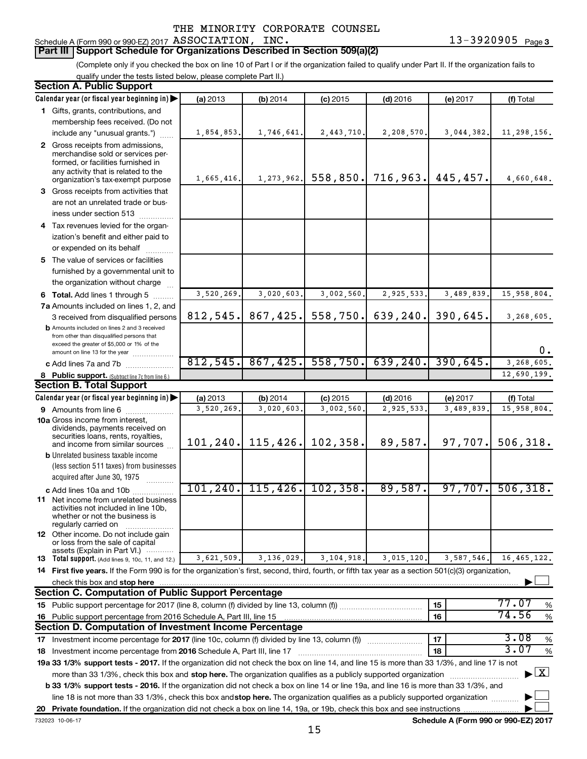### Schedule A (Form 990 or 990-EZ) 2017 Page ASSOCIATION, INC. 13-3920905

## **Part III Support Schedule for Organizations Described in Section 509(a)(2)**

(Complete only if you checked the box on line 10 of Part I or if the organization failed to qualify under Part II. If the organization fails to qualify under the tests listed below, please complete Part II.)

| <b>Section A. Public Support</b>                                                                                                                    |            |              |            |            |            |                                    |
|-----------------------------------------------------------------------------------------------------------------------------------------------------|------------|--------------|------------|------------|------------|------------------------------------|
| Calendar year (or fiscal year beginning in)                                                                                                         | (a) 2013   | (b) 2014     | $(c)$ 2015 | $(d)$ 2016 | (e) 2017   | (f) Total                          |
| 1 Gifts, grants, contributions, and                                                                                                                 |            |              |            |            |            |                                    |
| membership fees received. (Do not                                                                                                                   |            |              |            |            |            |                                    |
| include any "unusual grants.")                                                                                                                      | 1,854,853. | 1,746,641.   | 2,443,710. | 2,208,570. | 3,044,382. | 11,298,156.                        |
| 2 Gross receipts from admissions,                                                                                                                   |            |              |            |            |            |                                    |
| merchandise sold or services per-                                                                                                                   |            |              |            |            |            |                                    |
| formed, or facilities furnished in<br>any activity that is related to the                                                                           |            |              |            |            |            |                                    |
| organization's tax-exempt purpose                                                                                                                   | 1,665,416. | 1, 273, 962. | 558,850.   | 716,963.   | 445, 457.  | 4,660,648.                         |
| 3 Gross receipts from activities that                                                                                                               |            |              |            |            |            |                                    |
| are not an unrelated trade or bus-                                                                                                                  |            |              |            |            |            |                                    |
| iness under section 513                                                                                                                             |            |              |            |            |            |                                    |
| 4 Tax revenues levied for the organ-                                                                                                                |            |              |            |            |            |                                    |
| ization's benefit and either paid to                                                                                                                |            |              |            |            |            |                                    |
| or expended on its behalf                                                                                                                           |            |              |            |            |            |                                    |
| 5 The value of services or facilities                                                                                                               |            |              |            |            |            |                                    |
| furnished by a governmental unit to                                                                                                                 |            |              |            |            |            |                                    |
| the organization without charge                                                                                                                     |            |              |            |            |            |                                    |
| 6 Total. Add lines 1 through 5                                                                                                                      | 3,520,269. | 3,020,603.   | 3,002,560  | 2,925,533. | 3,489,839. | 15,958,804.                        |
| 7a Amounts included on lines 1, 2, and                                                                                                              |            |              |            |            |            |                                    |
| 3 received from disqualified persons                                                                                                                | 812,545.   | 867,425.     | 558,750.   | 639,240.   | 390,645.   | 3,268,605.                         |
| <b>b</b> Amounts included on lines 2 and 3 received                                                                                                 |            |              |            |            |            |                                    |
| from other than disqualified persons that<br>exceed the greater of \$5,000 or 1% of the                                                             |            |              |            |            |            |                                    |
| amount on line 13 for the year                                                                                                                      |            |              |            |            |            | 0.                                 |
| c Add lines 7a and 7b                                                                                                                               | 812,545.   | 867, 425.    | 558,750.   | 639, 240.  | 390,645.   | 3,268,605.                         |
| 8 Public support. (Subtract line 7c from line 6.)                                                                                                   |            |              |            |            |            | 12,690,199.                        |
| <b>Section B. Total Support</b>                                                                                                                     |            |              |            |            |            |                                    |
| Calendar year (or fiscal year beginning in)                                                                                                         | (a) 2013   | (b) 2014     | $(c)$ 2015 | $(d)$ 2016 | (e) 2017   | (f) Total                          |
| 9 Amounts from line 6                                                                                                                               | 3,520,269. | 3,020,603    | 3,002,560  | 2,925,533  | 3,489,839  | 15,958,804.                        |
| <b>10a</b> Gross income from interest,                                                                                                              |            |              |            |            |            |                                    |
| dividends, payments received on<br>securities loans, rents, royalties,                                                                              |            |              |            |            |            |                                    |
| and income from similar sources                                                                                                                     | 101, 240.  | 115, 426.    | 102, 358.  | 89,587.    | 97,707.    | 506, 318.                          |
| <b>b</b> Unrelated business taxable income                                                                                                          |            |              |            |            |            |                                    |
| (less section 511 taxes) from businesses                                                                                                            |            |              |            |            |            |                                    |
| acquired after June 30, 1975                                                                                                                        |            |              |            |            |            |                                    |
| c Add lines 10a and 10b                                                                                                                             | 101, 240.  | 115, 426.    | 102, 358.  | 89,587.    | 97,707.    | 506, 318.                          |
| <b>11</b> Net income from unrelated business                                                                                                        |            |              |            |            |            |                                    |
| activities not included in line 10b,<br>whether or not the business is                                                                              |            |              |            |            |            |                                    |
| regularly carried on                                                                                                                                |            |              |            |            |            |                                    |
| 12 Other income. Do not include gain                                                                                                                |            |              |            |            |            |                                    |
| or loss from the sale of capital<br>assets (Explain in Part VI.)                                                                                    |            |              |            |            |            |                                    |
| <b>13</b> Total support. (Add lines 9, 10c, 11, and 12.)                                                                                            | 3,621,509. | 3,136,029.   | 3,104,918. | 3,015,120. | 3,587,546. | 16,465,122.                        |
| 14 First five years. If the Form 990 is for the organization's first, second, third, fourth, or fifth tax year as a section 501(c)(3) organization, |            |              |            |            |            |                                    |
| check this box and stop here                                                                                                                        |            |              |            |            |            |                                    |
| <b>Section C. Computation of Public Support Percentage</b>                                                                                          |            |              |            |            |            |                                    |
|                                                                                                                                                     |            |              |            |            | 15         | 77.07<br>%                         |
| 16 Public support percentage from 2016 Schedule A, Part III, line 15                                                                                |            |              |            |            | 16         | 74.56<br>$\%$                      |
| Section D. Computation of Investment Income Percentage                                                                                              |            |              |            |            |            |                                    |
| 17 Investment income percentage for 2017 (line 10c, column (f) divided by line 13, column (f))                                                      |            |              |            |            | 17         | 3.08<br>$\%$                       |
| 18 Investment income percentage from 2016 Schedule A, Part III, line 17                                                                             |            |              |            |            | 18         | 3.07<br>%                          |
| 19a 33 1/3% support tests - 2017. If the organization did not check the box on line 14, and line 15 is more than 33 1/3%, and line 17 is not        |            |              |            |            |            |                                    |
| more than 33 1/3%, check this box and stop here. The organization qualifies as a publicly supported organization                                    |            |              |            |            |            | $\blacktriangleright$ $\mathbf{X}$ |
| b 33 1/3% support tests - 2016. If the organization did not check a box on line 14 or line 19a, and line 16 is more than 33 1/3%, and               |            |              |            |            |            |                                    |
| line 18 is not more than 33 1/3%, check this box and stop here. The organization qualifies as a publicly supported organization                     |            |              |            |            |            |                                    |
|                                                                                                                                                     |            |              |            |            |            |                                    |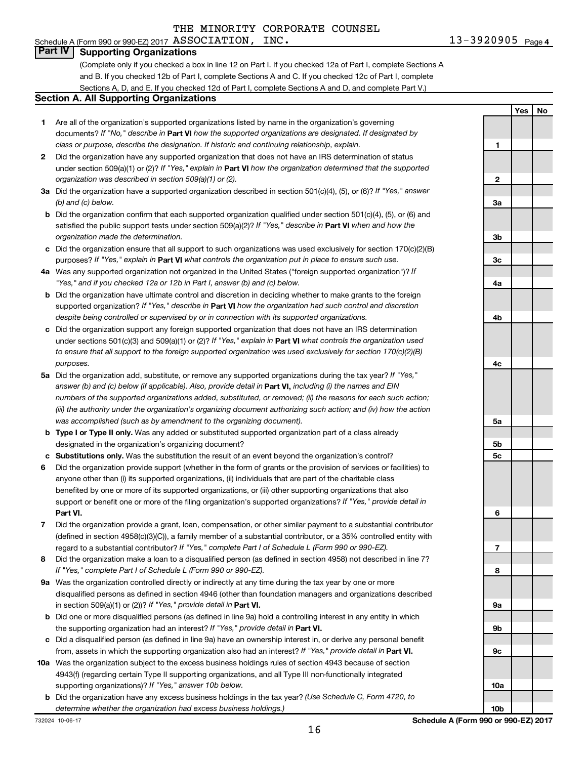#### Schedule A (Form 990 or 990-EZ) 2017 Page ASSOCIATION, INC. 13-3920905

**Yes No**

#### **Part IV Supporting Organizations**

(Complete only if you checked a box in line 12 on Part I. If you checked 12a of Part I, complete Sections A and B. If you checked 12b of Part I, complete Sections A and C. If you checked 12c of Part I, complete Sections A, D, and E. If you checked 12d of Part I, complete Sections A and D, and complete Part V.)

#### **Section A. All Supporting Organizations**

- **1** Are all of the organization's supported organizations listed by name in the organization's governing documents? If "No," describe in Part VI how the supported organizations are designated. If designated by *class or purpose, describe the designation. If historic and continuing relationship, explain.*
- **2** Did the organization have any supported organization that does not have an IRS determination of status under section 509(a)(1) or (2)? If "Yes," explain in Part **VI** how the organization determined that the supported *organization was described in section 509(a)(1) or (2).*
- **3a** Did the organization have a supported organization described in section 501(c)(4), (5), or (6)? If "Yes," answer *(b) and (c) below.*
- **b** Did the organization confirm that each supported organization qualified under section 501(c)(4), (5), or (6) and satisfied the public support tests under section 509(a)(2)? If "Yes," describe in Part VI when and how the *organization made the determination.*
- **c** Did the organization ensure that all support to such organizations was used exclusively for section 170(c)(2)(B) purposes? If "Yes," explain in Part VI what controls the organization put in place to ensure such use.
- **4 a** *If* Was any supported organization not organized in the United States ("foreign supported organization")? *"Yes," and if you checked 12a or 12b in Part I, answer (b) and (c) below.*
- **b** Did the organization have ultimate control and discretion in deciding whether to make grants to the foreign supported organization? If "Yes," describe in Part VI how the organization had such control and discretion *despite being controlled or supervised by or in connection with its supported organizations.*
- **c** Did the organization support any foreign supported organization that does not have an IRS determination under sections 501(c)(3) and 509(a)(1) or (2)? If "Yes," explain in Part VI what controls the organization used *to ensure that all support to the foreign supported organization was used exclusively for section 170(c)(2)(B) purposes.*
- **5a** Did the organization add, substitute, or remove any supported organizations during the tax year? If "Yes," answer (b) and (c) below (if applicable). Also, provide detail in **Part VI,** including (i) the names and EIN *numbers of the supported organizations added, substituted, or removed; (ii) the reasons for each such action; (iii) the authority under the organization's organizing document authorizing such action; and (iv) how the action was accomplished (such as by amendment to the organizing document).*
- **b Type I or Type II only.** Was any added or substituted supported organization part of a class already designated in the organization's organizing document?
- **c Substitutions only.**  Was the substitution the result of an event beyond the organization's control?
- **6** Did the organization provide support (whether in the form of grants or the provision of services or facilities) to **Part VI.** support or benefit one or more of the filing organization's supported organizations? If "Yes," provide detail in anyone other than (i) its supported organizations, (ii) individuals that are part of the charitable class benefited by one or more of its supported organizations, or (iii) other supporting organizations that also
- **7** Did the organization provide a grant, loan, compensation, or other similar payment to a substantial contributor regard to a substantial contributor? If "Yes," complete Part I of Schedule L (Form 990 or 990-EZ). (defined in section 4958(c)(3)(C)), a family member of a substantial contributor, or a 35% controlled entity with
- **8** Did the organization make a loan to a disqualified person (as defined in section 4958) not described in line 7? *If "Yes," complete Part I of Schedule L (Form 990 or 990-EZ).*
- **9 a** Was the organization controlled directly or indirectly at any time during the tax year by one or more in section 509(a)(1) or (2))? If "Yes," provide detail in **Part VI.** disqualified persons as defined in section 4946 (other than foundation managers and organizations described
- **b** Did one or more disqualified persons (as defined in line 9a) hold a controlling interest in any entity in which the supporting organization had an interest? If "Yes," provide detail in Part VI.
- **c** Did a disqualified person (as defined in line 9a) have an ownership interest in, or derive any personal benefit from, assets in which the supporting organization also had an interest? If "Yes," provide detail in Part VI.
- **10 a** Was the organization subject to the excess business holdings rules of section 4943 because of section supporting organizations)? If "Yes," answer 10b below. 4943(f) (regarding certain Type II supporting organizations, and all Type III non-functionally integrated
- **b** Did the organization have any excess business holdings in the tax year? (Use Schedule C, Form 4720, to *determine whether the organization had excess business holdings.)*

**1 2 3a 3b 3c 4a 4b 4c 5a 5b 5c 6 7 8 9a 9b 9c 10a**

**10b**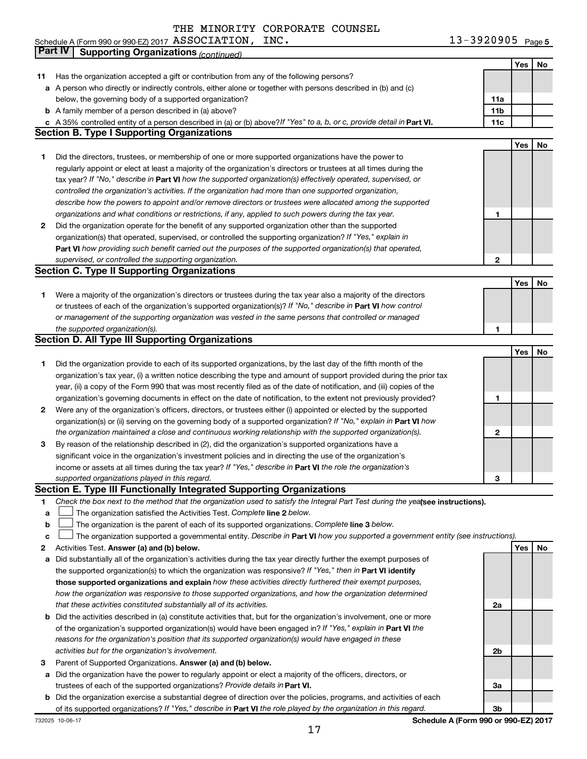| Schedule A (Form 990 or 990-EZ) 2017 $\,$ ASSOCIATION ,<br>INC. | 13-3920905 $Page 5$ |
|-----------------------------------------------------------------|---------------------|
|-----------------------------------------------------------------|---------------------|

|    | Part IV<br><b>Supporting Organizations (continued)</b>                                                                          |                 |     |    |
|----|---------------------------------------------------------------------------------------------------------------------------------|-----------------|-----|----|
|    |                                                                                                                                 |                 | Yes | No |
| 11 | Has the organization accepted a gift or contribution from any of the following persons?                                         |                 |     |    |
|    | a A person who directly or indirectly controls, either alone or together with persons described in (b) and (c)                  |                 |     |    |
|    | below, the governing body of a supported organization?                                                                          | 11a             |     |    |
|    | <b>b</b> A family member of a person described in (a) above?                                                                    | 11 <sub>b</sub> |     |    |
|    | c A 35% controlled entity of a person described in (a) or (b) above? If "Yes" to a, b, or c, provide detail in Part VI.         | 11c             |     |    |
|    | <b>Section B. Type I Supporting Organizations</b>                                                                               |                 |     |    |
|    |                                                                                                                                 |                 | Yes | No |
| 1  | Did the directors, trustees, or membership of one or more supported organizations have the power to                             |                 |     |    |
|    | regularly appoint or elect at least a majority of the organization's directors or trustees at all times during the              |                 |     |    |
|    | tax year? If "No," describe in Part VI how the supported organization(s) effectively operated, supervised, or                   |                 |     |    |
|    |                                                                                                                                 |                 |     |    |
|    | controlled the organization's activities. If the organization had more than one supported organization,                         |                 |     |    |
|    | describe how the powers to appoint and/or remove directors or trustees were allocated among the supported                       |                 |     |    |
|    | organizations and what conditions or restrictions, if any, applied to such powers during the tax year.                          | 1               |     |    |
| 2  | Did the organization operate for the benefit of any supported organization other than the supported                             |                 |     |    |
|    | organization(s) that operated, supervised, or controlled the supporting organization? If "Yes," explain in                      |                 |     |    |
|    | Part VI how providing such benefit carried out the purposes of the supported organization(s) that operated,                     |                 |     |    |
|    | supervised, or controlled the supporting organization.                                                                          | $\mathbf{2}$    |     |    |
|    | <b>Section C. Type II Supporting Organizations</b>                                                                              |                 |     |    |
|    |                                                                                                                                 |                 | Yes | No |
| 1. | Were a majority of the organization's directors or trustees during the tax year also a majority of the directors                |                 |     |    |
|    | or trustees of each of the organization's supported organization(s)? If "No," describe in Part VI how control                   |                 |     |    |
|    | or management of the supporting organization was vested in the same persons that controlled or managed                          |                 |     |    |
|    | the supported organization(s).                                                                                                  | 1               |     |    |
|    | <b>Section D. All Type III Supporting Organizations</b>                                                                         |                 |     |    |
|    |                                                                                                                                 |                 | Yes | No |
| 1  | Did the organization provide to each of its supported organizations, by the last day of the fifth month of the                  |                 |     |    |
|    | organization's tax year, (i) a written notice describing the type and amount of support provided during the prior tax           |                 |     |    |
|    | year, (ii) a copy of the Form 990 that was most recently filed as of the date of notification, and (iii) copies of the          |                 |     |    |
|    | organization's governing documents in effect on the date of notification, to the extent not previously provided?                | 1               |     |    |
| 2  | Were any of the organization's officers, directors, or trustees either (i) appointed or elected by the supported                |                 |     |    |
|    | organization(s) or (ii) serving on the governing body of a supported organization? If "No," explain in Part VI how              |                 |     |    |
|    | the organization maintained a close and continuous working relationship with the supported organization(s).                     | 2               |     |    |
| 3  | By reason of the relationship described in (2), did the organization's supported organizations have a                           |                 |     |    |
|    | significant voice in the organization's investment policies and in directing the use of the organization's                      |                 |     |    |
|    | income or assets at all times during the tax year? If "Yes," describe in Part VI the role the organization's                    |                 |     |    |
|    | supported organizations played in this regard.                                                                                  | з               |     |    |
|    | Section E. Type III Functionally Integrated Supporting Organizations                                                            |                 |     |    |
| 1  | Check the box next to the method that the organization used to satisfy the Integral Part Test during the yealsee instructions). |                 |     |    |
| a  | The organization satisfied the Activities Test. Complete line 2 below.                                                          |                 |     |    |
| b  | The organization is the parent of each of its supported organizations. Complete line 3 below.                                   |                 |     |    |
| с  | The organization supported a governmental entity. Describe in Part VI how you supported a government entity (see instructions). |                 |     |    |
| 2  | Activities Test. Answer (a) and (b) below.                                                                                      |                 | Yes | No |
| а  | Did substantially all of the organization's activities during the tax year directly further the exempt purposes of              |                 |     |    |
|    | the supported organization(s) to which the organization was responsive? If "Yes," then in Part VI identify                      |                 |     |    |
|    | those supported organizations and explain how these activities directly furthered their exempt purposes,                        |                 |     |    |
|    | how the organization was responsive to those supported organizations, and how the organization determined                       |                 |     |    |
|    | that these activities constituted substantially all of its activities.                                                          | 2a              |     |    |
|    | <b>b</b> Did the activities described in (a) constitute activities that, but for the organization's involvement, one or more    |                 |     |    |
|    | of the organization's supported organization(s) would have been engaged in? If "Yes," explain in Part VI the                    |                 |     |    |
|    | reasons for the organization's position that its supported organization(s) would have engaged in these                          |                 |     |    |
|    | activities but for the organization's involvement.                                                                              | 2b              |     |    |
| з  | Parent of Supported Organizations. Answer (a) and (b) below.                                                                    |                 |     |    |
| а  | Did the organization have the power to regularly appoint or elect a majority of the officers, directors, or                     |                 |     |    |
|    | trustees of each of the supported organizations? Provide details in Part VI.                                                    | За              |     |    |
|    | <b>b</b> Did the organization exercise a substantial degree of direction over the policies, programs, and activities of each    |                 |     |    |
|    | of its supported organizations? If "Yes," describe in Part VI the role played by the organization in this regard.               | 3b              |     |    |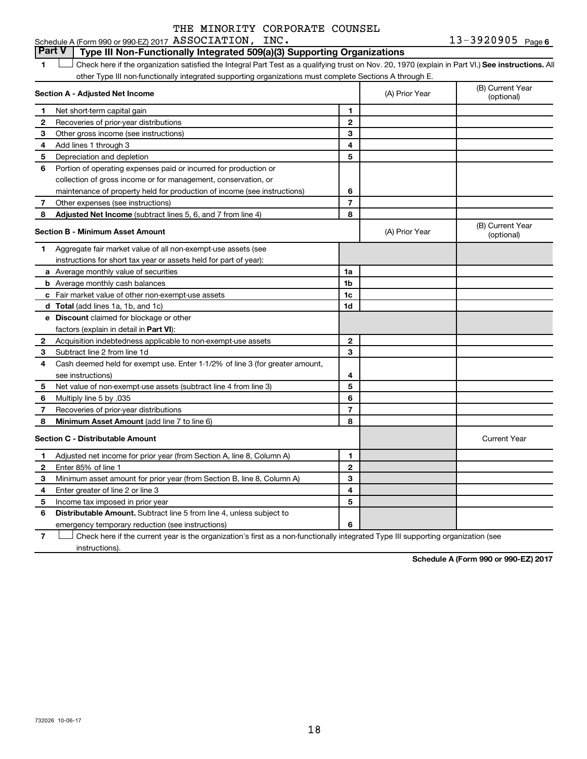13-3920905 Page 6 Schedule A (Form 990 or 990-EZ) 2017 Page ASSOCIATION, INC. 13-3920905

#### **Part V Type III Non-Functionally Integrated 509(a)(3) Supporting Organizations**

**1 Letter or if the organization satisfied the Integral Part Test as a qualifying trust on Nov. 20, 1970 (explain in Part VI.) See instructions. All** other Type III non-functionally integrated supporting organizations must complete Sections A through E.  $\Box$ 

|              | Section A - Adjusted Net Income                                              |                | (A) Prior Year | (B) Current Year<br>(optional) |
|--------------|------------------------------------------------------------------------------|----------------|----------------|--------------------------------|
| 1            | Net short-term capital gain                                                  | 1              |                |                                |
| $\mathbf{2}$ | Recoveries of prior-year distributions                                       | $\overline{2}$ |                |                                |
| З            | Other gross income (see instructions)                                        | 3              |                |                                |
| 4            | Add lines 1 through 3                                                        | 4              |                |                                |
| 5            | Depreciation and depletion                                                   | 5              |                |                                |
| 6            | Portion of operating expenses paid or incurred for production or             |                |                |                                |
|              | collection of gross income or for management, conservation, or               |                |                |                                |
|              | maintenance of property held for production of income (see instructions)     | 6              |                |                                |
| 7            | Other expenses (see instructions)                                            | $\overline{7}$ |                |                                |
| 8            | Adjusted Net Income (subtract lines 5, 6, and 7 from line 4)                 | 8              |                |                                |
|              | <b>Section B - Minimum Asset Amount</b>                                      |                | (A) Prior Year | (B) Current Year<br>(optional) |
| 1.           | Aggregate fair market value of all non-exempt-use assets (see                |                |                |                                |
|              | instructions for short tax year or assets held for part of year):            |                |                |                                |
|              | a Average monthly value of securities                                        | 1a             |                |                                |
|              | <b>b</b> Average monthly cash balances                                       | 1b             |                |                                |
|              | c Fair market value of other non-exempt-use assets                           | 1c             |                |                                |
|              | <b>d</b> Total (add lines 1a, 1b, and 1c)                                    | 1 <sub>d</sub> |                |                                |
|              | e Discount claimed for blockage or other                                     |                |                |                                |
|              | factors (explain in detail in <b>Part VI</b> ):                              |                |                |                                |
| 2            | Acquisition indebtedness applicable to non-exempt-use assets                 | $\mathbf{2}$   |                |                                |
| 3            | Subtract line 2 from line 1d                                                 | 3              |                |                                |
| 4            | Cash deemed held for exempt use. Enter 1-1/2% of line 3 (for greater amount, |                |                |                                |
|              | see instructions)                                                            | 4              |                |                                |
| 5            | Net value of non-exempt-use assets (subtract line 4 from line 3)             | 5              |                |                                |
| 6            | Multiply line 5 by .035                                                      | 6              |                |                                |
| 7            | Recoveries of prior-year distributions                                       | $\overline{7}$ |                |                                |
| 8            | Minimum Asset Amount (add line 7 to line 6)                                  | 8              |                |                                |
|              | <b>Section C - Distributable Amount</b>                                      |                |                | <b>Current Year</b>            |
| 1            | Adjusted net income for prior year (from Section A, line 8, Column A)        | 1              |                |                                |
| 2            | Enter 85% of line 1                                                          | $\overline{2}$ |                |                                |
| 3            | Minimum asset amount for prior year (from Section B, line 8, Column A)       | 3              |                |                                |
| 4            | Enter greater of line 2 or line 3                                            | 4              |                |                                |
| 5            | Income tax imposed in prior year                                             | 5              |                |                                |
| 6            | <b>Distributable Amount.</b> Subtract line 5 from line 4, unless subject to  |                |                |                                |
|              | emergency temporary reduction (see instructions)                             | 6              |                |                                |

**7** Let Check here if the current year is the organization's first as a non-functionally integrated Type III supporting organization (see instructions).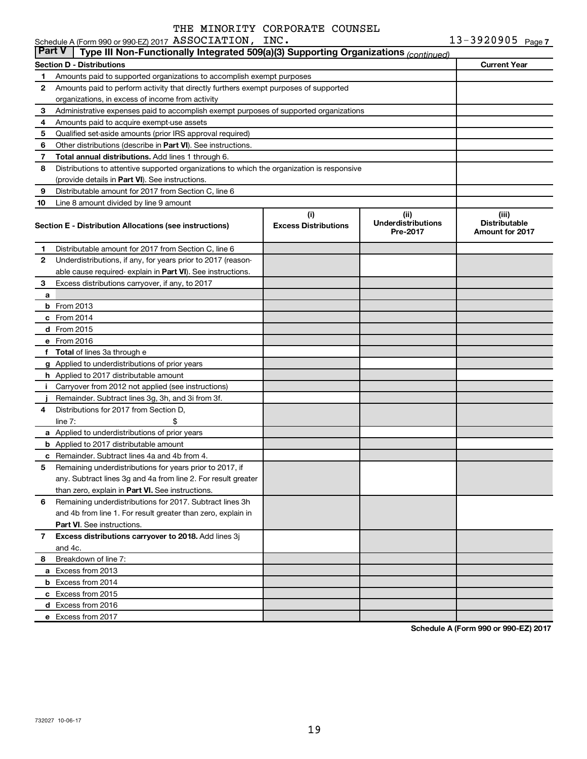## Schedule A (Form 990 or 990-EZ) 2017 Page ASSOCIATION, INC. 13-3920905

| <b>Part V</b> | Type III Non-Functionally Integrated 509(a)(3) Supporting Organizations (continued)        |                             |                                       |                                                |
|---------------|--------------------------------------------------------------------------------------------|-----------------------------|---------------------------------------|------------------------------------------------|
|               | <b>Section D - Distributions</b>                                                           |                             |                                       | <b>Current Year</b>                            |
| 1             | Amounts paid to supported organizations to accomplish exempt purposes                      |                             |                                       |                                                |
| 2             | Amounts paid to perform activity that directly furthers exempt purposes of supported       |                             |                                       |                                                |
|               | organizations, in excess of income from activity                                           |                             |                                       |                                                |
| 3             | Administrative expenses paid to accomplish exempt purposes of supported organizations      |                             |                                       |                                                |
| 4             | Amounts paid to acquire exempt-use assets                                                  |                             |                                       |                                                |
| 5             | Qualified set-aside amounts (prior IRS approval required)                                  |                             |                                       |                                                |
| 6             | Other distributions (describe in Part VI). See instructions.                               |                             |                                       |                                                |
| 7             | <b>Total annual distributions.</b> Add lines 1 through 6.                                  |                             |                                       |                                                |
| 8             | Distributions to attentive supported organizations to which the organization is responsive |                             |                                       |                                                |
|               | (provide details in Part VI). See instructions.                                            |                             |                                       |                                                |
| 9             | Distributable amount for 2017 from Section C, line 6                                       |                             |                                       |                                                |
| 10            | Line 8 amount divided by line 9 amount                                                     |                             |                                       |                                                |
|               |                                                                                            | (i)                         | (iii)                                 | (iii)                                          |
|               | Section E - Distribution Allocations (see instructions)                                    | <b>Excess Distributions</b> | <b>Underdistributions</b><br>Pre-2017 | <b>Distributable</b><br><b>Amount for 2017</b> |
| 1             | Distributable amount for 2017 from Section C, line 6                                       |                             |                                       |                                                |
| 2             | Underdistributions, if any, for years prior to 2017 (reason-                               |                             |                                       |                                                |
|               | able cause required-explain in Part VI). See instructions.                                 |                             |                                       |                                                |
| 3             | Excess distributions carryover, if any, to 2017                                            |                             |                                       |                                                |
| a             |                                                                                            |                             |                                       |                                                |
|               | <b>b</b> From 2013                                                                         |                             |                                       |                                                |
|               | $c$ From 2014                                                                              |                             |                                       |                                                |
|               | d From 2015                                                                                |                             |                                       |                                                |
|               | e From 2016                                                                                |                             |                                       |                                                |
|               | f Total of lines 3a through e                                                              |                             |                                       |                                                |
|               | g Applied to underdistributions of prior years                                             |                             |                                       |                                                |
|               | <b>h</b> Applied to 2017 distributable amount                                              |                             |                                       |                                                |
| j.            | Carryover from 2012 not applied (see instructions)                                         |                             |                                       |                                                |
|               | Remainder. Subtract lines 3g, 3h, and 3i from 3f.                                          |                             |                                       |                                                |
| 4             | Distributions for 2017 from Section D,                                                     |                             |                                       |                                                |
|               | line $7:$<br>\$                                                                            |                             |                                       |                                                |
|               | a Applied to underdistributions of prior years                                             |                             |                                       |                                                |
|               | <b>b</b> Applied to 2017 distributable amount                                              |                             |                                       |                                                |
|               | c Remainder. Subtract lines 4a and 4b from 4.                                              |                             |                                       |                                                |
| 5             | Remaining underdistributions for years prior to 2017, if                                   |                             |                                       |                                                |
|               | any. Subtract lines 3g and 4a from line 2. For result greater                              |                             |                                       |                                                |
|               | than zero, explain in Part VI. See instructions.                                           |                             |                                       |                                                |
| 6             | Remaining underdistributions for 2017. Subtract lines 3h                                   |                             |                                       |                                                |
|               | and 4b from line 1. For result greater than zero, explain in                               |                             |                                       |                                                |
|               | <b>Part VI.</b> See instructions.                                                          |                             |                                       |                                                |
| $\mathbf{7}$  | Excess distributions carryover to 2018. Add lines 3j                                       |                             |                                       |                                                |
|               | and 4c.                                                                                    |                             |                                       |                                                |
| 8             | Breakdown of line 7:                                                                       |                             |                                       |                                                |
|               | a Excess from 2013                                                                         |                             |                                       |                                                |
|               | <b>b</b> Excess from 2014                                                                  |                             |                                       |                                                |
|               | c Excess from 2015                                                                         |                             |                                       |                                                |
|               | d Excess from 2016                                                                         |                             |                                       |                                                |
|               | e Excess from 2017                                                                         |                             |                                       |                                                |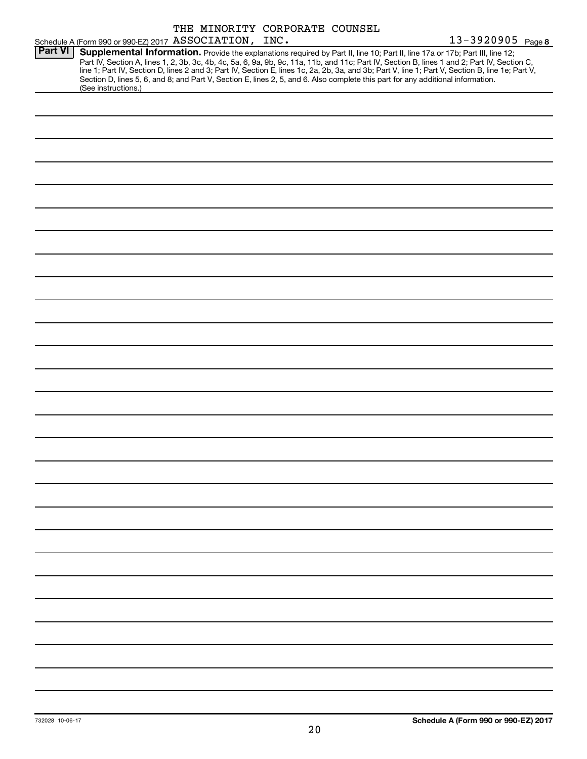|                |                                                        |  | THE MINORITY CORPORATE COUNSEL |                                                                                                                                                                                                                                                                  |                                                                                                                                                                                                                                                                                                  |
|----------------|--------------------------------------------------------|--|--------------------------------|------------------------------------------------------------------------------------------------------------------------------------------------------------------------------------------------------------------------------------------------------------------|--------------------------------------------------------------------------------------------------------------------------------------------------------------------------------------------------------------------------------------------------------------------------------------------------|
|                | Schedule A (Form 990 or 990-EZ) 2017 ASSOCIATION, INC. |  |                                |                                                                                                                                                                                                                                                                  | 13-3920905 Page 8                                                                                                                                                                                                                                                                                |
| <b>Part VI</b> | (See instructions.)                                    |  |                                | Supplemental Information. Provide the explanations required by Part II, line 10; Part II, line 17a or 17b; Part III, line 12;<br>Section D, lines 5, 6, and 8; and Part V, Section E, lines 2, 5, and 6. Also complete this part for any additional information. | Part IV, Section A, lines 1, 2, 3b, 3c, 4b, 4c, 5a, 6, 9a, 9b, 9c, 11a, 11b, and 11c; Part IV, Section B, lines 1 and 2; Part IV, Section C,<br>line 1; Part IV, Section D, lines 2 and 3; Part IV, Section E, lines 1c, 2a, 2b, 3a, and 3b; Part V, line 1; Part V, Section B, line 1e; Part V, |
|                |                                                        |  |                                |                                                                                                                                                                                                                                                                  |                                                                                                                                                                                                                                                                                                  |
|                |                                                        |  |                                |                                                                                                                                                                                                                                                                  |                                                                                                                                                                                                                                                                                                  |
|                |                                                        |  |                                |                                                                                                                                                                                                                                                                  |                                                                                                                                                                                                                                                                                                  |
|                |                                                        |  |                                |                                                                                                                                                                                                                                                                  |                                                                                                                                                                                                                                                                                                  |
|                |                                                        |  |                                |                                                                                                                                                                                                                                                                  |                                                                                                                                                                                                                                                                                                  |
|                |                                                        |  |                                |                                                                                                                                                                                                                                                                  |                                                                                                                                                                                                                                                                                                  |
|                |                                                        |  |                                |                                                                                                                                                                                                                                                                  |                                                                                                                                                                                                                                                                                                  |
|                |                                                        |  |                                |                                                                                                                                                                                                                                                                  |                                                                                                                                                                                                                                                                                                  |
|                |                                                        |  |                                |                                                                                                                                                                                                                                                                  |                                                                                                                                                                                                                                                                                                  |
|                |                                                        |  |                                |                                                                                                                                                                                                                                                                  |                                                                                                                                                                                                                                                                                                  |
|                |                                                        |  |                                |                                                                                                                                                                                                                                                                  |                                                                                                                                                                                                                                                                                                  |
|                |                                                        |  |                                |                                                                                                                                                                                                                                                                  |                                                                                                                                                                                                                                                                                                  |
|                |                                                        |  |                                |                                                                                                                                                                                                                                                                  |                                                                                                                                                                                                                                                                                                  |
|                |                                                        |  |                                |                                                                                                                                                                                                                                                                  |                                                                                                                                                                                                                                                                                                  |
|                |                                                        |  |                                |                                                                                                                                                                                                                                                                  |                                                                                                                                                                                                                                                                                                  |
|                |                                                        |  |                                |                                                                                                                                                                                                                                                                  |                                                                                                                                                                                                                                                                                                  |
|                |                                                        |  |                                |                                                                                                                                                                                                                                                                  |                                                                                                                                                                                                                                                                                                  |
|                |                                                        |  |                                |                                                                                                                                                                                                                                                                  |                                                                                                                                                                                                                                                                                                  |
|                |                                                        |  |                                |                                                                                                                                                                                                                                                                  |                                                                                                                                                                                                                                                                                                  |
|                |                                                        |  |                                |                                                                                                                                                                                                                                                                  |                                                                                                                                                                                                                                                                                                  |
|                |                                                        |  |                                |                                                                                                                                                                                                                                                                  |                                                                                                                                                                                                                                                                                                  |
|                |                                                        |  |                                |                                                                                                                                                                                                                                                                  |                                                                                                                                                                                                                                                                                                  |
|                |                                                        |  |                                |                                                                                                                                                                                                                                                                  |                                                                                                                                                                                                                                                                                                  |
|                |                                                        |  |                                |                                                                                                                                                                                                                                                                  |                                                                                                                                                                                                                                                                                                  |
|                |                                                        |  |                                |                                                                                                                                                                                                                                                                  |                                                                                                                                                                                                                                                                                                  |
|                |                                                        |  |                                |                                                                                                                                                                                                                                                                  |                                                                                                                                                                                                                                                                                                  |
|                |                                                        |  |                                |                                                                                                                                                                                                                                                                  |                                                                                                                                                                                                                                                                                                  |
|                |                                                        |  |                                |                                                                                                                                                                                                                                                                  |                                                                                                                                                                                                                                                                                                  |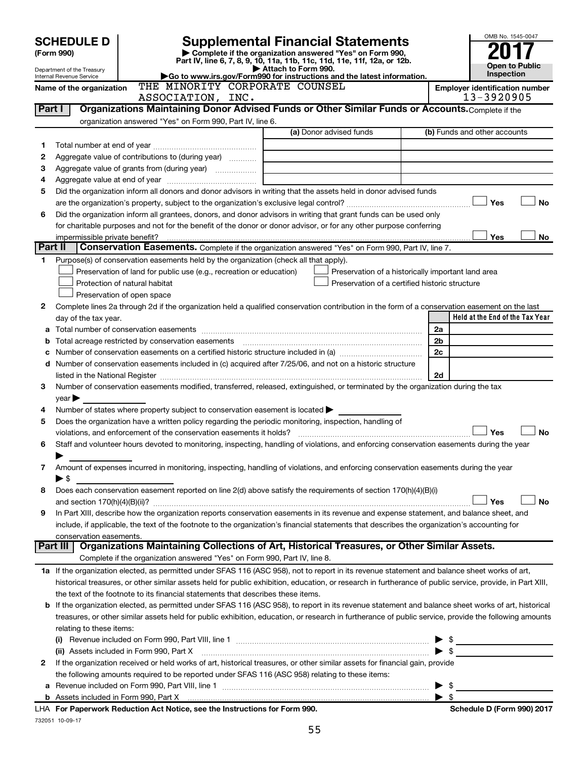|         | <b>Supplemental Financial Statements</b><br><b>SCHEDULE D</b><br>Complete if the organization answered "Yes" on Form 990,<br>(Form 990) |                                                                                                                                                           |  |                     |                                                                          | OMB No. 1545-0047 |                          |                                       |
|---------|-----------------------------------------------------------------------------------------------------------------------------------------|-----------------------------------------------------------------------------------------------------------------------------------------------------------|--|---------------------|--------------------------------------------------------------------------|-------------------|--------------------------|---------------------------------------|
|         |                                                                                                                                         |                                                                                                                                                           |  |                     | Part IV, line 6, 7, 8, 9, 10, 11a, 11b, 11c, 11d, 11e, 11f, 12a, or 12b. |                   |                          |                                       |
|         | Department of the Treasury<br>Internal Revenue Service                                                                                  |                                                                                                                                                           |  | Attach to Form 990. | Go to www.irs.gov/Form990 for instructions and the latest information.   |                   |                          | <b>Open to Public</b><br>Inspection   |
|         | Name of the organization                                                                                                                | THE MINORITY CORPORATE COUNSEL                                                                                                                            |  |                     |                                                                          |                   |                          | <b>Employer identification number</b> |
|         | 13-3920905<br>ASSOCIATION, INC.                                                                                                         |                                                                                                                                                           |  |                     |                                                                          |                   |                          |                                       |
| Part I  |                                                                                                                                         | Organizations Maintaining Donor Advised Funds or Other Similar Funds or Accounts. Complete if the                                                         |  |                     |                                                                          |                   |                          |                                       |
|         |                                                                                                                                         | organization answered "Yes" on Form 990, Part IV, line 6.                                                                                                 |  |                     |                                                                          |                   |                          |                                       |
|         |                                                                                                                                         |                                                                                                                                                           |  |                     | (a) Donor advised funds                                                  |                   |                          | (b) Funds and other accounts          |
| 1       |                                                                                                                                         |                                                                                                                                                           |  |                     |                                                                          |                   |                          |                                       |
| 2       |                                                                                                                                         | Aggregate value of contributions to (during year)                                                                                                         |  |                     |                                                                          |                   |                          |                                       |
| З       |                                                                                                                                         |                                                                                                                                                           |  |                     |                                                                          |                   |                          |                                       |
| 4       |                                                                                                                                         |                                                                                                                                                           |  |                     |                                                                          |                   |                          |                                       |
| 5       |                                                                                                                                         | Did the organization inform all donors and donor advisors in writing that the assets held in donor advised funds                                          |  |                     |                                                                          |                   |                          |                                       |
|         |                                                                                                                                         |                                                                                                                                                           |  |                     |                                                                          |                   |                          | Yes<br><b>No</b>                      |
| 6       |                                                                                                                                         | Did the organization inform all grantees, donors, and donor advisors in writing that grant funds can be used only                                         |  |                     |                                                                          |                   |                          |                                       |
|         |                                                                                                                                         | for charitable purposes and not for the benefit of the donor or donor advisor, or for any other purpose conferring                                        |  |                     |                                                                          |                   |                          |                                       |
|         | impermissible private benefit?                                                                                                          |                                                                                                                                                           |  |                     |                                                                          |                   |                          | Yes<br>No                             |
| Part II |                                                                                                                                         | Conservation Easements. Complete if the organization answered "Yes" on Form 990, Part IV, line 7.                                                         |  |                     |                                                                          |                   |                          |                                       |
| 1       |                                                                                                                                         | Purpose(s) of conservation easements held by the organization (check all that apply).                                                                     |  |                     |                                                                          |                   |                          |                                       |
|         |                                                                                                                                         | Preservation of land for public use (e.g., recreation or education)                                                                                       |  |                     | Preservation of a historically important land area                       |                   |                          |                                       |
|         |                                                                                                                                         | Protection of natural habitat                                                                                                                             |  |                     | Preservation of a certified historic structure                           |                   |                          |                                       |
|         |                                                                                                                                         | Preservation of open space                                                                                                                                |  |                     |                                                                          |                   |                          |                                       |
| 2       |                                                                                                                                         | Complete lines 2a through 2d if the organization held a qualified conservation contribution in the form of a conservation easement on the last            |  |                     |                                                                          |                   |                          | Held at the End of the Tax Year       |
|         | day of the tax year.                                                                                                                    |                                                                                                                                                           |  |                     |                                                                          |                   | 2a                       |                                       |
| b       |                                                                                                                                         |                                                                                                                                                           |  |                     |                                                                          |                   | 2 <sub>b</sub>           |                                       |
|         |                                                                                                                                         |                                                                                                                                                           |  |                     |                                                                          |                   | 2c                       |                                       |
| d       |                                                                                                                                         | Number of conservation easements included in (c) acquired after 7/25/06, and not on a historic structure                                                  |  |                     |                                                                          |                   |                          |                                       |
|         |                                                                                                                                         |                                                                                                                                                           |  |                     |                                                                          |                   | 2d                       |                                       |
| 3       |                                                                                                                                         | Number of conservation easements modified, transferred, released, extinguished, or terminated by the organization during the tax                          |  |                     |                                                                          |                   |                          |                                       |
|         | $year \triangleright$                                                                                                                   |                                                                                                                                                           |  |                     |                                                                          |                   |                          |                                       |
| 4       |                                                                                                                                         | Number of states where property subject to conservation easement is located                                                                               |  |                     |                                                                          |                   |                          |                                       |
| 5       |                                                                                                                                         | Does the organization have a written policy regarding the periodic monitoring, inspection, handling of                                                    |  |                     |                                                                          |                   |                          |                                       |
|         |                                                                                                                                         |                                                                                                                                                           |  |                     |                                                                          |                   |                          | Yes<br><b>No</b>                      |
| 6       |                                                                                                                                         | Staff and volunteer hours devoted to monitoring, inspecting, handling of violations, and enforcing conservation easements during the year                 |  |                     |                                                                          |                   |                          |                                       |
|         |                                                                                                                                         |                                                                                                                                                           |  |                     |                                                                          |                   |                          |                                       |
| 7       |                                                                                                                                         | Amount of expenses incurred in monitoring, inspecting, handling of violations, and enforcing conservation easements during the year                       |  |                     |                                                                          |                   |                          |                                       |
|         | ► \$                                                                                                                                    |                                                                                                                                                           |  |                     |                                                                          |                   |                          |                                       |
| 8       |                                                                                                                                         | Does each conservation easement reported on line 2(d) above satisfy the requirements of section 170(h)(4)(B)(i)                                           |  |                     |                                                                          |                   |                          |                                       |
|         |                                                                                                                                         |                                                                                                                                                           |  |                     |                                                                          |                   |                          | Yes<br><b>No</b>                      |
| 9       |                                                                                                                                         | In Part XIII, describe how the organization reports conservation easements in its revenue and expense statement, and balance sheet, and                   |  |                     |                                                                          |                   |                          |                                       |
|         | conservation easements.                                                                                                                 | include, if applicable, the text of the footnote to the organization's financial statements that describes the organization's accounting for              |  |                     |                                                                          |                   |                          |                                       |
|         | Part III                                                                                                                                | Organizations Maintaining Collections of Art, Historical Treasures, or Other Similar Assets.                                                              |  |                     |                                                                          |                   |                          |                                       |
|         |                                                                                                                                         | Complete if the organization answered "Yes" on Form 990, Part IV, line 8.                                                                                 |  |                     |                                                                          |                   |                          |                                       |
|         |                                                                                                                                         | 1a If the organization elected, as permitted under SFAS 116 (ASC 958), not to report in its revenue statement and balance sheet works of art,             |  |                     |                                                                          |                   |                          |                                       |
|         |                                                                                                                                         | historical treasures, or other similar assets held for public exhibition, education, or research in furtherance of public service, provide, in Part XIII, |  |                     |                                                                          |                   |                          |                                       |
|         |                                                                                                                                         | the text of the footnote to its financial statements that describes these items.                                                                          |  |                     |                                                                          |                   |                          |                                       |
| b       |                                                                                                                                         | If the organization elected, as permitted under SFAS 116 (ASC 958), to report in its revenue statement and balance sheet works of art, historical         |  |                     |                                                                          |                   |                          |                                       |
|         |                                                                                                                                         | treasures, or other similar assets held for public exhibition, education, or research in furtherance of public service, provide the following amounts     |  |                     |                                                                          |                   |                          |                                       |
|         | relating to these items:                                                                                                                |                                                                                                                                                           |  |                     |                                                                          |                   |                          |                                       |
|         |                                                                                                                                         |                                                                                                                                                           |  |                     |                                                                          |                   | \$                       |                                       |
|         |                                                                                                                                         | (ii) Assets included in Form 990, Part X                                                                                                                  |  |                     |                                                                          |                   | $\blacktriangleright$ \$ |                                       |
| 2       |                                                                                                                                         | If the organization received or held works of art, historical treasures, or other similar assets for financial gain, provide                              |  |                     |                                                                          |                   |                          |                                       |
|         |                                                                                                                                         | the following amounts required to be reported under SFAS 116 (ASC 958) relating to these items:                                                           |  |                     |                                                                          |                   |                          |                                       |
| а       |                                                                                                                                         |                                                                                                                                                           |  |                     |                                                                          |                   | - \$                     |                                       |
|         |                                                                                                                                         |                                                                                                                                                           |  |                     |                                                                          |                   | $\blacktriangleright$ \$ |                                       |
|         |                                                                                                                                         | For Panorwork Poduction Act Notice, see the Instructions for Form 000                                                                                     |  |                     |                                                                          |                   |                          | Schodule D (Form 000) 2017            |

732051 10-09-17 **For Paperwork Reduction Act Notice, see the Instructions for Form 990. Schedule D (Form 990) 2017** LHA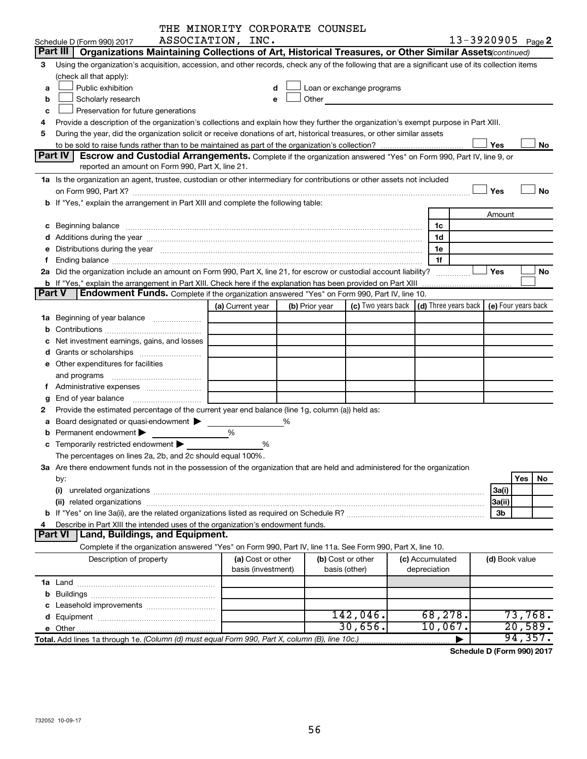|        |                                                                                                                                                                                                                                | THE MINORITY CORPORATE COUNSEL |   |                |                                                                                                                                                                                                                               |                                                 |                   |                     |
|--------|--------------------------------------------------------------------------------------------------------------------------------------------------------------------------------------------------------------------------------|--------------------------------|---|----------------|-------------------------------------------------------------------------------------------------------------------------------------------------------------------------------------------------------------------------------|-------------------------------------------------|-------------------|---------------------|
|        | Schedule D (Form 990) 2017                                                                                                                                                                                                     | ASSOCIATION, INC.              |   |                |                                                                                                                                                                                                                               |                                                 | 13-3920905 Page 2 |                     |
|        | Part III<br>Organizations Maintaining Collections of Art, Historical Treasures, or Other Similar Assets (continued)                                                                                                            |                                |   |                |                                                                                                                                                                                                                               |                                                 |                   |                     |
| 3      | Using the organization's acquisition, accession, and other records, check any of the following that are a significant use of its collection items                                                                              |                                |   |                |                                                                                                                                                                                                                               |                                                 |                   |                     |
|        | (check all that apply):                                                                                                                                                                                                        |                                |   |                |                                                                                                                                                                                                                               |                                                 |                   |                     |
| a      | Public exhibition                                                                                                                                                                                                              | d                              |   |                | Loan or exchange programs                                                                                                                                                                                                     |                                                 |                   |                     |
| b      | Scholarly research                                                                                                                                                                                                             | е                              |   |                | Other and the contract of the contract of the contract of the contract of the contract of the contract of the contract of the contract of the contract of the contract of the contract of the contract of the contract of the |                                                 |                   |                     |
| c      | Preservation for future generations                                                                                                                                                                                            |                                |   |                |                                                                                                                                                                                                                               |                                                 |                   |                     |
| 4      | Provide a description of the organization's collections and explain how they further the organization's exempt purpose in Part XIII.                                                                                           |                                |   |                |                                                                                                                                                                                                                               |                                                 |                   |                     |
| 5      | During the year, did the organization solicit or receive donations of art, historical treasures, or other similar assets                                                                                                       |                                |   |                |                                                                                                                                                                                                                               |                                                 |                   |                     |
|        |                                                                                                                                                                                                                                |                                |   |                |                                                                                                                                                                                                                               |                                                 | Yes               | No.                 |
|        | Part IV<br><b>Escrow and Custodial Arrangements.</b> Complete if the organization answered "Yes" on Form 990, Part IV, line 9, or                                                                                              |                                |   |                |                                                                                                                                                                                                                               |                                                 |                   |                     |
|        | reported an amount on Form 990, Part X, line 21.                                                                                                                                                                               |                                |   |                |                                                                                                                                                                                                                               |                                                 |                   |                     |
|        |                                                                                                                                                                                                                                |                                |   |                |                                                                                                                                                                                                                               |                                                 |                   |                     |
|        | 1a Is the organization an agent, trustee, custodian or other intermediary for contributions or other assets not included                                                                                                       |                                |   |                |                                                                                                                                                                                                                               |                                                 |                   | <b>No</b>           |
|        | on Form 990, Part X? [11] matter and the contract of the contract of the contract of the contract of the contract of the contract of the contract of the contract of the contract of the contract of the contract of the contr |                                |   |                |                                                                                                                                                                                                                               |                                                 | Yes               |                     |
|        | b If "Yes," explain the arrangement in Part XIII and complete the following table:                                                                                                                                             |                                |   |                |                                                                                                                                                                                                                               |                                                 |                   |                     |
|        |                                                                                                                                                                                                                                |                                |   |                |                                                                                                                                                                                                                               |                                                 | Amount            |                     |
|        |                                                                                                                                                                                                                                |                                |   |                |                                                                                                                                                                                                                               | 1c                                              |                   |                     |
|        |                                                                                                                                                                                                                                |                                |   |                |                                                                                                                                                                                                                               | 1d                                              |                   |                     |
|        | e Distributions during the year manufactured and continuum and contained and the year manufactured and contained and the year manufactured and contained and contained and contained and contained and contained and contained |                                |   |                |                                                                                                                                                                                                                               | 1e                                              |                   |                     |
|        |                                                                                                                                                                                                                                |                                |   |                |                                                                                                                                                                                                                               | 1f                                              |                   |                     |
|        | 2a Did the organization include an amount on Form 990, Part X, line 21, for escrow or custodial account liability?                                                                                                             |                                |   |                |                                                                                                                                                                                                                               |                                                 | Yes               | No                  |
|        | b If "Yes," explain the arrangement in Part XIII. Check here if the explanation has been provided on Part XIII                                                                                                                 |                                |   |                |                                                                                                                                                                                                                               |                                                 |                   |                     |
| Part V | <b>Endowment Funds.</b> Complete if the organization answered "Yes" on Form 990, Part IV, line 10.                                                                                                                             |                                |   |                |                                                                                                                                                                                                                               |                                                 |                   |                     |
|        |                                                                                                                                                                                                                                | (a) Current year               |   | (b) Prior year |                                                                                                                                                                                                                               | (c) Two years back $ $ (d) Three years back $ $ |                   | (e) Four years back |
|        | 1a Beginning of year balance                                                                                                                                                                                                   |                                |   |                |                                                                                                                                                                                                                               |                                                 |                   |                     |
| b      |                                                                                                                                                                                                                                |                                |   |                |                                                                                                                                                                                                                               |                                                 |                   |                     |
|        | Net investment earnings, gains, and losses                                                                                                                                                                                     |                                |   |                |                                                                                                                                                                                                                               |                                                 |                   |                     |
|        |                                                                                                                                                                                                                                |                                |   |                |                                                                                                                                                                                                                               |                                                 |                   |                     |
|        | e Other expenditures for facilities                                                                                                                                                                                            |                                |   |                |                                                                                                                                                                                                                               |                                                 |                   |                     |
|        | and programs                                                                                                                                                                                                                   |                                |   |                |                                                                                                                                                                                                                               |                                                 |                   |                     |
| Ť.     |                                                                                                                                                                                                                                |                                |   |                |                                                                                                                                                                                                                               |                                                 |                   |                     |
| g      | End of year balance                                                                                                                                                                                                            |                                |   |                |                                                                                                                                                                                                                               |                                                 |                   |                     |
| 2      | Provide the estimated percentage of the current year end balance (line 1g, column (a)) held as:                                                                                                                                |                                |   |                |                                                                                                                                                                                                                               |                                                 |                   |                     |
| а      | Board designated or quasi-endowment                                                                                                                                                                                            |                                | ℅ |                |                                                                                                                                                                                                                               |                                                 |                   |                     |
| b      | Permanent endowment                                                                                                                                                                                                            | %                              |   |                |                                                                                                                                                                                                                               |                                                 |                   |                     |
|        | <b>c</b> Temporarily restricted endowment $\blacktriangleright$                                                                                                                                                                | %                              |   |                |                                                                                                                                                                                                                               |                                                 |                   |                     |
|        | The percentages on lines 2a, 2b, and 2c should equal 100%.                                                                                                                                                                     |                                |   |                |                                                                                                                                                                                                                               |                                                 |                   |                     |
|        |                                                                                                                                                                                                                                |                                |   |                |                                                                                                                                                                                                                               |                                                 |                   |                     |
|        | 3a Are there endowment funds not in the possession of the organization that are held and administered for the organization                                                                                                     |                                |   |                |                                                                                                                                                                                                                               |                                                 |                   |                     |
|        | by:                                                                                                                                                                                                                            |                                |   |                |                                                                                                                                                                                                                               |                                                 |                   | Yes<br>No           |
|        | (i)                                                                                                                                                                                                                            |                                |   |                |                                                                                                                                                                                                                               |                                                 | 3a(i)             |                     |
|        |                                                                                                                                                                                                                                |                                |   |                |                                                                                                                                                                                                                               |                                                 | 3a(ii)            |                     |
|        |                                                                                                                                                                                                                                |                                |   |                |                                                                                                                                                                                                                               |                                                 | 3 <sub>b</sub>    |                     |
| 4      | Describe in Part XIII the intended uses of the organization's endowment funds.                                                                                                                                                 |                                |   |                |                                                                                                                                                                                                                               |                                                 |                   |                     |
|        | Part VI<br>Land, Buildings, and Equipment.                                                                                                                                                                                     |                                |   |                |                                                                                                                                                                                                                               |                                                 |                   |                     |
|        | Complete if the organization answered "Yes" on Form 990, Part IV, line 11a. See Form 990, Part X, line 10.                                                                                                                     |                                |   |                |                                                                                                                                                                                                                               |                                                 |                   |                     |
|        | Description of property                                                                                                                                                                                                        | (a) Cost or other              |   |                | (b) Cost or other                                                                                                                                                                                                             | (c) Accumulated                                 | (d) Book value    |                     |
|        |                                                                                                                                                                                                                                | basis (investment)             |   |                | basis (other)                                                                                                                                                                                                                 | depreciation                                    |                   |                     |
|        |                                                                                                                                                                                                                                |                                |   |                |                                                                                                                                                                                                                               |                                                 |                   |                     |
|        |                                                                                                                                                                                                                                |                                |   |                |                                                                                                                                                                                                                               |                                                 |                   |                     |
|        |                                                                                                                                                                                                                                |                                |   |                |                                                                                                                                                                                                                               |                                                 |                   |                     |
|        |                                                                                                                                                                                                                                |                                |   |                | 142,046.                                                                                                                                                                                                                      | 68,278.                                         |                   | 73,768.             |
|        |                                                                                                                                                                                                                                |                                |   |                | 30,656.                                                                                                                                                                                                                       | 10,067.                                         |                   | 20,589.             |
|        |                                                                                                                                                                                                                                |                                |   |                |                                                                                                                                                                                                                               | ▶                                               |                   | 94, 357.            |

**Schedule D (Form 990) 2017**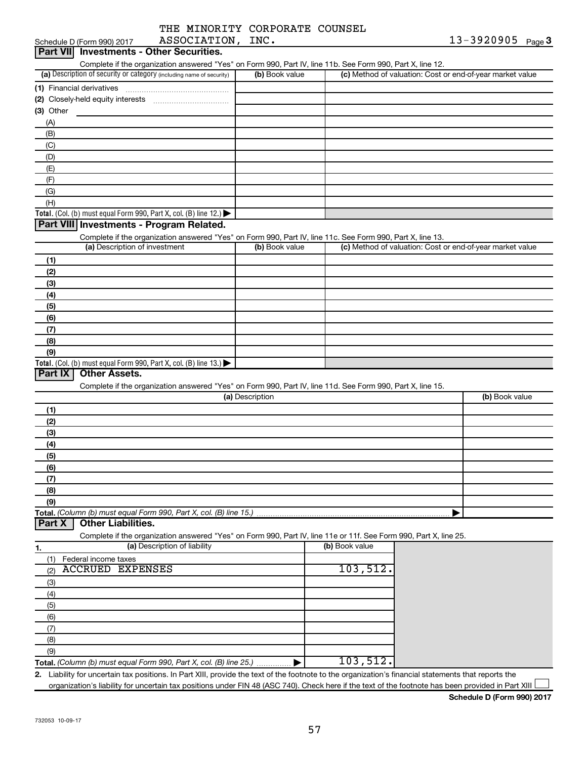| THE MINORITY CORPORATE COUNSEL |  |
|--------------------------------|--|
| ASSOCIATION, INC.              |  |

| Schedule D (Form 990) 2017                                                                                                                                                                        | ASSOCIATION, INC. |                | $13 - 3920905$ Page 3                                     |
|---------------------------------------------------------------------------------------------------------------------------------------------------------------------------------------------------|-------------------|----------------|-----------------------------------------------------------|
| Part VII Investments - Other Securities.                                                                                                                                                          |                   |                |                                                           |
| Complete if the organization answered "Yes" on Form 990, Part IV, line 11b. See Form 990, Part X, line 12.                                                                                        |                   |                |                                                           |
| (a) Description of security or category (including name of security)                                                                                                                              | (b) Book value    |                | (c) Method of valuation: Cost or end-of-year market value |
|                                                                                                                                                                                                   |                   |                |                                                           |
|                                                                                                                                                                                                   |                   |                |                                                           |
| $(3)$ Other                                                                                                                                                                                       |                   |                |                                                           |
| (A)                                                                                                                                                                                               |                   |                |                                                           |
| (B)                                                                                                                                                                                               |                   |                |                                                           |
| (C)                                                                                                                                                                                               |                   |                |                                                           |
| (D)                                                                                                                                                                                               |                   |                |                                                           |
| (E)                                                                                                                                                                                               |                   |                |                                                           |
| (F)                                                                                                                                                                                               |                   |                |                                                           |
| (G)                                                                                                                                                                                               |                   |                |                                                           |
| (H)                                                                                                                                                                                               |                   |                |                                                           |
| Total. (Col. (b) must equal Form 990, Part X, col. (B) line 12.) $\blacktriangleright$                                                                                                            |                   |                |                                                           |
| Part VIII Investments - Program Related.                                                                                                                                                          |                   |                |                                                           |
| Complete if the organization answered "Yes" on Form 990, Part IV, line 11c. See Form 990, Part X, line 13.                                                                                        |                   |                |                                                           |
| (a) Description of investment                                                                                                                                                                     | (b) Book value    |                | (c) Method of valuation: Cost or end-of-year market value |
| (1)                                                                                                                                                                                               |                   |                |                                                           |
| (2)                                                                                                                                                                                               |                   |                |                                                           |
| (3)                                                                                                                                                                                               |                   |                |                                                           |
| (4)                                                                                                                                                                                               |                   |                |                                                           |
|                                                                                                                                                                                                   |                   |                |                                                           |
| (5)                                                                                                                                                                                               |                   |                |                                                           |
| (6)                                                                                                                                                                                               |                   |                |                                                           |
| (7)                                                                                                                                                                                               |                   |                |                                                           |
| (8)                                                                                                                                                                                               |                   |                |                                                           |
| (9)                                                                                                                                                                                               |                   |                |                                                           |
|                                                                                                                                                                                                   |                   |                |                                                           |
| Total. (Col. (b) must equal Form 990, Part X, col. (B) line 13.) $\blacktriangleright$                                                                                                            |                   |                |                                                           |
| Part IX<br>Other Assets.                                                                                                                                                                          |                   |                |                                                           |
| Complete if the organization answered "Yes" on Form 990, Part IV, line 11d. See Form 990, Part X, line 15.                                                                                        |                   |                |                                                           |
|                                                                                                                                                                                                   | (a) Description   |                | (b) Book value                                            |
| (1)                                                                                                                                                                                               |                   |                |                                                           |
| (2)                                                                                                                                                                                               |                   |                |                                                           |
| (3)                                                                                                                                                                                               |                   |                |                                                           |
| (4)                                                                                                                                                                                               |                   |                |                                                           |
| (5)                                                                                                                                                                                               |                   |                |                                                           |
| (6)                                                                                                                                                                                               |                   |                |                                                           |
| (7)                                                                                                                                                                                               |                   |                |                                                           |
| (8)                                                                                                                                                                                               |                   |                |                                                           |
| (9)                                                                                                                                                                                               |                   |                |                                                           |
|                                                                                                                                                                                                   |                   |                |                                                           |
| <b>Other Liabilities.</b>                                                                                                                                                                         |                   |                |                                                           |
| Total. (Column (b) must equal Form 990, Part X, col. (B) line 15.)<br>Part X<br>Complete if the organization answered "Yes" on Form 990, Part IV, line 11e or 11f. See Form 990, Part X, line 25. |                   |                |                                                           |
| (a) Description of liability<br>1.                                                                                                                                                                |                   | (b) Book value |                                                           |
| Federal income taxes<br>(1)                                                                                                                                                                       |                   |                |                                                           |
| <b>ACCRUED EXPENSES</b><br>(2)                                                                                                                                                                    |                   | 103,512.       |                                                           |
| (3)                                                                                                                                                                                               |                   |                |                                                           |
| (4)                                                                                                                                                                                               |                   |                |                                                           |
| (5)                                                                                                                                                                                               |                   |                |                                                           |
| (6)                                                                                                                                                                                               |                   |                |                                                           |
| (7)                                                                                                                                                                                               |                   |                |                                                           |
|                                                                                                                                                                                                   |                   |                |                                                           |
| (8)                                                                                                                                                                                               |                   |                |                                                           |
| (9)<br>Total. (Column (b) must equal Form 990, Part X, col. (B) line 25.) $\ldots$                                                                                                                |                   | 103,512.       |                                                           |

**Schedule D (Form 990) 2017**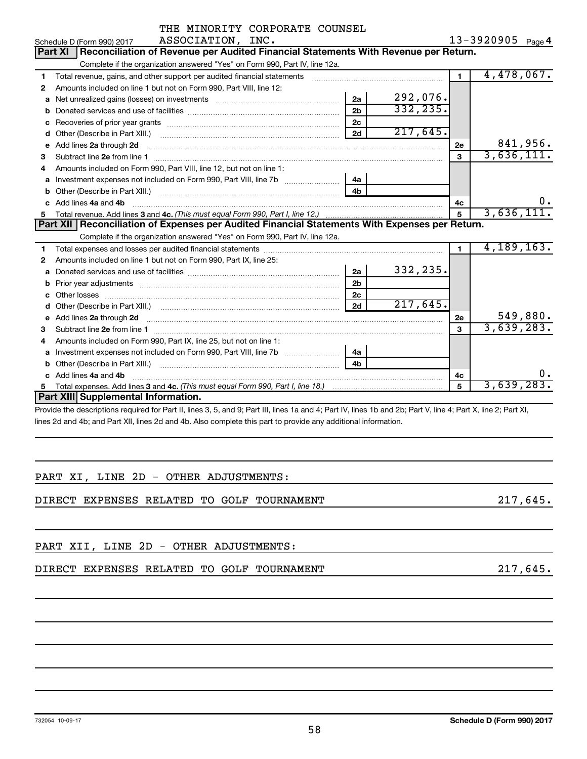|    | THE MINORITY CORPORATE COUNSEL                                                                                                                                |                |           |                |                   |
|----|---------------------------------------------------------------------------------------------------------------------------------------------------------------|----------------|-----------|----------------|-------------------|
|    | ASSOCIATION, INC.<br>Schedule D (Form 990) 2017                                                                                                               |                |           |                | 13-3920905 Page 4 |
|    | Reconciliation of Revenue per Audited Financial Statements With Revenue per Return.<br>Part XI                                                                |                |           |                |                   |
|    | Complete if the organization answered "Yes" on Form 990, Part IV, line 12a.                                                                                   |                |           |                |                   |
| 1  | Total revenue, gains, and other support per audited financial statements                                                                                      |                |           | $\blacksquare$ | 4,478,067.        |
| 2  | Amounts included on line 1 but not on Form 990, Part VIII, line 12:                                                                                           |                |           |                |                   |
| a  |                                                                                                                                                               | 2a             | 292,076.  |                |                   |
| b  |                                                                                                                                                               | 2 <sub>b</sub> | 332, 235. |                |                   |
| с  |                                                                                                                                                               | 2 <sub>c</sub> |           |                |                   |
| d  |                                                                                                                                                               | 2d             | 217,645.  |                |                   |
| e  | Add lines 2a through 2d                                                                                                                                       |                |           | 2e             | 841,956.          |
| з  | Subtract line 2e from line 1 <b>manufacture in the contract of the 2e</b> from line 1                                                                         |                |           | $\mathbf{a}$   | 3,636,111.        |
| 4  | Amounts included on Form 990, Part VIII, line 12, but not on line 1:                                                                                          |                |           |                |                   |
| a  |                                                                                                                                                               | 4a             |           |                |                   |
| b  |                                                                                                                                                               | 4 <sub>h</sub> |           |                |                   |
| c  | Add lines 4a and 4b                                                                                                                                           |                |           | 4с             |                   |
| 5. |                                                                                                                                                               |                |           | 5              | 3,636,111.        |
|    | Part XII Reconciliation of Expenses per Audited Financial Statements With Expenses per Return.                                                                |                |           |                |                   |
|    | Complete if the organization answered "Yes" on Form 990, Part IV, line 12a.                                                                                   |                |           |                |                   |
| 1  |                                                                                                                                                               |                |           | $\blacksquare$ | 4, 189, 163.      |
| 2  | Amounts included on line 1 but not on Form 990, Part IX, line 25:                                                                                             |                |           |                |                   |
| a  |                                                                                                                                                               | 2a             | 332,235.  |                |                   |
| b  |                                                                                                                                                               | 2 <sub>b</sub> |           |                |                   |
| с  |                                                                                                                                                               | 2c             |           |                |                   |
| d  |                                                                                                                                                               | 2d             | 217,645.  |                |                   |
| e  | Add lines 2a through 2d <b>contained a contained a contained a contained a</b> contained a contained a contact the set                                        |                |           | <b>2e</b>      | 549,880.          |
| з  |                                                                                                                                                               |                |           | 3              | 3,639,283.        |
| 4  | Amounts included on Form 990, Part IX, line 25, but not on line 1:                                                                                            |                |           |                |                   |
| a  | Investment expenses not included on Form 990, Part VIII, line 7b [100] [100] [100] [100] [100] [100] [100] [10                                                | 4a             |           |                |                   |
| b  |                                                                                                                                                               | 4 <sub>b</sub> |           |                |                   |
|    | Add lines 4a and 4b                                                                                                                                           |                |           | 4c             | ο.                |
| 5. |                                                                                                                                                               |                |           | 5              | 3,639,283.        |
|    | Part XIII Supplemental Information.                                                                                                                           |                |           |                |                   |
|    | Drougle the descriptions required for Dart II, lines 2, 5, and 0; Dart III, lines 10 and 4; Dart IV, lines 1b and 2b; Dart V, line 4; Dart V, line 2; Dart VI |                |           |                |                   |

Provide the descriptions required for Part II, lines 3, 5, and 9; Part III, lines 1a and 4; Part IV, lines 1b and 2b; Part V, line 4; Part X, line 2; Part XI, lines 2d and 4b; and Part XII, lines 2d and 4b. Also complete this part to provide any additional information.

|  |  |  | PART XI, LINE 2D - OTHER ADJUSTMENTS: |
|--|--|--|---------------------------------------|
|  |  |  |                                       |

DIRECT EXPENSES RELATED TO GOLF TOURNAMENT **1990 1217,645.** 

PART XII, LINE 2D - OTHER ADJUSTMENTS:

DIRECT EXPENSES RELATED TO GOLF TOURNAMENT **1990 1217,645.** 217,645.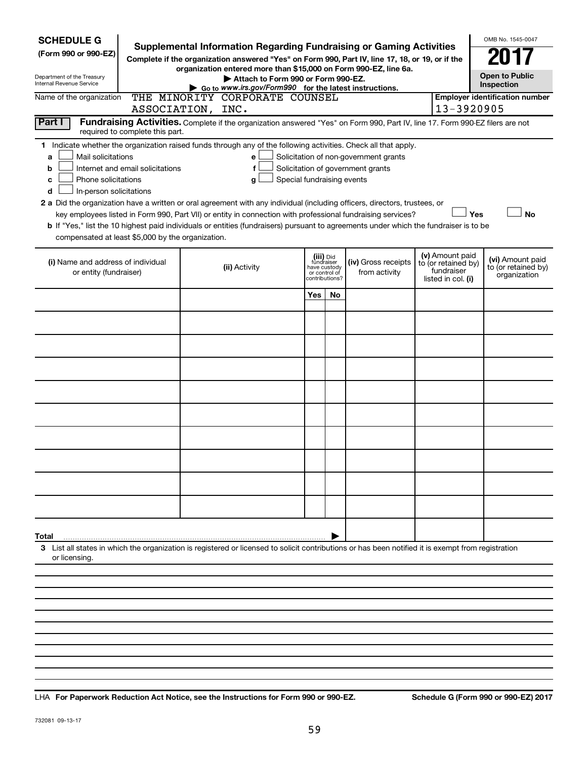| <b>SCHEDULE G</b><br>(Form 990 or 990-EZ)<br>Department of the Treasury<br>Internal Revenue Service                                                                               |  | <b>Supplemental Information Regarding Fundraising or Gaming Activities</b><br>Complete if the organization answered "Yes" on Form 990, Part IV, line 17, 18, or 19, or if the<br>organization entered more than \$15,000 on Form 990-EZ, line 6a.<br>Attach to Form 990 or Form 990-EZ.<br>Go to www.irs.gov/Form990 for the latest instructions.                                                                                                                                                                                                  |                                |                                          |                                                                            |  |                                                                            | OMB No. 1545-0047<br><b>Open to Public</b><br>Inspection |
|-----------------------------------------------------------------------------------------------------------------------------------------------------------------------------------|--|----------------------------------------------------------------------------------------------------------------------------------------------------------------------------------------------------------------------------------------------------------------------------------------------------------------------------------------------------------------------------------------------------------------------------------------------------------------------------------------------------------------------------------------------------|--------------------------------|------------------------------------------|----------------------------------------------------------------------------|--|----------------------------------------------------------------------------|----------------------------------------------------------|
| THE MINORITY CORPORATE COUNSEL<br>Name of the organization<br>ASSOCIATION, INC.                                                                                                   |  |                                                                                                                                                                                                                                                                                                                                                                                                                                                                                                                                                    |                                |                                          |                                                                            |  | 13-3920905                                                                 | <b>Employer identification number</b>                    |
| Part I<br>Fundraising Activities. Complete if the organization answered "Yes" on Form 990, Part IV, line 17. Form 990-EZ filers are not<br>required to complete this part.        |  |                                                                                                                                                                                                                                                                                                                                                                                                                                                                                                                                                    |                                |                                          |                                                                            |  |                                                                            |                                                          |
| Mail solicitations<br>a<br>Internet and email solicitations<br>b<br>Phone solicitations<br>c<br>In-person solicitations<br>d<br>compensated at least \$5,000 by the organization. |  | 1 Indicate whether the organization raised funds through any of the following activities. Check all that apply.<br>е<br>f<br>Special fundraising events<br>g<br>2 a Did the organization have a written or oral agreement with any individual (including officers, directors, trustees, or<br>key employees listed in Form 990, Part VII) or entity in connection with professional fundraising services?<br>b If "Yes," list the 10 highest paid individuals or entities (fundraisers) pursuant to agreements under which the fundraiser is to be |                                |                                          | Solicitation of non-government grants<br>Solicitation of government grants |  |                                                                            | Yes<br><b>No</b>                                         |
| (i) Name and address of individual<br>or entity (fundraiser)                                                                                                                      |  | (ii) Activity                                                                                                                                                                                                                                                                                                                                                                                                                                                                                                                                      | have custody<br>contributions? | (iii) Did<br>fundraiser<br>or control of | (iv) Gross receipts<br>from activity                                       |  | (v) Amount paid<br>to (or retained by)<br>fundraiser<br>listed in col. (i) | (vi) Amount paid<br>to (or retained by)<br>organization  |
|                                                                                                                                                                                   |  |                                                                                                                                                                                                                                                                                                                                                                                                                                                                                                                                                    | Yes                            | No                                       |                                                                            |  |                                                                            |                                                          |
|                                                                                                                                                                                   |  |                                                                                                                                                                                                                                                                                                                                                                                                                                                                                                                                                    |                                |                                          |                                                                            |  |                                                                            |                                                          |
|                                                                                                                                                                                   |  |                                                                                                                                                                                                                                                                                                                                                                                                                                                                                                                                                    |                                |                                          |                                                                            |  |                                                                            |                                                          |
|                                                                                                                                                                                   |  |                                                                                                                                                                                                                                                                                                                                                                                                                                                                                                                                                    |                                |                                          |                                                                            |  |                                                                            |                                                          |
|                                                                                                                                                                                   |  |                                                                                                                                                                                                                                                                                                                                                                                                                                                                                                                                                    |                                |                                          |                                                                            |  |                                                                            |                                                          |
|                                                                                                                                                                                   |  |                                                                                                                                                                                                                                                                                                                                                                                                                                                                                                                                                    |                                |                                          |                                                                            |  |                                                                            |                                                          |
|                                                                                                                                                                                   |  |                                                                                                                                                                                                                                                                                                                                                                                                                                                                                                                                                    |                                |                                          |                                                                            |  |                                                                            |                                                          |
|                                                                                                                                                                                   |  |                                                                                                                                                                                                                                                                                                                                                                                                                                                                                                                                                    |                                |                                          |                                                                            |  |                                                                            |                                                          |
|                                                                                                                                                                                   |  |                                                                                                                                                                                                                                                                                                                                                                                                                                                                                                                                                    |                                |                                          |                                                                            |  |                                                                            |                                                          |
|                                                                                                                                                                                   |  |                                                                                                                                                                                                                                                                                                                                                                                                                                                                                                                                                    |                                |                                          |                                                                            |  |                                                                            |                                                          |
|                                                                                                                                                                                   |  |                                                                                                                                                                                                                                                                                                                                                                                                                                                                                                                                                    |                                |                                          |                                                                            |  |                                                                            |                                                          |
| Total<br>or licensing.                                                                                                                                                            |  | 3 List all states in which the organization is registered or licensed to solicit contributions or has been notified it is exempt from registration                                                                                                                                                                                                                                                                                                                                                                                                 |                                |                                          |                                                                            |  |                                                                            |                                                          |
|                                                                                                                                                                                   |  |                                                                                                                                                                                                                                                                                                                                                                                                                                                                                                                                                    |                                |                                          |                                                                            |  |                                                                            |                                                          |
|                                                                                                                                                                                   |  |                                                                                                                                                                                                                                                                                                                                                                                                                                                                                                                                                    |                                |                                          |                                                                            |  |                                                                            |                                                          |
|                                                                                                                                                                                   |  |                                                                                                                                                                                                                                                                                                                                                                                                                                                                                                                                                    |                                |                                          |                                                                            |  |                                                                            |                                                          |

**For Paperwork Reduction Act Notice, see the Instructions for Form 990 or 990-EZ. Schedule G (Form 990 or 990-EZ) 2017** LHA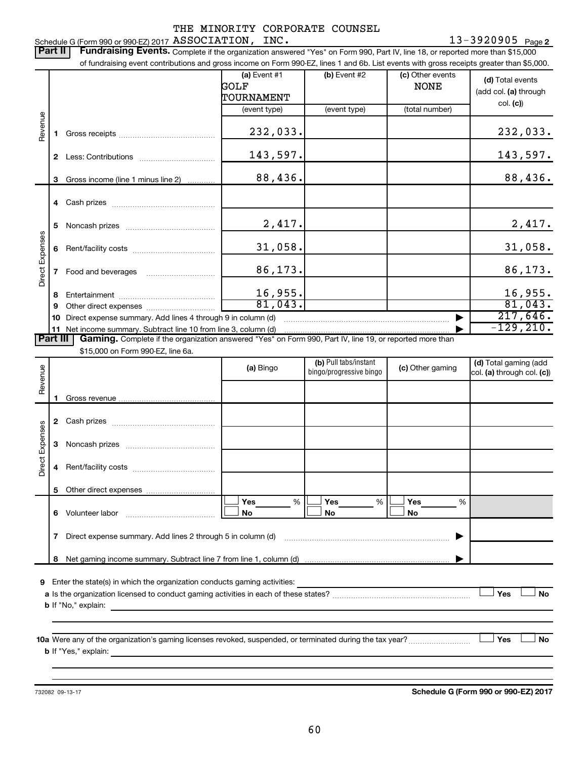13-3920905 <sub>Page 2</sub> Schedule G (Form 990 or 990-EZ) 2017 Page ASSOCIATION, INC. 13-3920905

Part II | Fundraising Events. Complete if the organization answered "Yes" on Form 990, Part IV, line 18, or reported more than \$15,000 of fundraising event contributions and gross income on Form 990-EZ, lines 1 and 6b. List events with gross receipts greater than \$5,000. **(a)** Event  $#1$  **(b)** Event  $#2$ (c) Other events **(d)**  Total events GOLF NONE (add col. (a) through TOURNAMENT col. **(c)**) (event type) (event type) (total number) Revenue 232,033. **1** Gross receipts ~~~~~~~~~~~~~~ 143,597. 143,597. **2** Less: Contributions ~~~~~~~~~~~ 88,436. **3** Gross income (line 1 minus line 2) . . . . . . . . . . . . **4** Cash prizes ~~~~~~~~~~~~~~~ 2,417. 2,417. **5** Noncash prizes ~~~~~~~~~~~~~ Direct Expenses Direct Expenses 31,058. 31,058. **6** Rent/facility costs ~~~~~~~~~~~~ 86,173. 86,173. **7** Food and beverages **with the State Proof** 16,955. 16,955. **8** Entertainment ~~~~~~~~~~~~~~ 81,043. **9** Other direct expenses  $\ldots$  **............................** 217,646. **10** Direct expense summary. Add lines 4 through 9 in column (d)  $~\bullet~$ -129,210. **11** Net income summary. Subtract line 10 from line 3, column (d) | Part III | Gaming. Complete if the organization answered "Yes" on Form 990, Part IV, line 19, or reported more than \$15,000 on Form 990-EZ, line 6a. (b) Pull tabs/instant (d) Total gaming (add Revenue **(a)** Bingo **a b**ingo/progressive bingo **(c)** Other gaming bingo/progressive bingo col. (a) through col. (c)) Gross revenue... **1 2** Cash prizes ~~~~~~~~~~~~~~~ Direct Expenses Direct Expenses **3** Noncash prizes ~~~~~~~~~~~~~ **4** Rent/facility costs ~~~~~~~~~~~~ **5** Other direct expenses  $|\Box$  Yes  $\qquad \%$   $|\Box$  Yes  $\qquad \%$   $|\Box$ **Yes Yes Yes** % % %  $|\Box$  No  $|\Box$  No  $|\Box$ **6** Volunteer labor ~~~~~~~~~~~~~ **No No No 7** Direct expense summary. Add lines 2 through 5 in column (d) ~~~~~~~~~~~~~~~~~~~~~~~~ | **8** Net gaming income summary. Subtract line 7 from line 1, column (d) | **9** Enter the state(s) in which the organization conducts gaming activities:  $|$  Yes **Yes No a** Is the organization licensed to conduct gaming activities in each of these states? ~~~~~~~~~~~~~~~~~~~~ **b** If "No," explain: **10 a** Were any of the organization's gaming licenses revoked, suspended, or terminated during the tax year? ~~~~~~~~~ † † **Yes No b** If "Yes," explain:

732082 09-13-17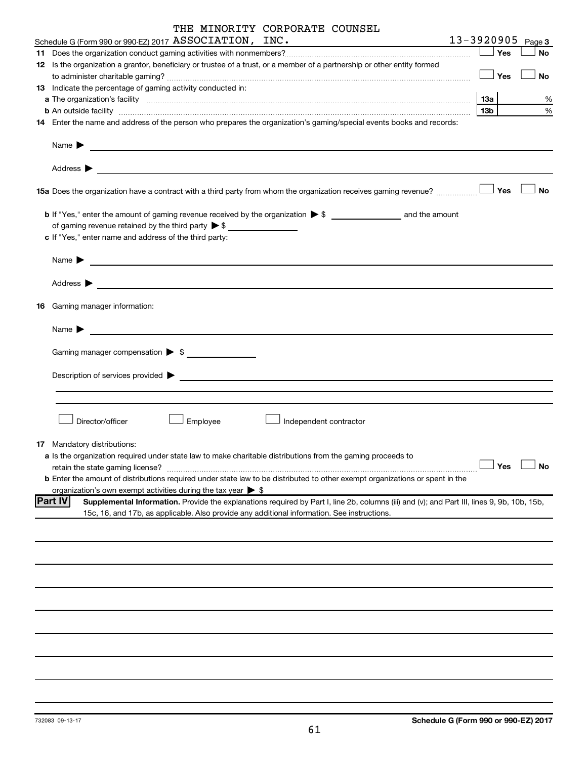|    | THE MINORITY CORPORATE COUNSEL                                                                                                                                                                                                                                                        |                                    |
|----|---------------------------------------------------------------------------------------------------------------------------------------------------------------------------------------------------------------------------------------------------------------------------------------|------------------------------------|
|    | Schedule G (Form 990 or 990-EZ) 2017 ASSOCIATION, INC.                                                                                                                                                                                                                                | 13-3920905<br>Page 3               |
|    |                                                                                                                                                                                                                                                                                       | Yes<br>No                          |
|    | 12 Is the organization a grantor, beneficiary or trustee of a trust, or a member of a partnership or other entity formed                                                                                                                                                              |                                    |
|    |                                                                                                                                                                                                                                                                                       | Yes<br><b>No</b>                   |
|    | 13 Indicate the percentage of gaming activity conducted in:                                                                                                                                                                                                                           |                                    |
|    |                                                                                                                                                                                                                                                                                       | 13a  <br>%<br>13 <sub>b</sub><br>% |
|    | <b>b</b> An outside facility <i>www.communicality www.communicality.communicality www.communicality www.communicality.communicality www.communicality.com</i><br>14 Enter the name and address of the person who prepares the organization's gaming/special events books and records: |                                    |
|    |                                                                                                                                                                                                                                                                                       |                                    |
|    | Name $\blacktriangleright$                                                                                                                                                                                                                                                            |                                    |
|    | Address $\blacktriangleright$<br><u> 1989 - Johann Barbara, martxa alemaniar amerikan basar da da a shekara 1980 - Andrew Santan Barbara a shekara</u>                                                                                                                                |                                    |
|    | 15a Does the organization have a contract with a third party from whom the organization receives gaming revenue?                                                                                                                                                                      | Yes<br><b>No</b>                   |
|    |                                                                                                                                                                                                                                                                                       |                                    |
|    | of gaming revenue retained by the third party $\triangleright$ \$                                                                                                                                                                                                                     |                                    |
|    | c If "Yes," enter name and address of the third party:                                                                                                                                                                                                                                |                                    |
|    | Name $\blacktriangleright$                                                                                                                                                                                                                                                            |                                    |
|    |                                                                                                                                                                                                                                                                                       |                                    |
|    | Address $\blacktriangleright$                                                                                                                                                                                                                                                         |                                    |
| 16 | Gaming manager information:                                                                                                                                                                                                                                                           |                                    |
|    | Name $\blacktriangleright$<br><u> 1980 - Andrea Andrew Maria (h. 1980).</u>                                                                                                                                                                                                           |                                    |
|    | Gaming manager compensation > \$                                                                                                                                                                                                                                                      |                                    |
|    |                                                                                                                                                                                                                                                                                       |                                    |
|    | Description of services provided >                                                                                                                                                                                                                                                    |                                    |
|    |                                                                                                                                                                                                                                                                                       |                                    |
|    |                                                                                                                                                                                                                                                                                       |                                    |
|    |                                                                                                                                                                                                                                                                                       |                                    |
|    | Director/officer<br>Employee<br>Independent contractor                                                                                                                                                                                                                                |                                    |
|    |                                                                                                                                                                                                                                                                                       |                                    |
|    | Mandatory distributions:                                                                                                                                                                                                                                                              |                                    |
|    | a Is the organization required under state law to make charitable distributions from the gaming proceeds to                                                                                                                                                                           |                                    |
|    | retain the state gaming license?                                                                                                                                                                                                                                                      | No<br>Yes                          |
|    | <b>b</b> Enter the amount of distributions required under state law to be distributed to other exempt organizations or spent in the                                                                                                                                                   |                                    |
|    | organization's own exempt activities during the tax year $\triangleright$ \$                                                                                                                                                                                                          |                                    |
|    | <b>Part IV</b><br>Supplemental Information. Provide the explanations required by Part I, line 2b, columns (iii) and (v); and Part III, lines 9, 9b, 10b, 15b,                                                                                                                         |                                    |
|    | 15c, 16, and 17b, as applicable. Also provide any additional information. See instructions.                                                                                                                                                                                           |                                    |
|    |                                                                                                                                                                                                                                                                                       |                                    |
|    |                                                                                                                                                                                                                                                                                       |                                    |
|    |                                                                                                                                                                                                                                                                                       |                                    |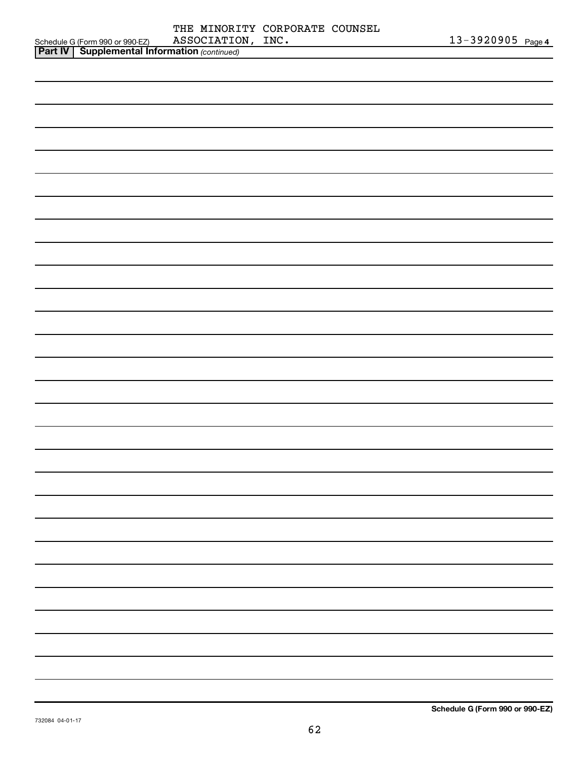|                                                                                                     |                   | THE MINORITY CORPORATE COUNSEL |                   |  |
|-----------------------------------------------------------------------------------------------------|-------------------|--------------------------------|-------------------|--|
|                                                                                                     | ASSOCIATION, INC. |                                | 13-3920905 Page 4 |  |
| Schedule G (Form 990 or 990-EZ) ASSOCIATIO<br><b>Part IV   Supplemental Information</b> (continued) |                   |                                |                   |  |
|                                                                                                     |                   |                                |                   |  |
|                                                                                                     |                   |                                |                   |  |
|                                                                                                     |                   |                                |                   |  |
|                                                                                                     |                   |                                |                   |  |
|                                                                                                     |                   |                                |                   |  |
|                                                                                                     |                   |                                |                   |  |
|                                                                                                     |                   |                                |                   |  |
|                                                                                                     |                   |                                |                   |  |
|                                                                                                     |                   |                                |                   |  |
|                                                                                                     |                   |                                |                   |  |
|                                                                                                     |                   |                                |                   |  |
|                                                                                                     |                   |                                |                   |  |
|                                                                                                     |                   |                                |                   |  |
|                                                                                                     |                   |                                |                   |  |
|                                                                                                     |                   |                                |                   |  |
|                                                                                                     |                   |                                |                   |  |
|                                                                                                     |                   |                                |                   |  |
|                                                                                                     |                   |                                |                   |  |
|                                                                                                     |                   |                                |                   |  |
|                                                                                                     |                   |                                |                   |  |
|                                                                                                     |                   |                                |                   |  |
|                                                                                                     |                   |                                |                   |  |
|                                                                                                     |                   |                                |                   |  |
|                                                                                                     |                   |                                |                   |  |
|                                                                                                     |                   |                                |                   |  |
|                                                                                                     |                   |                                |                   |  |
|                                                                                                     |                   |                                |                   |  |
|                                                                                                     |                   |                                |                   |  |
|                                                                                                     |                   |                                |                   |  |
|                                                                                                     |                   |                                |                   |  |
|                                                                                                     |                   |                                |                   |  |
|                                                                                                     |                   |                                |                   |  |
|                                                                                                     |                   |                                |                   |  |
|                                                                                                     |                   |                                |                   |  |
|                                                                                                     |                   |                                |                   |  |
|                                                                                                     |                   |                                |                   |  |
|                                                                                                     |                   |                                |                   |  |
|                                                                                                     |                   |                                |                   |  |
|                                                                                                     |                   |                                |                   |  |
|                                                                                                     |                   |                                |                   |  |
|                                                                                                     |                   |                                |                   |  |
|                                                                                                     |                   |                                |                   |  |
|                                                                                                     |                   |                                |                   |  |
|                                                                                                     |                   |                                |                   |  |
|                                                                                                     |                   |                                |                   |  |
|                                                                                                     |                   |                                |                   |  |
|                                                                                                     |                   |                                |                   |  |
|                                                                                                     |                   |                                |                   |  |
|                                                                                                     |                   |                                |                   |  |
|                                                                                                     |                   |                                |                   |  |
|                                                                                                     |                   |                                |                   |  |
|                                                                                                     |                   |                                |                   |  |
|                                                                                                     |                   |                                |                   |  |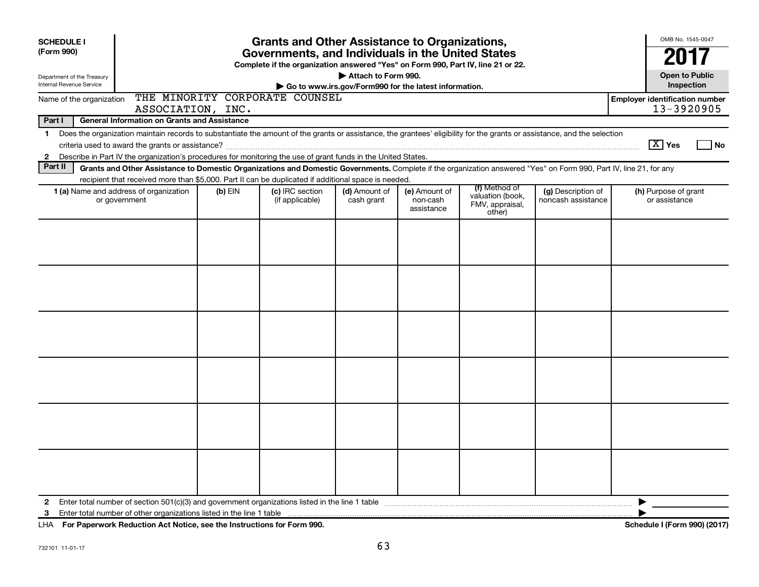| <b>Grants and Other Assistance to Organizations,</b><br><b>SCHEDULE I</b><br>(Form 990)<br>Governments, and Individuals in the United States<br>Complete if the organization answered "Yes" on Form 990, Part IV, line 21 or 22. |                                                                                                                                                                                                                                                                                           |         |                                    |                             |                                                       |                                                                |                                          |                                                     |
|----------------------------------------------------------------------------------------------------------------------------------------------------------------------------------------------------------------------------------|-------------------------------------------------------------------------------------------------------------------------------------------------------------------------------------------------------------------------------------------------------------------------------------------|---------|------------------------------------|-----------------------------|-------------------------------------------------------|----------------------------------------------------------------|------------------------------------------|-----------------------------------------------------|
| Department of the Treasury<br>Internal Revenue Service                                                                                                                                                                           |                                                                                                                                                                                                                                                                                           |         |                                    | Attach to Form 990.         | Go to www.irs.gov/Form990 for the latest information. |                                                                |                                          | <b>Open to Public</b><br>Inspection                 |
| Name of the organization                                                                                                                                                                                                         | ASSOCIATION, INC.                                                                                                                                                                                                                                                                         |         | THE MINORITY CORPORATE COUNSEL     |                             |                                                       |                                                                |                                          | <b>Employer identification number</b><br>13-3920905 |
| Part I                                                                                                                                                                                                                           | <b>General Information on Grants and Assistance</b>                                                                                                                                                                                                                                       |         |                                    |                             |                                                       |                                                                |                                          |                                                     |
| $\mathbf 1$<br>$\mathbf{2}$                                                                                                                                                                                                      | Does the organization maintain records to substantiate the amount of the grants or assistance, the grantees' eligibility for the grants or assistance, and the selection<br>Describe in Part IV the organization's procedures for monitoring the use of grant funds in the United States. |         |                                    |                             |                                                       |                                                                |                                          | $\boxed{\text{X}}$ Yes<br>l No                      |
| Part II                                                                                                                                                                                                                          | Grants and Other Assistance to Domestic Organizations and Domestic Governments. Complete if the organization answered "Yes" on Form 990, Part IV, line 21, for any                                                                                                                        |         |                                    |                             |                                                       |                                                                |                                          |                                                     |
|                                                                                                                                                                                                                                  | recipient that received more than \$5,000. Part II can be duplicated if additional space is needed.                                                                                                                                                                                       |         |                                    |                             |                                                       |                                                                |                                          |                                                     |
|                                                                                                                                                                                                                                  | 1 (a) Name and address of organization<br>or government                                                                                                                                                                                                                                   | (b) EIN | (c) IRC section<br>(if applicable) | (d) Amount of<br>cash grant | (e) Amount of<br>non-cash<br>assistance               | (f) Method of<br>valuation (book,<br>FMV, appraisal,<br>other) | (g) Description of<br>noncash assistance | (h) Purpose of grant<br>or assistance               |
|                                                                                                                                                                                                                                  |                                                                                                                                                                                                                                                                                           |         |                                    |                             |                                                       |                                                                |                                          |                                                     |
|                                                                                                                                                                                                                                  |                                                                                                                                                                                                                                                                                           |         |                                    |                             |                                                       |                                                                |                                          |                                                     |
|                                                                                                                                                                                                                                  |                                                                                                                                                                                                                                                                                           |         |                                    |                             |                                                       |                                                                |                                          |                                                     |
|                                                                                                                                                                                                                                  |                                                                                                                                                                                                                                                                                           |         |                                    |                             |                                                       |                                                                |                                          |                                                     |
|                                                                                                                                                                                                                                  |                                                                                                                                                                                                                                                                                           |         |                                    |                             |                                                       |                                                                |                                          |                                                     |
|                                                                                                                                                                                                                                  |                                                                                                                                                                                                                                                                                           |         |                                    |                             |                                                       |                                                                |                                          |                                                     |
| 2<br>3                                                                                                                                                                                                                           |                                                                                                                                                                                                                                                                                           |         |                                    |                             |                                                       |                                                                |                                          | ▶                                                   |

**For Paperwork Reduction Act Notice, see the Instructions for Form 990. Schedule I (Form 990) (2017)** LHA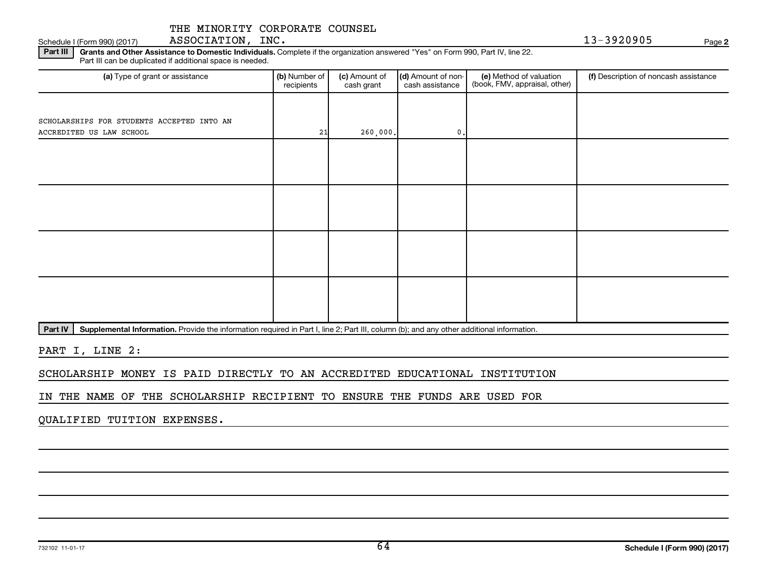Schedule I (Form 990) (2017) ASSOCIATION,INC. 13-3920905 Page

**2**

Part III | Grants and Other Assistance to Domestic Individuals. Complete if the organization answered "Yes" on Form 990, Part IV, line 22. Part III can be duplicated if additional space is needed.

| (a) Type of grant or assistance            | (b) Number of<br>recipients | (c) Amount of<br>cash grant | (d) Amount of non-<br>cash assistance | (e) Method of valuation<br>(book, FMV, appraisal, other) | (f) Description of noncash assistance |
|--------------------------------------------|-----------------------------|-----------------------------|---------------------------------------|----------------------------------------------------------|---------------------------------------|
|                                            |                             |                             |                                       |                                                          |                                       |
| SCHOLARSHIPS FOR STUDENTS ACCEPTED INTO AN |                             |                             |                                       |                                                          |                                       |
| ACCREDITED US LAW SCHOOL                   | 21                          | 260,000.                    | $\mathbf{0}$ .                        |                                                          |                                       |
|                                            |                             |                             |                                       |                                                          |                                       |
|                                            |                             |                             |                                       |                                                          |                                       |
|                                            |                             |                             |                                       |                                                          |                                       |
|                                            |                             |                             |                                       |                                                          |                                       |
|                                            |                             |                             |                                       |                                                          |                                       |
|                                            |                             |                             |                                       |                                                          |                                       |
|                                            |                             |                             |                                       |                                                          |                                       |
|                                            |                             |                             |                                       |                                                          |                                       |
|                                            |                             |                             |                                       |                                                          |                                       |
|                                            |                             |                             |                                       |                                                          |                                       |
|                                            |                             |                             |                                       |                                                          |                                       |
|                                            |                             |                             |                                       |                                                          |                                       |
|                                            |                             |                             |                                       |                                                          |                                       |
|                                            |                             |                             |                                       |                                                          |                                       |

Part IV | Supplemental Information. Provide the information required in Part I, line 2; Part III, column (b); and any other additional information.

PART I, LINE 2:

SCHOLARSHIP MONEY IS PAID DIRECTLY TO AN ACCREDITED EDUCATIONAL INSTITUTION

IN THE NAME OF THE SCHOLARSHIP RECIPIENT TO ENSURE THE FUNDS ARE USED FOR

QUALIFIED TUITION EXPENSES.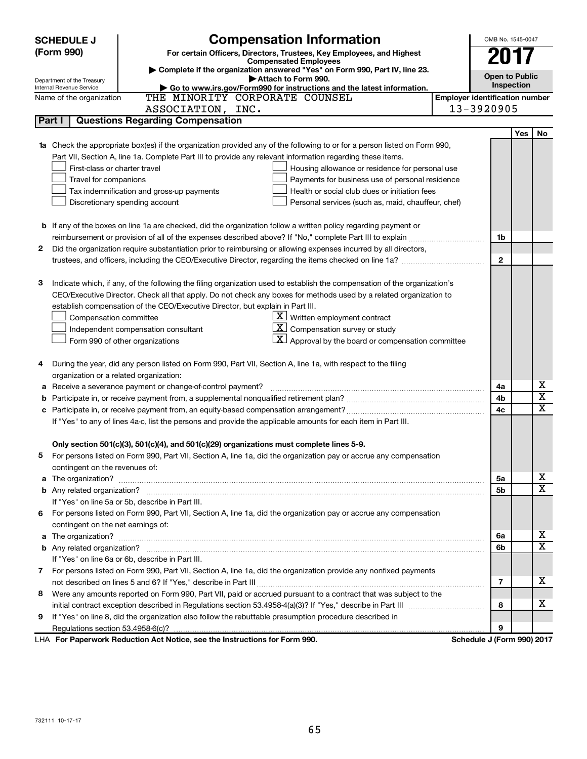| <b>SCHEDULE J</b>                       | <b>Compensation Information</b>                                                                                                 |                                       | OMB No. 1545-0047 |            |                         |  |  |
|-----------------------------------------|---------------------------------------------------------------------------------------------------------------------------------|---------------------------------------|-------------------|------------|-------------------------|--|--|
| (Form 990)                              | For certain Officers, Directors, Trustees, Key Employees, and Highest                                                           |                                       |                   |            |                         |  |  |
|                                         | <b>Compensated Employees</b>                                                                                                    |                                       |                   |            |                         |  |  |
|                                         | Complete if the organization answered "Yes" on Form 990, Part IV, line 23.<br>Attach to Form 990.<br>Department of the Treasury |                                       |                   |            |                         |  |  |
| Internal Revenue Service                | Go to www.irs.gov/Form990 for instructions and the latest information.                                                          |                                       | Inspection        |            |                         |  |  |
| Name of the organization                | THE MINORITY CORPORATE COUNSEL                                                                                                  | <b>Employer identification number</b> |                   |            |                         |  |  |
|                                         | ASSOCIATION, INC.                                                                                                               | 13-3920905                            |                   |            |                         |  |  |
| Part I                                  | <b>Questions Regarding Compensation</b>                                                                                         |                                       |                   |            |                         |  |  |
|                                         |                                                                                                                                 |                                       |                   | <b>Yes</b> | No                      |  |  |
|                                         | 1a Check the appropriate box(es) if the organization provided any of the following to or for a person listed on Form 990,       |                                       |                   |            |                         |  |  |
|                                         | Part VII, Section A, line 1a. Complete Part III to provide any relevant information regarding these items.                      |                                       |                   |            |                         |  |  |
| First-class or charter travel           | Housing allowance or residence for personal use                                                                                 |                                       |                   |            |                         |  |  |
| Travel for companions                   | Payments for business use of personal residence                                                                                 |                                       |                   |            |                         |  |  |
|                                         | Health or social club dues or initiation fees<br>Tax indemnification and gross-up payments                                      |                                       |                   |            |                         |  |  |
|                                         | Discretionary spending account<br>Personal services (such as, maid, chauffeur, chef)                                            |                                       |                   |            |                         |  |  |
|                                         |                                                                                                                                 |                                       |                   |            |                         |  |  |
|                                         | <b>b</b> If any of the boxes on line 1a are checked, did the organization follow a written policy regarding payment or          |                                       |                   |            |                         |  |  |
|                                         |                                                                                                                                 |                                       | 1b                |            |                         |  |  |
| 2                                       | Did the organization require substantiation prior to reimbursing or allowing expenses incurred by all directors,                |                                       |                   |            |                         |  |  |
|                                         | trustees, and officers, including the CEO/Executive Director, regarding the items checked on line 1a?                           |                                       | $\mathbf{2}$      |            |                         |  |  |
|                                         |                                                                                                                                 |                                       |                   |            |                         |  |  |
| з                                       | Indicate which, if any, of the following the filing organization used to establish the compensation of the organization's       |                                       |                   |            |                         |  |  |
|                                         | CEO/Executive Director. Check all that apply. Do not check any boxes for methods used by a related organization to              |                                       |                   |            |                         |  |  |
|                                         | establish compensation of the CEO/Executive Director, but explain in Part III.                                                  |                                       |                   |            |                         |  |  |
| Compensation committee                  | $\underline{\mathbf{X}}$ Written employment contract                                                                            |                                       |                   |            |                         |  |  |
|                                         | <u>x  </u><br>Compensation survey or study<br>Independent compensation consultant                                               |                                       |                   |            |                         |  |  |
|                                         | $ \mathbf{X} $ Approval by the board or compensation committee<br>Form 990 of other organizations                               |                                       |                   |            |                         |  |  |
|                                         |                                                                                                                                 |                                       |                   |            |                         |  |  |
| 4                                       | During the year, did any person listed on Form 990, Part VII, Section A, line 1a, with respect to the filing                    |                                       |                   |            |                         |  |  |
| organization or a related organization: |                                                                                                                                 |                                       |                   |            |                         |  |  |
| а                                       | Receive a severance payment or change-of-control payment?                                                                       |                                       | 4a                |            | х                       |  |  |
| b                                       |                                                                                                                                 |                                       | 4b                |            | $\overline{\mathbf{X}}$ |  |  |
| c                                       |                                                                                                                                 |                                       | 4c                |            | X                       |  |  |
|                                         | If "Yes" to any of lines 4a-c, list the persons and provide the applicable amounts for each item in Part III.                   |                                       |                   |            |                         |  |  |
|                                         |                                                                                                                                 |                                       |                   |            |                         |  |  |
|                                         | Only section 501(c)(3), 501(c)(4), and 501(c)(29) organizations must complete lines 5-9.                                        |                                       |                   |            |                         |  |  |
|                                         | For persons listed on Form 990, Part VII, Section A, line 1a, did the organization pay or accrue any compensation               |                                       |                   |            |                         |  |  |
| contingent on the revenues of:          |                                                                                                                                 |                                       |                   |            |                         |  |  |
|                                         |                                                                                                                                 |                                       | 5a                |            | х<br>X                  |  |  |
|                                         |                                                                                                                                 |                                       | 5b                |            |                         |  |  |
|                                         | If "Yes" on line 5a or 5b, describe in Part III.                                                                                |                                       |                   |            |                         |  |  |
|                                         | 6 For persons listed on Form 990, Part VII, Section A, line 1a, did the organization pay or accrue any compensation             |                                       |                   |            |                         |  |  |
| contingent on the net earnings of:      |                                                                                                                                 |                                       |                   |            |                         |  |  |
|                                         |                                                                                                                                 |                                       | 6a                |            | х<br>X                  |  |  |
|                                         |                                                                                                                                 |                                       | 6b                |            |                         |  |  |
|                                         | If "Yes" on line 6a or 6b, describe in Part III.                                                                                |                                       |                   |            |                         |  |  |
|                                         | 7 For persons listed on Form 990, Part VII, Section A, line 1a, did the organization provide any nonfixed payments              |                                       |                   |            |                         |  |  |
|                                         |                                                                                                                                 |                                       | 7                 |            | x                       |  |  |
| 8                                       | Were any amounts reported on Form 990, Part VII, paid or accrued pursuant to a contract that was subject to the                 |                                       |                   |            |                         |  |  |
|                                         |                                                                                                                                 |                                       | 8                 |            | x                       |  |  |
| 9                                       | If "Yes" on line 8, did the organization also follow the rebuttable presumption procedure described in                          |                                       |                   |            |                         |  |  |
|                                         |                                                                                                                                 |                                       | 9                 |            |                         |  |  |
|                                         | LHA For Paperwork Reduction Act Notice, see the Instructions for Form 990.                                                      | Schedule J (Form 990) 2017            |                   |            |                         |  |  |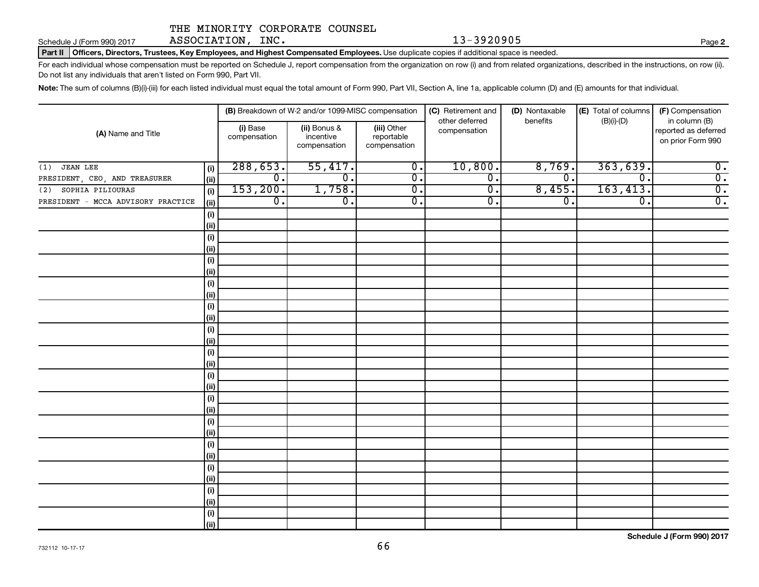Schedule J (Form 990) 2017 ASSOCIATION,INC. 13-3920905 Page

**2**

Part II | Officers, Directors, Trustees, Key Employees, and Highest Compensated Employees. Use duplicate copies if additional space is needed.

For each individual whose compensation must be reported on Schedule J, report compensation from the organization on row (i) and from related organizations, described in the instructions, on row (ii). Do not list any individuals that aren't listed on Form 990, Part VII.

Note: The sum of columns (B)(i)-(iii) for each listed individual must equal the total amount of Form 990, Part VII, Section A, line 1a, applicable column (D) and (E) amounts for that individual.

|                                    |                              |                             | (B) Breakdown of W-2 and/or 1099-MISC compensation |                                           |                                | (D) Nontaxable   | (E) Total of columns | (F) Compensation                                           |
|------------------------------------|------------------------------|-----------------------------|----------------------------------------------------|-------------------------------------------|--------------------------------|------------------|----------------------|------------------------------------------------------------|
| (A) Name and Title                 |                              | (i) Base<br>compensation    | (ii) Bonus &<br>incentive<br>compensation          | (iii) Other<br>reportable<br>compensation | other deferred<br>compensation | benefits         | $(B)(i)-(D)$         | in column (B)<br>reported as deferred<br>on prior Form 990 |
| <b>JEAN LEE</b><br>(1)             | $\qquad \qquad \textbf{(i)}$ | 288,653.                    | 55,417.                                            | $\overline{\mathfrak{o}}$ .               | 10,800.                        | 8,769.           | 363,639.             | $\overline{\mathbf{0}}$ .                                  |
| PRESIDENT, CEO, AND TREASURER      | (ii)                         | $\overline{\mathfrak{o}}$ . | $\overline{\mathfrak{o}}$ .                        | $\overline{\mathfrak{o}}$ .               | $\overline{0}$ .               | $\overline{0}$ . | $\overline{0}$ .     | $\overline{0}$ .                                           |
| SOPHIA PILIOURAS<br>(2)            | (i)                          | 153, 200.                   | 1,758.                                             | $\overline{0}$ .                          | $\overline{0}$ .               | 8,455.           | 163, 413.            | $\overline{0}$ .                                           |
| PRESIDENT - MCCA ADVISORY PRACTICE | (ii)                         | $\overline{0}$ .            | $\overline{0}$ .                                   | $\overline{0}$ .                          | $\overline{0}$ .               | $\overline{0}$ . | $\overline{0}$ .     | $\overline{0}$ .                                           |
|                                    | (i)                          |                             |                                                    |                                           |                                |                  |                      |                                                            |
|                                    | (ii)                         |                             |                                                    |                                           |                                |                  |                      |                                                            |
|                                    | (i)                          |                             |                                                    |                                           |                                |                  |                      |                                                            |
|                                    | (i)                          |                             |                                                    |                                           |                                |                  |                      |                                                            |
|                                    | (i)                          |                             |                                                    |                                           |                                |                  |                      |                                                            |
|                                    | (i)                          |                             |                                                    |                                           |                                |                  |                      |                                                            |
|                                    | (i)                          |                             |                                                    |                                           |                                |                  |                      |                                                            |
|                                    | (i)                          |                             |                                                    |                                           |                                |                  |                      |                                                            |
|                                    | $(\sf{i})$                   |                             |                                                    |                                           |                                |                  |                      |                                                            |
|                                    | (i)                          |                             |                                                    |                                           |                                |                  |                      |                                                            |
|                                    | (i)                          |                             |                                                    |                                           |                                |                  |                      |                                                            |
|                                    | (i)                          |                             |                                                    |                                           |                                |                  |                      |                                                            |
|                                    | (i)                          |                             |                                                    |                                           |                                |                  |                      |                                                            |
|                                    | (i)                          |                             |                                                    |                                           |                                |                  |                      |                                                            |
|                                    | (i)<br>(i)                   |                             |                                                    |                                           |                                |                  |                      |                                                            |
|                                    | $(\sf{i})$                   |                             |                                                    |                                           |                                |                  |                      |                                                            |
|                                    | (i)                          |                             |                                                    |                                           |                                |                  |                      |                                                            |
|                                    | $(\sf{i})$                   |                             |                                                    |                                           |                                |                  |                      |                                                            |
|                                    | (i)                          |                             |                                                    |                                           |                                |                  |                      |                                                            |
|                                    | (i)                          |                             |                                                    |                                           |                                |                  |                      |                                                            |
|                                    | (i)                          |                             |                                                    |                                           |                                |                  |                      |                                                            |
|                                    | (i)                          |                             |                                                    |                                           |                                |                  |                      |                                                            |
|                                    | (i)                          |                             |                                                    |                                           |                                |                  |                      |                                                            |
|                                    | (i)                          |                             |                                                    |                                           |                                |                  |                      |                                                            |
|                                    | (ii)                         |                             |                                                    |                                           |                                |                  |                      |                                                            |
|                                    | $(\sf{i})$                   |                             |                                                    |                                           |                                |                  |                      |                                                            |
|                                    | (iii)                        |                             |                                                    |                                           |                                |                  |                      |                                                            |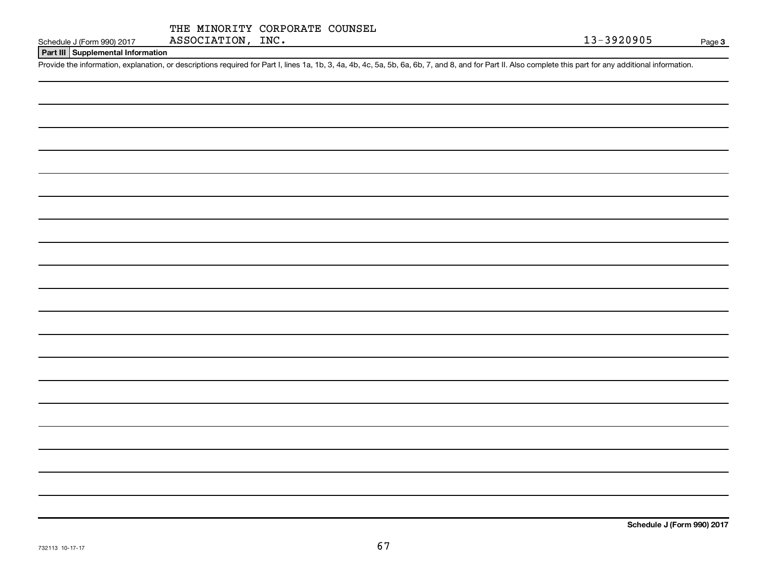|  | THE MINORITY CORPORATE COUNSEL |  |
|--|--------------------------------|--|
|  |                                |  |

#### **Part III Supplemental Information**

Provide the information, explanation, or descriptions required for Part I, lines 1a, 1b, 3, 4a, 4b, 4c, 5a, 5b, 6a, 6b, 7, and 8, and for Part II. Also complete this part for any additional information.

**Schedule J (Form 990) 2017**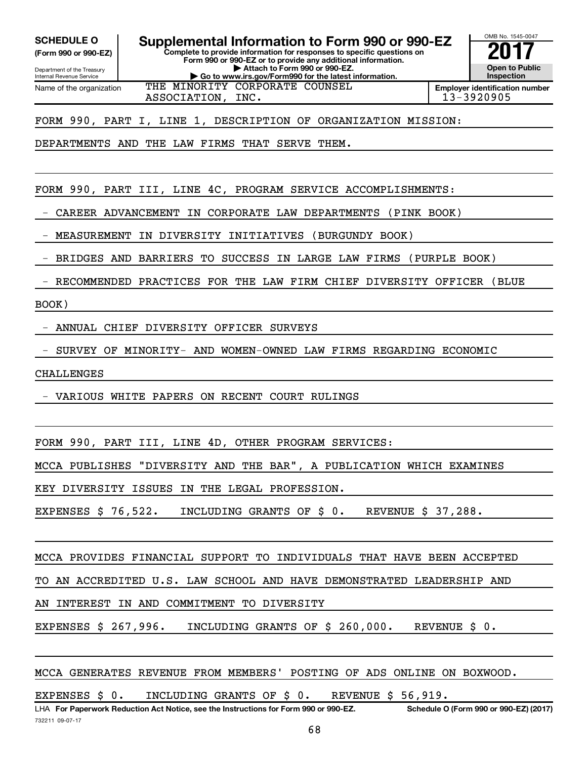**(Form 990 or 990-EZ)**

**Complete to provide information for responses to specific questions on Form 990 or 990-EZ or to provide any additional information. SCHEDULE O Supplemental Information to Form 990 or 990-EZ 2017**<br>(Form 990 or 990-EZ) Complete to provide information for responses to specific questions on

OMB No. 1545-0047

**Open to Public Inspection Employer identification number**

Department of the Treasury Internal Revenue Service Name of the organization

**| Attach to Form 990 or 990-EZ. | Go to www.irs.gov/Form990 for the latest information.**

THE MINORITY CORPORATE COUNSEL

ASSOCIATION, INC. 13-3920905

FORM 990, PART I, LINE 1, DESCRIPTION OF ORGANIZATION MISSION:

DEPARTMENTS AND THE LAW FIRMS THAT SERVE THEM.

FORM 990, PART III, LINE 4C, PROGRAM SERVICE ACCOMPLISHMENTS:

- CAREER ADVANCEMENT IN CORPORATE LAW DEPARTMENTS (PINK BOOK)

- MEASUREMENT IN DIVERSITY INITIATIVES (BURGUNDY BOOK)

- BRIDGES AND BARRIERS TO SUCCESS IN LARGE LAW FIRMS (PURPLE BOOK)

- RECOMMENDED PRACTICES FOR THE LAW FIRM CHIEF DIVERSITY OFFICER (BLUE

BOOK)

- ANNUAL CHIEF DIVERSITY OFFICER SURVEYS

- SURVEY OF MINORITY- AND WOMEN-OWNED LAW FIRMS REGARDING ECONOMIC

CHALLENGES

- VARIOUS WHITE PAPERS ON RECENT COURT RULINGS

FORM 990, PART III, LINE 4D, OTHER PROGRAM SERVICES:

MCCA PUBLISHES "DIVERSITY AND THE BAR", A PUBLICATION WHICH EXAMINES

KEY DIVERSITY ISSUES IN THE LEGAL PROFESSION.

EXPENSES \$ 76,522. INCLUDING GRANTS OF \$ 0. REVENUE \$ 37,288.

MCCA PROVIDES FINANCIAL SUPPORT TO INDIVIDUALS THAT HAVE BEEN ACCEPTED

TO AN ACCREDITED U.S. LAW SCHOOL AND HAVE DEMONSTRATED LEADERSHIP AND

AN INTEREST IN AND COMMITMENT TO DIVERSITY

EXPENSES \$ 267,996. INCLUDING GRANTS OF \$ 260,000. REVENUE \$ 0.

MCCA GENERATES REVENUE FROM MEMBERS' POSTING OF ADS ONLINE ON BOXWOOD.

EXPENSES \$ 0. INCLUDING GRANTS OF \$ 0. REVENUE \$ 56,919.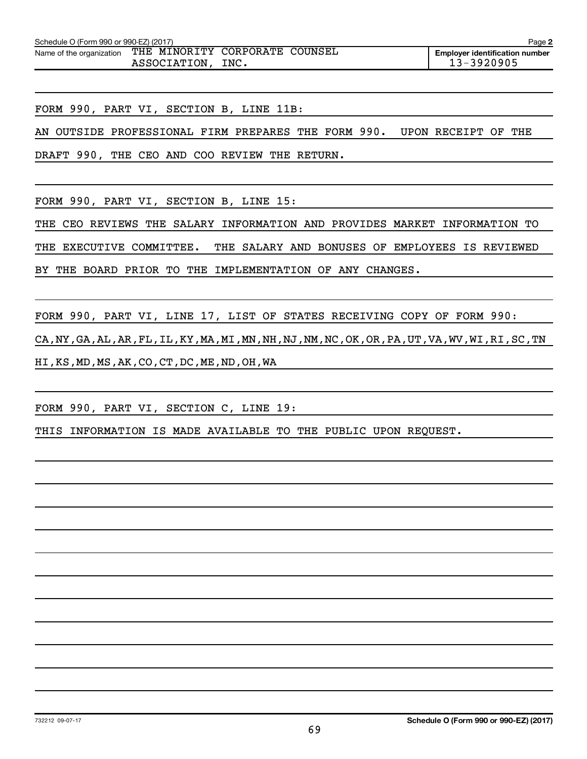| Schedule O (Form 990 or 990-EZ) (2017) |                                                |      | Page 2                                                  |
|----------------------------------------|------------------------------------------------|------|---------------------------------------------------------|
| Name of the organization               | THE MINORITY CORPORATE COUNSEL<br>ASSOCIATION, | INC. | <b>Employer identification number</b><br>$13 - 3920905$ |

FORM 990, PART VI, SECTION B, LINE 11B:

AN OUTSIDE PROFESSIONAL FIRM PREPARES THE FORM 990. UPON RECEIPT OF THE

DRAFT 990, THE CEO AND COO REVIEW THE RETURN.

FORM 990, PART VI, SECTION B, LINE 15:

THE CEO REVIEWS THE SALARY INFORMATION AND PROVIDES MARKET INFORMATION TO THE EXECUTIVE COMMITTEE. THE SALARY AND BONUSES OF EMPLOYEES IS REVIEWED BY THE BOARD PRIOR TO THE IMPLEMENTATION OF ANY CHANGES.

FORM 990, PART VI, LINE 17, LIST OF STATES RECEIVING COPY OF FORM 990: CA,NY,GA,AL,AR,FL,IL,KY,MA,MI,MN,NH,NJ,NM,NC,OK,OR,PA,UT,VA,WV,WI,RI,SC,TN HI,KS,MD,MS,AK,CO,CT,DC,ME,ND,OH,WA

FORM 990, PART VI, SECTION C, LINE 19:

THIS INFORMATION IS MADE AVAILABLE TO THE PUBLIC UPON REQUEST.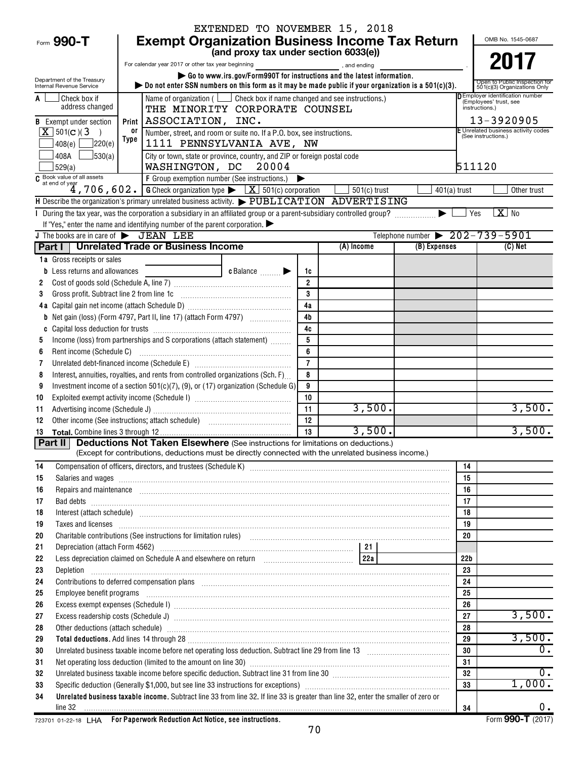|                                                        |                                                                                                                                                                                                                                             | EXTENDED TO NOVEMBER 15, 2018                                                  |                       |                |                                                                |                                                                  |  |
|--------------------------------------------------------|---------------------------------------------------------------------------------------------------------------------------------------------------------------------------------------------------------------------------------------------|--------------------------------------------------------------------------------|-----------------------|----------------|----------------------------------------------------------------|------------------------------------------------------------------|--|
| Form 990-T                                             | <b>Exempt Organization Business Income Tax Return</b>                                                                                                                                                                                       |                                                                                |                       |                |                                                                | OMB No. 1545-0687                                                |  |
|                                                        | (and proxy tax under section 6033(e))                                                                                                                                                                                                       |                                                                                |                       |                |                                                                |                                                                  |  |
|                                                        | For calendar year 2017 or other tax year beginning                                                                                                                                                                                          | 2017                                                                           |                       |                |                                                                |                                                                  |  |
| Department of the Treasury<br>Internal Revenue Service | $\triangleright$ Do not enter SSN numbers on this form as it may be made public if your organization is a 501(c)(3).                                                                                                                        | Go to www.irs.gov/Form990T for instructions and the latest information.        |                       |                |                                                                | Open to Public Inspection for<br>501(c)(3) Organizations Only    |  |
| Check box if<br>A                                      |                                                                                                                                                                                                                                             | Name of organization ( $\Box$ Check box if name changed and see instructions.) |                       |                |                                                                | <b>DEmployer identification number</b><br>(Employees' trust, see |  |
| address changed                                        |                                                                                                                                                                                                                                             | THE MINORITY CORPORATE COUNSEL                                                 |                       |                |                                                                | instructions.)                                                   |  |
| <b>B</b> Exempt under section                          | ASSOCIATION, INC.<br>Print                                                                                                                                                                                                                  |                                                                                |                       |                |                                                                | 13-3920905                                                       |  |
| $X$ 501(c)(3)<br>$\rightarrow$                         | or<br>Type                                                                                                                                                                                                                                  | Number, street, and room or suite no. If a P.O. box, see instructions.         |                       |                |                                                                | E Unrelated business activity codes<br>(See instructions.)       |  |
| 7220(e)<br> 408(e)                                     |                                                                                                                                                                                                                                             | 1111 PENNSYLVANIA AVE, NW                                                      |                       |                |                                                                |                                                                  |  |
| 408A<br>$\frac{1}{30(a)}$<br>529(a)                    | WASHINGTON, DC 20004                                                                                                                                                                                                                        | City or town, state or province, country, and ZIP or foreign postal code       |                       |                |                                                                | 511120                                                           |  |
| C Book value of all assets                             | F Group exemption number (See instructions.)                                                                                                                                                                                                |                                                                                | $\blacktriangleright$ |                |                                                                |                                                                  |  |
|                                                        | at end of year<br>4, 706, 602.<br><u>G Check organization type <math>\blacktriangleright</math> <math>\boxed{\underline{X}}</math> 501(c) corporation</u>                                                                                   |                                                                                |                       | $501(c)$ trust | $401(a)$ trust                                                 | Other trust                                                      |  |
|                                                        | H Describe the organization's primary unrelated business activity. $\triangleright$ PUBLICATION ADVERTISING                                                                                                                                 |                                                                                |                       |                |                                                                |                                                                  |  |
|                                                        | During the tax year, was the corporation a subsidiary in an affiliated group or a parent-subsidiary controlled group?                                                                                                                       |                                                                                |                       |                |                                                                | $\overline{X}$ No<br>  Yes                                       |  |
|                                                        | If "Yes," enter the name and identifying number of the parent corporation.                                                                                                                                                                  |                                                                                |                       |                |                                                                |                                                                  |  |
| J The books are in care of $\triangleright$ JEAN LEE   | Part I   Unrelated Trade or Business Income                                                                                                                                                                                                 |                                                                                |                       | (A) Income     | Telephone number $\triangleright$ 202-739-5901<br>(B) Expenses | $(C)$ Net                                                        |  |
| 1a Gross receipts or sales                             |                                                                                                                                                                                                                                             |                                                                                |                       |                |                                                                |                                                                  |  |
| Less returns and allowances<br>b                       |                                                                                                                                                                                                                                             | $c$ Balance $\qquad \qquad \blacktriangleright$                                |                       |                |                                                                |                                                                  |  |
|                                                        |                                                                                                                                                                                                                                             |                                                                                | 1c<br>$\overline{2}$  |                |                                                                |                                                                  |  |
| 3                                                      | Gross profit. Subtract line 2 from line 1c [11] [11] [12] [12] [13] [14] [15] [15] [15] [15] [15] [15] [15] [1                                                                                                                              |                                                                                | 3                     |                |                                                                |                                                                  |  |
|                                                        |                                                                                                                                                                                                                                             |                                                                                | 4a                    |                |                                                                |                                                                  |  |
| b                                                      | Net gain (loss) (Form 4797, Part II, line 17) (attach Form 4797)                                                                                                                                                                            |                                                                                | 4 <sub>b</sub>        |                |                                                                |                                                                  |  |
| C                                                      |                                                                                                                                                                                                                                             |                                                                                | 4c                    |                |                                                                |                                                                  |  |
| 5                                                      | Income (loss) from partnerships and S corporations (attach statement)                                                                                                                                                                       |                                                                                | 5                     |                |                                                                |                                                                  |  |
| Rent income (Schedule C)<br>6                          |                                                                                                                                                                                                                                             |                                                                                | 6                     |                |                                                                |                                                                  |  |
| 7                                                      |                                                                                                                                                                                                                                             |                                                                                | $\overline{7}$        |                |                                                                |                                                                  |  |
| 8                                                      | Interest, annuities, royalties, and rents from controlled organizations (Sch. F)                                                                                                                                                            |                                                                                | 8                     |                |                                                                |                                                                  |  |
| 9                                                      | Investment income of a section $501(c)(7)$ , (9), or (17) organization (Schedule G)                                                                                                                                                         |                                                                                | 9                     |                |                                                                |                                                                  |  |
| 10                                                     |                                                                                                                                                                                                                                             |                                                                                | 10                    |                |                                                                |                                                                  |  |
| 11                                                     |                                                                                                                                                                                                                                             |                                                                                | 11                    | 3,500.         |                                                                | 3,500.                                                           |  |
| 12                                                     |                                                                                                                                                                                                                                             |                                                                                | 12                    |                |                                                                | 3,500.                                                           |  |
| 13                                                     | <b>Part II</b> Deductions Not Taken Elsewhere (See instructions for limitations on deductions.)                                                                                                                                             |                                                                                | 13                    | 3,500.         |                                                                |                                                                  |  |
|                                                        | (Except for contributions, deductions must be directly connected with the unrelated business income.)                                                                                                                                       |                                                                                |                       |                |                                                                |                                                                  |  |
| 14                                                     |                                                                                                                                                                                                                                             |                                                                                |                       |                |                                                                | 14                                                               |  |
| 15                                                     | Salaries and wages <b>manufacture and manufacture and manufacture and manufacture and wages</b>                                                                                                                                             |                                                                                |                       |                |                                                                | 15                                                               |  |
| 16                                                     | Repairs and maintenance <i>maintenance</i> and construction and anti-                                                                                                                                                                       |                                                                                |                       |                |                                                                | 16                                                               |  |
| 17                                                     |                                                                                                                                                                                                                                             |                                                                                |                       |                |                                                                | 17                                                               |  |
| 18                                                     | Interest (attach schedule) <i>machine and accordinational content and accordinational content and accordination</i> and accordination and accordination and accordination and accordination and accordination and accordination and         |                                                                                |                       |                |                                                                | 18                                                               |  |
| 19                                                     | Taxes and licenses <b>construction and construction of the construction</b> and construction of the construction of the                                                                                                                     |                                                                                |                       |                |                                                                | 19                                                               |  |
| 20                                                     | Charitable contributions (See instructions for limitation rules) [11] manufacture in the contributions (See instructions for limitation rules) [11] manufacture in the contributions (See instructions for limitation rules) [              |                                                                                |                       |                |                                                                | 20                                                               |  |
| 21<br>22                                               |                                                                                                                                                                                                                                             |                                                                                |                       |                | 22b                                                            |                                                                  |  |
| 23                                                     |                                                                                                                                                                                                                                             |                                                                                |                       |                | 23                                                             |                                                                  |  |
| 24                                                     | Depletion<br>Contributions to deferred compensation plans [11] manufactured contributions to deferred compensation plans [11] manufactured compensation plans [11] manufactured compensation plans [11] manufactured contributions to defer |                                                                                |                       |                |                                                                |                                                                  |  |
| 25                                                     | 24<br>Employee benefit programs in the committee of the contract of the contract of the contract of the contract of the contract of the contract of the contract of the contract of the contract of the contract of the contract of<br>25   |                                                                                |                       |                |                                                                |                                                                  |  |
| 26                                                     | 26                                                                                                                                                                                                                                          |                                                                                |                       |                |                                                                |                                                                  |  |
| 27                                                     | 27                                                                                                                                                                                                                                          |                                                                                |                       |                |                                                                |                                                                  |  |
| 28                                                     | Other deductions (attach schedule) www.communications.communications.communications.com<br>28                                                                                                                                               |                                                                                |                       |                |                                                                |                                                                  |  |
| 29                                                     | Total deductions. Add lines 14 through 28 [11] Manuscritting materials and the state of the state of the state of the state of the state of the state of the state of the state of the state of the state of the state of the               |                                                                                |                       |                | 29                                                             | 3,500.                                                           |  |
| 30                                                     |                                                                                                                                                                                                                                             |                                                                                |                       |                | 30                                                             | Ο.                                                               |  |
| 31                                                     |                                                                                                                                                                                                                                             |                                                                                |                       |                | 31                                                             |                                                                  |  |
| 32                                                     | Unrelated business taxable income before specific deduction. Subtract line 31 from line 30 [11] manuscripts taxable income before specific deduction. Subtract line 31 from line 30 [11] manuscripts taxable income before the              |                                                                                |                       |                |                                                                | $0$ .<br>32                                                      |  |
| 33                                                     |                                                                                                                                                                                                                                             |                                                                                |                       |                | 33                                                             | 1,000.                                                           |  |
| 34                                                     | Unrelated business taxable income. Subtract line 33 from line 32. If line 33 is greater than line 32, enter the smaller of zero or                                                                                                          |                                                                                |                       |                |                                                                |                                                                  |  |
| line 32                                                |                                                                                                                                                                                                                                             |                                                                                |                       |                | 34                                                             | $0$ .                                                            |  |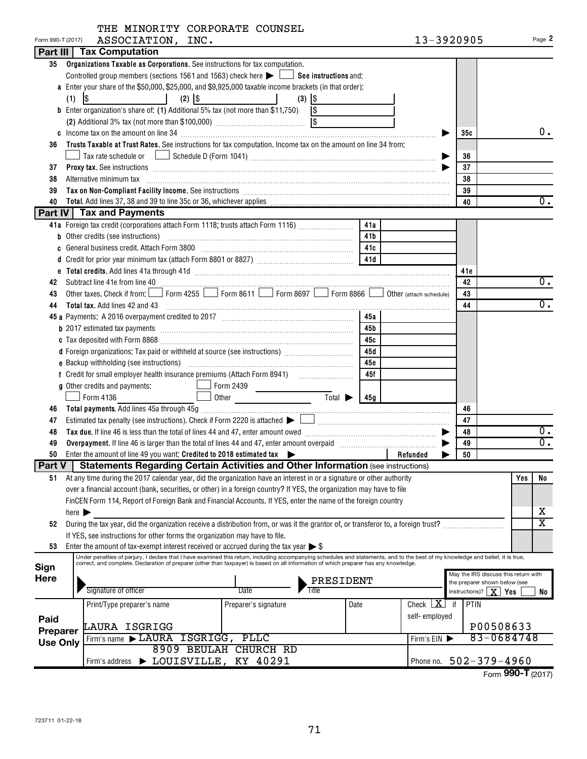|  | THE MINORITY CORPORATE COUNSEL |  |
|--|--------------------------------|--|
|  |                                |  |

| Form 990-T (2017) | ASSOCIATION, INC.                                                                                                                                                                                                                                                                       |                             |      | 13-3920905    |                                                            |                                   | Page 2                       |  |  |  |
|-------------------|-----------------------------------------------------------------------------------------------------------------------------------------------------------------------------------------------------------------------------------------------------------------------------------------|-----------------------------|------|---------------|------------------------------------------------------------|-----------------------------------|------------------------------|--|--|--|
|                   | <b>Part III   Tax Computation</b>                                                                                                                                                                                                                                                       |                             |      |               |                                                            |                                   |                              |  |  |  |
| 35                | Organizations Taxable as Corporations. See instructions for tax computation.                                                                                                                                                                                                            |                             |      |               |                                                            |                                   |                              |  |  |  |
|                   | Controlled group members (sections 1561 and 1563) check here $\blacktriangleright$ $\Box$ See instructions and:                                                                                                                                                                         |                             |      |               |                                                            |                                   |                              |  |  |  |
|                   | a Enter your share of the \$50,000, \$25,000, and \$9,925,000 taxable income brackets (in that order):                                                                                                                                                                                  |                             |      |               |                                                            |                                   |                              |  |  |  |
|                   | $\overline{\phantom{a}}$ and $\overline{\phantom{a}}$<br>$(2)$ $ $ \$<br>(1)                                                                                                                                                                                                            | $(3)$ $ $ \$                |      |               |                                                            |                                   |                              |  |  |  |
|                   | <b>b</b> Enter organization's share of: (1) Additional 5% tax (not more than \$11,750)                                                                                                                                                                                                  | $\sqrt{3}$                  |      |               |                                                            |                                   |                              |  |  |  |
|                   |                                                                                                                                                                                                                                                                                         |                             |      |               |                                                            |                                   |                              |  |  |  |
|                   |                                                                                                                                                                                                                                                                                         |                             |      |               | 35с                                                        |                                   | $0$ .                        |  |  |  |
| 36                | Trusts Taxable at Trust Rates. See instructions for tax computation. Income tax on the amount on line 34 from:                                                                                                                                                                          |                             |      |               |                                                            |                                   |                              |  |  |  |
|                   |                                                                                                                                                                                                                                                                                         |                             |      |               | 36                                                         |                                   |                              |  |  |  |
| 37                |                                                                                                                                                                                                                                                                                         |                             |      |               | 37                                                         |                                   |                              |  |  |  |
| 38                | Alternative minimum tax                                                                                                                                                                                                                                                                 | 38                          |      |               |                                                            |                                   |                              |  |  |  |
| 39                |                                                                                                                                                                                                                                                                                         | 39                          |      |               |                                                            |                                   |                              |  |  |  |
| 40                |                                                                                                                                                                                                                                                                                         |                             |      |               | 40                                                         |                                   | $\overline{0}$ .             |  |  |  |
|                   | <b>Part IV   Tax and Payments</b>                                                                                                                                                                                                                                                       |                             |      |               |                                                            |                                   |                              |  |  |  |
|                   | 41a Foreign tax credit (corporations attach Form 1118; trusts attach Form 1116)                                                                                                                                                                                                         |                             | 41a  |               |                                                            |                                   |                              |  |  |  |
|                   |                                                                                                                                                                                                                                                                                         |                             | 41b  |               |                                                            |                                   |                              |  |  |  |
|                   | General business credit. Attach Form 3800 [11] [11] Contract the series and series and series and series and s                                                                                                                                                                          |                             | 41c  |               |                                                            |                                   |                              |  |  |  |
|                   |                                                                                                                                                                                                                                                                                         |                             |      |               |                                                            |                                   |                              |  |  |  |
|                   |                                                                                                                                                                                                                                                                                         |                             |      |               | 41e                                                        |                                   |                              |  |  |  |
| 42                |                                                                                                                                                                                                                                                                                         |                             |      |               | 42                                                         |                                   | 0.                           |  |  |  |
| 43                | Other taxes. Check if from: Form 4255 Form 8611 Form 8697 Form 8866 Obther (attach schedule)                                                                                                                                                                                            |                             |      |               | 43                                                         |                                   |                              |  |  |  |
| 44                | Total tax. Add lines 42 and 43 [11] manufacture manufacture manufacture manufacture manufacture manufacture manufacture                                                                                                                                                                 |                             |      |               | 44                                                         |                                   | $\overline{0}$ .             |  |  |  |
|                   |                                                                                                                                                                                                                                                                                         |                             | 45а  |               |                                                            |                                   |                              |  |  |  |
|                   |                                                                                                                                                                                                                                                                                         |                             | 45b  |               |                                                            |                                   |                              |  |  |  |
|                   |                                                                                                                                                                                                                                                                                         |                             | 45с  |               |                                                            |                                   |                              |  |  |  |
|                   | d Foreign organizations: Tax paid or withheld at source (see instructions)                                                                                                                                                                                                              |                             | 45d  |               |                                                            |                                   |                              |  |  |  |
|                   |                                                                                                                                                                                                                                                                                         |                             | 45e  |               |                                                            |                                   |                              |  |  |  |
|                   |                                                                                                                                                                                                                                                                                         |                             | 45f  |               |                                                            |                                   |                              |  |  |  |
|                   | g Other credits and payments:<br>$\Box$ Form 2439                                                                                                                                                                                                                                       |                             |      |               |                                                            |                                   |                              |  |  |  |
|                   | $\sqrt{\phantom{0}}$ Form 4136                                                                                                                                                                                                                                                          | $\overline{\mathrm{Total}}$ | 45g  |               |                                                            |                                   |                              |  |  |  |
| 46                |                                                                                                                                                                                                                                                                                         |                             |      |               | 46                                                         |                                   |                              |  |  |  |
| 47                |                                                                                                                                                                                                                                                                                         |                             |      |               | 47                                                         |                                   |                              |  |  |  |
| 48                |                                                                                                                                                                                                                                                                                         |                             |      |               | 48                                                         |                                   | $0$ .                        |  |  |  |
| 49                | Overpayment. If line 46 is larger than the total of lines 44 and 47, enter amount overpaid manufactured and the summan set                                                                                                                                                              |                             |      |               | 49                                                         |                                   | $\overline{0}$ .             |  |  |  |
| 50                | Enter the amount of line 49 you want: Credited to 2018 estimated tax $\blacktriangleright$                                                                                                                                                                                              |                             |      | Refunded      | 50                                                         |                                   |                              |  |  |  |
|                   | Part V   Statements Regarding Certain Activities and Other Information (see instructions)                                                                                                                                                                                               |                             |      |               |                                                            |                                   |                              |  |  |  |
| 51                | At any time during the 2017 calendar year, did the organization have an interest in or a signature or other authority                                                                                                                                                                   |                             |      |               |                                                            | Yes                               | No                           |  |  |  |
|                   | over a financial account (bank, securities, or other) in a foreign country? If YES, the organization may have to file                                                                                                                                                                   |                             |      |               |                                                            |                                   |                              |  |  |  |
|                   | FinCEN Form 114, Report of Foreign Bank and Financial Accounts. If YES, enter the name of the foreign country                                                                                                                                                                           |                             |      |               |                                                            |                                   |                              |  |  |  |
|                   | here $\blacktriangleright$                                                                                                                                                                                                                                                              |                             |      |               |                                                            |                                   | х<br>$\overline{\mathtt{x}}$ |  |  |  |
| 52                | During the tax year, did the organization receive a distribution from, or was it the grantor of, or transferor to, a foreign trust?                                                                                                                                                     |                             |      |               |                                                            |                                   |                              |  |  |  |
|                   | If YES, see instructions for other forms the organization may have to file.                                                                                                                                                                                                             |                             |      |               |                                                            |                                   |                              |  |  |  |
| 53                | Enter the amount of tax-exempt interest received or accrued during the tax year $\triangleright$ \$<br>Under penalties of perjury, I declare that I have examined this return, including accompanying schedules and statements, and to the best of my knowledge and belief, it is true, |                             |      |               |                                                            |                                   |                              |  |  |  |
| Sign              | correct, and complete. Declaration of preparer (other than taxpayer) is based on all information of which preparer has any knowledge.                                                                                                                                                   |                             |      |               |                                                            |                                   |                              |  |  |  |
| <b>Here</b>       |                                                                                                                                                                                                                                                                                         |                             |      |               | May the IRS discuss this return with                       |                                   |                              |  |  |  |
|                   | Signature of officer                                                                                                                                                                                                                                                                    | PRESIDENT<br>Date<br>Title  |      |               | the preparer shown below (see<br>instructions)?   $\bf{X}$ | Yes                               | No                           |  |  |  |
|                   |                                                                                                                                                                                                                                                                                         |                             |      | Check $X$     |                                                            |                                   |                              |  |  |  |
|                   | Print/Type preparer's name                                                                                                                                                                                                                                                              | Preparer's signature        | Date |               | PTIN<br>if                                                 |                                   |                              |  |  |  |
| Paid              | LAURA ISGRIGG                                                                                                                                                                                                                                                                           |                             |      | self-employed |                                                            | P00508633                         |                              |  |  |  |
| Preparer          | Firm's name LAURA ISGRIGG, PLLC                                                                                                                                                                                                                                                         |                             |      |               |                                                            | 83-0684748                        |                              |  |  |  |
| <b>Use Only</b>   |                                                                                                                                                                                                                                                                                         | 8909 BEULAH CHURCH RD       |      | Firm's EIN ▶  |                                                            |                                   |                              |  |  |  |
|                   | LOUISVILLE, KY 40291<br>Firm's address                                                                                                                                                                                                                                                  |                             |      |               | Phone no. 502-379-4960                                     |                                   |                              |  |  |  |
|                   |                                                                                                                                                                                                                                                                                         |                             |      |               |                                                            | $\overline{mn}$ T $\overline{mn}$ |                              |  |  |  |

Form **990-T** (2017)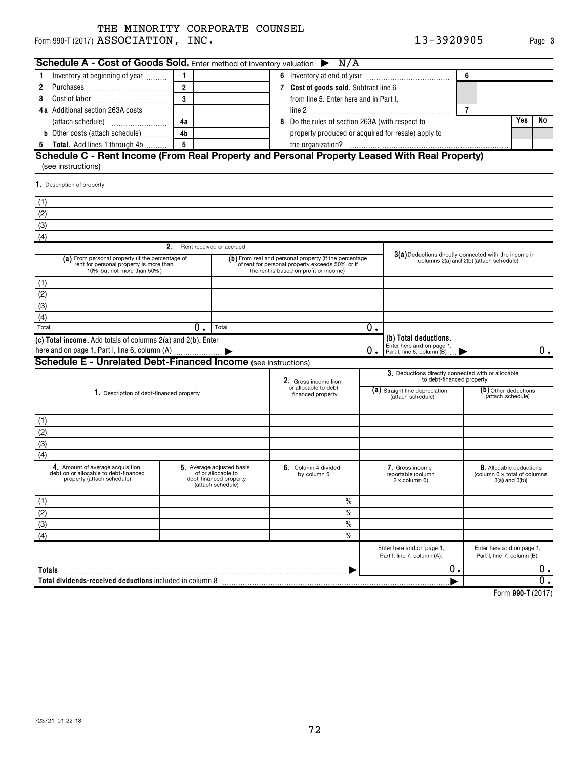Form 990-T (2017)  ${\bf ASSOCIATION}$  ,  ${\bf INC.}$  . The contract of the contract of the contract of the contract of the contract of the contract of the contract of the contract of the contract of the contract of the contract of the co

| Schedule A - Cost of Goods Sold. Enter method of inventory valuation $\triangleright$ N/A                                 |                                    |                          |                                                                                                                                                     |    |                                                                                 |                   |                                                          |    |
|---------------------------------------------------------------------------------------------------------------------------|------------------------------------|--------------------------|-----------------------------------------------------------------------------------------------------------------------------------------------------|----|---------------------------------------------------------------------------------|-------------------|----------------------------------------------------------|----|
| Inventory at beginning of year                                                                                            | $\mathbf{1}$                       |                          |                                                                                                                                                     |    |                                                                                 | 6                 |                                                          |    |
| Purchases<br>2                                                                                                            | $\overline{2}$                     |                          | 7 Cost of goods sold. Subtract line 6                                                                                                               |    |                                                                                 |                   |                                                          |    |
| 3                                                                                                                         | $\overline{3}$                     |                          | from line 5. Enter here and in Part I,                                                                                                              |    |                                                                                 |                   |                                                          |    |
| 4a Additional section 263A costs                                                                                          |                                    |                          | line 2                                                                                                                                              |    |                                                                                 | $\overline{7}$    |                                                          |    |
|                                                                                                                           | 4a                                 |                          | Do the rules of section 263A (with respect to<br>8                                                                                                  |    |                                                                                 |                   | Yes                                                      | No |
| <b>b</b> Other costs (attach schedule)                                                                                    | 4 <sub>b</sub>                     |                          | property produced or acquired for resale) apply to                                                                                                  |    |                                                                                 |                   |                                                          |    |
| Total. Add lines 1 through 4b<br>5                                                                                        | 5                                  |                          |                                                                                                                                                     |    |                                                                                 |                   |                                                          |    |
| Schedule C - Rent Income (From Real Property and Personal Property Leased With Real Property)                             |                                    |                          |                                                                                                                                                     |    |                                                                                 |                   |                                                          |    |
| (see instructions)                                                                                                        |                                    |                          |                                                                                                                                                     |    |                                                                                 |                   |                                                          |    |
| 1. Description of property                                                                                                |                                    |                          |                                                                                                                                                     |    |                                                                                 |                   |                                                          |    |
| (1)                                                                                                                       |                                    |                          |                                                                                                                                                     |    |                                                                                 |                   |                                                          |    |
| (2)                                                                                                                       |                                    |                          |                                                                                                                                                     |    |                                                                                 |                   |                                                          |    |
| (3)                                                                                                                       |                                    |                          |                                                                                                                                                     |    |                                                                                 |                   |                                                          |    |
| (4)                                                                                                                       |                                    |                          |                                                                                                                                                     |    |                                                                                 |                   |                                                          |    |
|                                                                                                                           | 2.                                 | Rent received or accrued |                                                                                                                                                     |    |                                                                                 |                   |                                                          |    |
| (a) From personal property (if the percentage of<br>rent for personal property is more than<br>10% but not more than 50%) |                                    |                          | (b) From real and personal property (if the percentage<br>of rent for personal property exceeds 50% or if<br>the rent is based on profit or income) |    | $3(a)$ Deductions directly connected with the income in                         |                   | columns 2(a) and 2(b) (attach schedule)                  |    |
| (1)                                                                                                                       |                                    |                          |                                                                                                                                                     |    |                                                                                 |                   |                                                          |    |
| (2)                                                                                                                       |                                    |                          |                                                                                                                                                     |    |                                                                                 |                   |                                                          |    |
| (3)                                                                                                                       |                                    |                          |                                                                                                                                                     |    |                                                                                 |                   |                                                          |    |
| (4)                                                                                                                       |                                    |                          |                                                                                                                                                     |    |                                                                                 |                   |                                                          |    |
| Total                                                                                                                     | $0$ .                              | Total                    |                                                                                                                                                     | 0. |                                                                                 |                   |                                                          |    |
| (c) Total income. Add totals of columns 2(a) and 2(b). Enter                                                              |                                    |                          |                                                                                                                                                     |    | (b) Total deductions.                                                           |                   |                                                          |    |
| here and on page 1, Part I, line 6, column (A)                                                                            |                                    |                          |                                                                                                                                                     | О. | Enter here and on page 1,<br>Part I, line 6, column (B)                         |                   |                                                          | 0. |
| <b>Schedule E - Unrelated Debt-Financed Income</b> (see instructions)                                                     |                                    |                          |                                                                                                                                                     |    |                                                                                 |                   |                                                          |    |
|                                                                                                                           |                                    |                          | 2. Gross income from                                                                                                                                |    | 3. Deductions directly connected with or allocable<br>to debt-financed property |                   |                                                          |    |
| 1. Description of debt-financed property                                                                                  |                                    |                          | or allocable to debt-                                                                                                                               |    | (a) Straight line depreciation                                                  |                   | (b) Other deductions                                     |    |
|                                                                                                                           |                                    |                          | financed property                                                                                                                                   |    | (attach schedule)                                                               | (attach schedule) |                                                          |    |
|                                                                                                                           |                                    |                          |                                                                                                                                                     |    |                                                                                 |                   |                                                          |    |
| (1)                                                                                                                       |                                    |                          |                                                                                                                                                     |    |                                                                                 |                   |                                                          |    |
| (2)                                                                                                                       |                                    |                          |                                                                                                                                                     |    |                                                                                 |                   |                                                          |    |
| (3)                                                                                                                       |                                    |                          |                                                                                                                                                     |    |                                                                                 |                   |                                                          |    |
| (4)                                                                                                                       |                                    |                          |                                                                                                                                                     |    |                                                                                 |                   |                                                          |    |
| 4. Amount of average acquisition<br>debt on or allocable to debt-financed<br>property (attach schedule)                   | 6. Column 4 divided<br>by column 5 |                          | 7. Gross income<br>reportable (column<br>2 x column 6)                                                                                              |    | 8. Allocable deductions<br>(column 6 x total of columns)<br>$3(a)$ and $3(b)$ ) |                   |                                                          |    |
| (1)                                                                                                                       |                                    |                          | $\%$                                                                                                                                                |    |                                                                                 |                   |                                                          |    |
| (2)                                                                                                                       |                                    |                          | $\frac{0}{0}$                                                                                                                                       |    |                                                                                 |                   |                                                          |    |
| (3)                                                                                                                       |                                    |                          | $\%$                                                                                                                                                |    |                                                                                 |                   |                                                          |    |
| (4)                                                                                                                       |                                    |                          | $\frac{0}{0}$                                                                                                                                       |    |                                                                                 |                   |                                                          |    |
|                                                                                                                           |                                    |                          |                                                                                                                                                     |    | Enter here and on page 1,<br>Part I, line 7, column (A).                        |                   | Enter here and on page 1,<br>Part I, line 7, column (B). |    |
| Totals                                                                                                                    |                                    |                          |                                                                                                                                                     |    | 0.                                                                              |                   |                                                          | 0. |
| Total dividends-received deductions included in column 8                                                                  |                                    |                          |                                                                                                                                                     |    |                                                                                 |                   |                                                          | σ. |
|                                                                                                                           |                                    |                          |                                                                                                                                                     |    |                                                                                 |                   |                                                          |    |

**990-T**  Form (2017)

**3**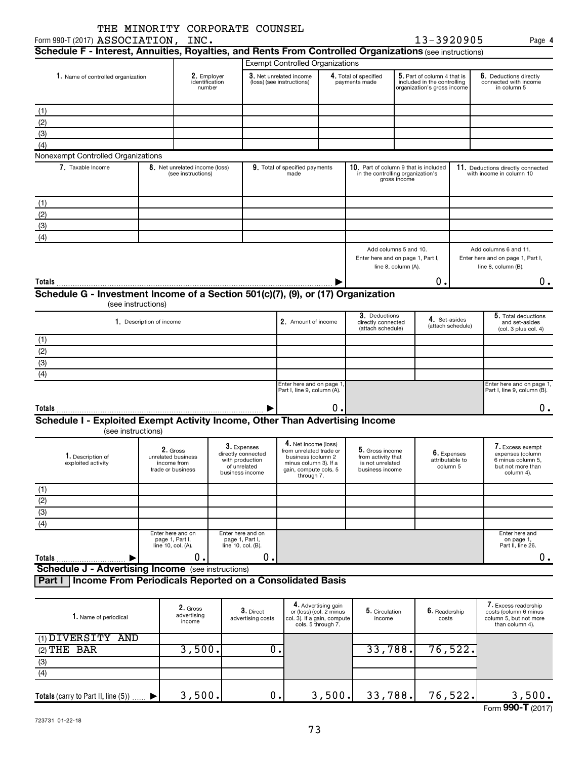| Form 990-T (2017) ASSOCIATION, INC.                                                                     |                          | THE MINORITY CORPORATE COUNSEL                                       |                                                                          |                                |                                                                                                               |                                                                                                     |                                                                              |                     | 13-3920905                                                                                |                                    | Page 4                                                                                     |
|---------------------------------------------------------------------------------------------------------|--------------------------|----------------------------------------------------------------------|--------------------------------------------------------------------------|--------------------------------|---------------------------------------------------------------------------------------------------------------|-----------------------------------------------------------------------------------------------------|------------------------------------------------------------------------------|---------------------|-------------------------------------------------------------------------------------------|------------------------------------|--------------------------------------------------------------------------------------------|
| Schedule F - Interest, Annuities, Royalties, and Rents From Controlled Organizations (see instructions) |                          |                                                                      |                                                                          |                                |                                                                                                               |                                                                                                     |                                                                              |                     |                                                                                           |                                    |                                                                                            |
|                                                                                                         |                          |                                                                      |                                                                          |                                | <b>Exempt Controlled Organizations</b>                                                                        |                                                                                                     |                                                                              |                     |                                                                                           |                                    |                                                                                            |
| 1. Name of controlled organization                                                                      |                          | 2. Employer<br>identification<br>number                              |                                                                          |                                | 3. Net unrelated income<br>(loss) (see instructions)                                                          |                                                                                                     | 4. Total of specified<br>payments made                                       |                     | 5. Part of column 4 that is<br>included in the controlling<br>organization's gross income |                                    | 6. Deductions directly<br>connected with income<br>in column 5                             |
| (1)                                                                                                     |                          |                                                                      |                                                                          |                                |                                                                                                               |                                                                                                     |                                                                              |                     |                                                                                           |                                    |                                                                                            |
| (2)                                                                                                     |                          |                                                                      |                                                                          |                                |                                                                                                               |                                                                                                     |                                                                              |                     |                                                                                           |                                    |                                                                                            |
| (3)                                                                                                     |                          |                                                                      |                                                                          |                                |                                                                                                               |                                                                                                     |                                                                              |                     |                                                                                           |                                    |                                                                                            |
|                                                                                                         |                          |                                                                      |                                                                          |                                |                                                                                                               |                                                                                                     |                                                                              |                     |                                                                                           |                                    |                                                                                            |
| (4)                                                                                                     |                          |                                                                      |                                                                          |                                |                                                                                                               |                                                                                                     |                                                                              |                     |                                                                                           |                                    |                                                                                            |
| Nonexempt Controlled Organizations                                                                      |                          |                                                                      |                                                                          |                                |                                                                                                               |                                                                                                     |                                                                              |                     |                                                                                           |                                    |                                                                                            |
| 7. Taxable Income                                                                                       |                          | 8. Net unrelated income (loss)<br>(see instructions)                 |                                                                          |                                | 9. Total of specified payments<br>made                                                                        |                                                                                                     | 10. Part of column 9 that is included<br>in the controlling organization's   | gross income        |                                                                                           |                                    | 11. Deductions directly connected<br>with income in column 10                              |
| (1)                                                                                                     |                          |                                                                      |                                                                          |                                |                                                                                                               |                                                                                                     |                                                                              |                     |                                                                                           |                                    |                                                                                            |
| (2)                                                                                                     |                          |                                                                      |                                                                          |                                |                                                                                                               |                                                                                                     |                                                                              |                     |                                                                                           |                                    |                                                                                            |
| (3)                                                                                                     |                          |                                                                      |                                                                          |                                |                                                                                                               |                                                                                                     |                                                                              |                     |                                                                                           |                                    |                                                                                            |
| (4)                                                                                                     |                          |                                                                      |                                                                          |                                |                                                                                                               |                                                                                                     |                                                                              |                     |                                                                                           |                                    |                                                                                            |
|                                                                                                         |                          |                                                                      |                                                                          |                                |                                                                                                               |                                                                                                     | Add columns 5 and 10.<br>Enter here and on page 1, Part I,                   | line 8, column (A). |                                                                                           |                                    | Add columns 6 and 11.<br>Enter here and on page 1, Part I,<br>line 8, column (B).          |
| Totals                                                                                                  |                          |                                                                      |                                                                          |                                |                                                                                                               |                                                                                                     |                                                                              |                     | О.                                                                                        |                                    | 0.                                                                                         |
| Schedule G - Investment Income of a Section 501(c)(7), (9), or (17) Organization                        |                          |                                                                      |                                                                          |                                |                                                                                                               |                                                                                                     |                                                                              |                     |                                                                                           |                                    |                                                                                            |
|                                                                                                         | (see instructions)       |                                                                      |                                                                          |                                |                                                                                                               |                                                                                                     |                                                                              |                     |                                                                                           |                                    |                                                                                            |
|                                                                                                         | 1. Description of income |                                                                      |                                                                          |                                | 2. Amount of income                                                                                           |                                                                                                     | 3. Deductions<br>directly connected<br>(attach schedule)                     |                     |                                                                                           | 4. Set-asides<br>(attach schedule) | 5. Total deductions<br>and set-asides<br>(col. 3 plus col. 4)                              |
| (1)                                                                                                     |                          |                                                                      |                                                                          |                                |                                                                                                               |                                                                                                     |                                                                              |                     |                                                                                           |                                    |                                                                                            |
| (2)                                                                                                     |                          |                                                                      |                                                                          |                                |                                                                                                               |                                                                                                     |                                                                              |                     |                                                                                           |                                    |                                                                                            |
| (3)                                                                                                     |                          |                                                                      |                                                                          |                                |                                                                                                               |                                                                                                     |                                                                              |                     |                                                                                           |                                    |                                                                                            |
| (4)                                                                                                     |                          |                                                                      |                                                                          |                                |                                                                                                               |                                                                                                     |                                                                              |                     |                                                                                           |                                    |                                                                                            |
|                                                                                                         |                          |                                                                      |                                                                          |                                | Enter here and on page 1<br>Part I, line 9, column (A).                                                       |                                                                                                     |                                                                              |                     |                                                                                           |                                    | Enter here and on page 1,<br>Part I, line 9, column (B).                                   |
|                                                                                                         |                          |                                                                      |                                                                          |                                |                                                                                                               |                                                                                                     |                                                                              |                     |                                                                                           |                                    |                                                                                            |
| Totals                                                                                                  |                          |                                                                      |                                                                          |                                |                                                                                                               | 0.                                                                                                  |                                                                              |                     |                                                                                           |                                    | 0.                                                                                         |
| Schedule I - Exploited Exempt Activity Income, Other Than Advertising Income<br>(see instructions)      |                          |                                                                      |                                                                          |                                |                                                                                                               |                                                                                                     |                                                                              |                     |                                                                                           |                                    |                                                                                            |
|                                                                                                         |                          |                                                                      | 3. Expenses                                                              |                                | 4. Net income (loss)                                                                                          |                                                                                                     |                                                                              |                     |                                                                                           |                                    | 7. Excess exempt                                                                           |
| 1. Description of<br>exploited activity                                                                 |                          | $2.$ Gross<br>unrelated business<br>income from<br>trade or business | directly connected<br>with production<br>of unrelated<br>business income |                                | from unrelated trade or<br>business (column 2<br>minus column 3). If a<br>gain, compute cols. 5<br>through 7. |                                                                                                     | 5. Gross income<br>from activity that<br>is not unrelated<br>business income |                     | attributable to<br>column 5                                                               | <b>b.</b> Expenses                 | expenses (column<br>6 minus column 5,<br>but not more than<br>column 4).                   |
| (1)                                                                                                     |                          |                                                                      |                                                                          |                                |                                                                                                               |                                                                                                     |                                                                              |                     |                                                                                           |                                    |                                                                                            |
| (2)                                                                                                     |                          |                                                                      |                                                                          |                                |                                                                                                               |                                                                                                     |                                                                              |                     |                                                                                           |                                    |                                                                                            |
| (3)                                                                                                     |                          |                                                                      |                                                                          |                                |                                                                                                               |                                                                                                     |                                                                              |                     |                                                                                           |                                    |                                                                                            |
| (4)                                                                                                     |                          |                                                                      |                                                                          |                                |                                                                                                               |                                                                                                     |                                                                              |                     |                                                                                           |                                    |                                                                                            |
|                                                                                                         |                          | Enter here and on                                                    | Enter here and on                                                        |                                |                                                                                                               |                                                                                                     |                                                                              |                     |                                                                                           |                                    | Enter here and                                                                             |
|                                                                                                         |                          | page 1, Part I,<br>line 10, col. (A).                                | page 1, Part I,<br>line 10, col. (B).                                    |                                |                                                                                                               |                                                                                                     |                                                                              |                     |                                                                                           |                                    | on page 1,<br>Part II, line 26.                                                            |
| Totals<br>▶                                                                                             |                          | 0                                                                    |                                                                          | 0.                             |                                                                                                               |                                                                                                     |                                                                              |                     |                                                                                           |                                    | 0.                                                                                         |
| <b>Schedule J - Advertising Income</b> (see instructions)                                               |                          |                                                                      |                                                                          |                                |                                                                                                               |                                                                                                     |                                                                              |                     |                                                                                           |                                    |                                                                                            |
| Income From Periodicals Reported on a Consolidated Basis<br>Part I                                      |                          |                                                                      |                                                                          |                                |                                                                                                               |                                                                                                     |                                                                              |                     |                                                                                           |                                    |                                                                                            |
| 1. Name of periodical                                                                                   |                          | 2. Gross<br>advertising<br>income                                    |                                                                          | 3. Direct<br>advertising costs |                                                                                                               | 4. Advertising gain<br>or (loss) (col. 2 minus<br>col. 3). If a gain, compute<br>cols. 5 through 7. | 5. Circulation<br>income                                                     |                     | 6. Readership<br>costs                                                                    |                                    | 7. Excess readership<br>costs (column 6 minus<br>column 5, but not more<br>than column 4). |
| (1) DIVERSITY AND                                                                                       |                          |                                                                      |                                                                          |                                |                                                                                                               |                                                                                                     |                                                                              |                     |                                                                                           |                                    |                                                                                            |
| $(2)$ THE BAR                                                                                           |                          | 3,500.                                                               |                                                                          | $\overline{0}$ .               |                                                                                                               |                                                                                                     | 33,788.                                                                      |                     |                                                                                           | 76,522.                            |                                                                                            |

| بمصط عنبند (2)                         | <u>J,JUV.I</u> | ∪ • ≀ | <b>JJ, 100 •</b>  | 7 0 <i>, J 4 4</i> 0 1 |                   |
|----------------------------------------|----------------|-------|-------------------|------------------------|-------------------|
| (3)                                    |                |       |                   |                        |                   |
| (4)                                    |                |       |                   |                        |                   |
| Totals (carry to Part II, line $(5)$ ) | 500.           | Ο.    | $3,500$ . 33,788. | 76,522.                | 3,500.            |
|                                        |                |       |                   |                        | Form 990-T (2017) |